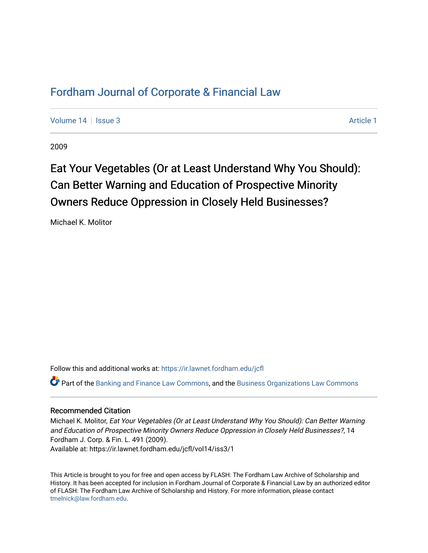## [Fordham Journal of Corporate & Financial Law](https://ir.lawnet.fordham.edu/jcfl)

[Volume 14](https://ir.lawnet.fordham.edu/jcfl/vol14) | [Issue 3](https://ir.lawnet.fordham.edu/jcfl/vol14/iss3) [Article 1](https://ir.lawnet.fordham.edu/jcfl/vol14/iss3/1) | Article 1 | Article 1 | Article 1 | Article 1 | Article 1 | Article 1 | Article 1 | Article 1 | Article 1 | Article 1 | Article 1 | Article 1 | Article 1 | Article 1 | Article 1 | Article 1

2009

# Eat Your Vegetables (Or at Least Understand Why You Should): Can Better Warning and Education of Prospective Minority Owners Reduce Oppression in Closely Held Businesses?

Michael K. Molitor

Follow this and additional works at: [https://ir.lawnet.fordham.edu/jcfl](https://ir.lawnet.fordham.edu/jcfl?utm_source=ir.lawnet.fordham.edu%2Fjcfl%2Fvol14%2Fiss3%2F1&utm_medium=PDF&utm_campaign=PDFCoverPages) 

Part of the [Banking and Finance Law Commons,](http://network.bepress.com/hgg/discipline/833?utm_source=ir.lawnet.fordham.edu%2Fjcfl%2Fvol14%2Fiss3%2F1&utm_medium=PDF&utm_campaign=PDFCoverPages) and the [Business Organizations Law Commons](http://network.bepress.com/hgg/discipline/900?utm_source=ir.lawnet.fordham.edu%2Fjcfl%2Fvol14%2Fiss3%2F1&utm_medium=PDF&utm_campaign=PDFCoverPages) 

#### Recommended Citation

Michael K. Molitor, Eat Your Vegetables (Or at Least Understand Why You Should): Can Better Warning and Education of Prospective Minority Owners Reduce Oppression in Closely Held Businesses?, 14 Fordham J. Corp. & Fin. L. 491 (2009). Available at: https://ir.lawnet.fordham.edu/jcfl/vol14/iss3/1

This Article is brought to you for free and open access by FLASH: The Fordham Law Archive of Scholarship and History. It has been accepted for inclusion in Fordham Journal of Corporate & Financial Law by an authorized editor of FLASH: The Fordham Law Archive of Scholarship and History. For more information, please contact [tmelnick@law.fordham.edu](mailto:tmelnick@law.fordham.edu).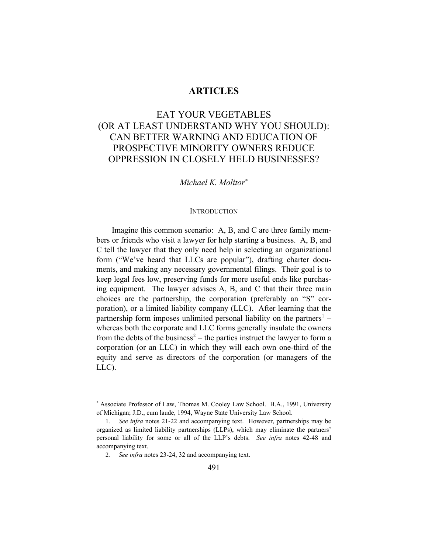#### **ARTICLES**

### EAT YOUR VEGETABLES (OR AT LEAST UNDERSTAND WHY YOU SHOULD): CAN BETTER WARNING AND EDUCATION OF PROSPECTIVE MINORITY OWNERS REDUCE OPPRESSION IN CLOSELY HELD BUSINESSES?

#### *Michael K. Molitor*[∗](#page-1-0)

#### **INTRODUCTION**

Imagine this common scenario: A, B, and C are three family members or friends who visit a lawyer for help starting a business. A, B, and C tell the lawyer that they only need help in selecting an organizational form ("We've heard that LLCs are popular"), drafting charter documents, and making any necessary governmental filings. Their goal is to keep legal fees low, preserving funds for more useful ends like purchasing equipment. The lawyer advises A, B, and C that their three main choices are the partnership, the corporation (preferably an "S" corporation), or a limited liability company (LLC). After learning that the partnership form imposes unlimited personal liability on the partners<sup>[1](#page-1-1)</sup> – whereas both the corporate and LLC forms generally insulate the owners from the debts of the business<sup>[2](#page-1-2)</sup> – the parties instruct the lawyer to form a corporation (or an LLC) in which they will each own one-third of the equity and serve as directors of the corporation (or managers of the LLC).

<span id="page-1-0"></span><sup>∗</sup> Associate Professor of Law, Thomas M. Cooley Law School. B.A., 1991, University of Michigan; J.D., cum laude, 1994, Wayne State University Law School.

<span id="page-1-2"></span><span id="page-1-1"></span><sup>1</sup>*. See infra* notes 21-22 and accompanying text. However, partnerships may be organized as limited liability partnerships (LLPs), which may eliminate the partners' personal liability for some or all of the LLP's debts. *See infra* notes 42-48 and accompanying text.

<sup>2</sup>*. See infra* notes 23-24, 32 and accompanying text.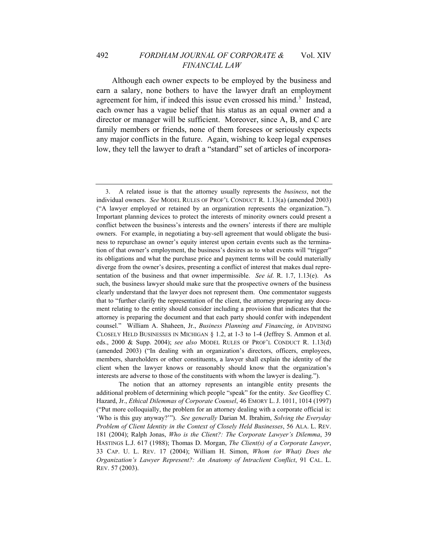Although each owner expects to be employed by the business and earn a salary, none bothers to have the lawyer draft an employment agreement for him, if indeed this issue even crossed his mind.<sup>[3](#page-2-0)</sup> Instead, each owner has a vague belief that his status as an equal owner and a director or manager will be sufficient. Moreover, since A, B, and C are family members or friends, none of them foresees or seriously expects any major conflicts in the future. Again, wishing to keep legal expenses low, they tell the lawyer to draft a "standard" set of articles of incorpora-

 The notion that an attorney represents an intangible entity presents the additional problem of determining which people "speak" for the entity. *See* Geoffrey C. Hazard, Jr., *[Ethical Dilemmas of Corporate Counsel](http://web2.westlaw.com/find/default.wl?DB=1135&SerialNum=0108635655&FindType=Y&AP=&fn=_top&rs=WLW6.07&mt=BusinessPrac&vr=2.0&sv=Split)*, 46 EMORY L. J. [1011, 1014 \(1997\)](http://web2.westlaw.com/find/default.wl?DB=1135&SerialNum=0108635655&FindType=Y&AP=&fn=_top&rs=WLW6.07&mt=BusinessPrac&vr=2.0&sv=Split) ("Put more colloquially, the problem for an attorney dealing with a corporate official is: 'Who is this guy anyway?'"). *See generally* Darian M. Ibrahim, *Solving the Everyday Problem of Client Identity in the Context of Closely Held Businesses*, 56 ALA. L. REV. 181 (2004); Ralph Jonas, *Who is the Client?: The Corporate Lawyer's Dilemma*, 39 HASTINGS L.J. 617 (1988); Thomas D. Morgan, *The Client(s) of a Corporate Lawyer*, 33 CAP. U. L. REV. 17 (2004); William H. Simon, *Whom (or What) Does the Organization's Lawyer Represent?: An Anatomy of Intraclient Conflict*, 91 CAL. L. REV. 57 (2003).

<span id="page-2-0"></span><sup>3.</sup> A related issue is that the attorney usually represents the *business*, not the individual owners. *See* MODEL RULES OF PROF'L CONDUCT R. 1.13(a) (amended 2003) ("A lawyer employed or retained by an organization represents the organization."). Important planning devices to protect the interests of minority owners could present a conflict between the business's interests and the owners' interests if there are multiple owners. For example, in negotiating a buy-sell agreement that would obligate the business to repurchase an owner's equity interest upon certain events such as the termination of that owner's employment, the business's desires as to what events will "trigger" its obligations and what the purchase price and payment terms will be could materially diverge from the owner's desires, presenting a conflict of interest that makes dual representation of the business and that owner impermissible. *See id*. R. 1.7, 1.13(e). As such, the business lawyer should make sure that the prospective owners of the business clearly understand that the lawyer does not represent them. One commentator suggests that to "further clarify the representation of the client, the attorney preparing any document relating to the entity should consider including a provision that indicates that the attorney is preparing the document and that each party should confer with independent counsel." William A. Shaheen, Jr., *Business Planning and Financing*, *in* ADVISING CLOSELY HELD BUSINESSES IN MICHIGAN § 1.2, at 1-3 to 1-4 (Jeffrey S. Ammon et al. eds., 2000 & Supp. 2004); *see also* MODEL RULES OF PROF'L CONDUCT R. 1.13(d) (amended 2003) ("In dealing with an organization's directors, officers, employees, members, shareholders or other constituents, a lawyer shall explain the identity of the client when the lawyer knows or reasonably should know that the organization's interests are adverse to those of the constituents with whom the lawyer is dealing.").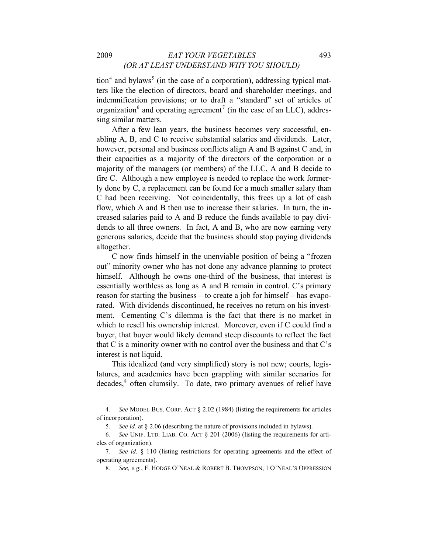$\mu$  tion<sup>[4](#page-3-0)</sup> and bylaws<sup>[5](#page-3-1)</sup> (in the case of a corporation), addressing typical matters like the election of directors, board and shareholder meetings, and indemnification provisions; or to draft a "standard" set of articles of organization<sup>[6](#page-3-2)</sup> and operating agreement<sup>[7](#page-3-3)</sup> (in the case of an LLC), addressing similar matters.

After a few lean years, the business becomes very successful, enabling A, B, and C to receive substantial salaries and dividends. Later, however, personal and business conflicts align A and B against C and, in their capacities as a majority of the directors of the corporation or a majority of the managers (or members) of the LLC, A and B decide to fire C. Although a new employee is needed to replace the work formerly done by C, a replacement can be found for a much smaller salary than C had been receiving. Not coincidentally, this frees up a lot of cash flow, which A and B then use to increase their salaries. In turn, the increased salaries paid to A and B reduce the funds available to pay dividends to all three owners. In fact, A and B, who are now earning very generous salaries, decide that the business should stop paying dividends altogether.

C now finds himself in the unenviable position of being a "frozen out" minority owner who has not done any advance planning to protect himself. Although he owns one-third of the business, that interest is essentially worthless as long as A and B remain in control. C's primary reason for starting the business – to create a job for himself – has evaporated. With dividends discontinued, he receives no return on his investment. Cementing C's dilemma is the fact that there is no market in which to resell his ownership interest. Moreover, even if C could find a buyer, that buyer would likely demand steep discounts to reflect the fact that C is a minority owner with no control over the business and that C's interest is not liquid.

This idealized (and very simplified) story is not new; courts, legislatures, and academics have been grappling with similar scenarios for decades,<sup>[8](#page-3-4)</sup> often clumsily. To date, two primary avenues of relief have

<span id="page-3-0"></span><sup>4</sup>*. See* MODEL BUS. CORP. ACT § 2.02 (1984) (listing the requirements for articles of incorporation).

<sup>5</sup>*. See id.* at § 2.06 (describing the nature of provisions included in bylaws).

<span id="page-3-2"></span><span id="page-3-1"></span><sup>6</sup>*. See* UNIF. LTD. LIAB. CO. ACT § 201 (2006) (listing the requirements for articles of organization).

<span id="page-3-4"></span><span id="page-3-3"></span><sup>7</sup>*. See id.* § 110 (listing restrictions for operating agreements and the effect of operating agreements).

<sup>8</sup>*. See, e.g.*, F. HODGE O'NEAL & ROBERT B. THOMPSON, 1 O'NEAL'S OPPRESSION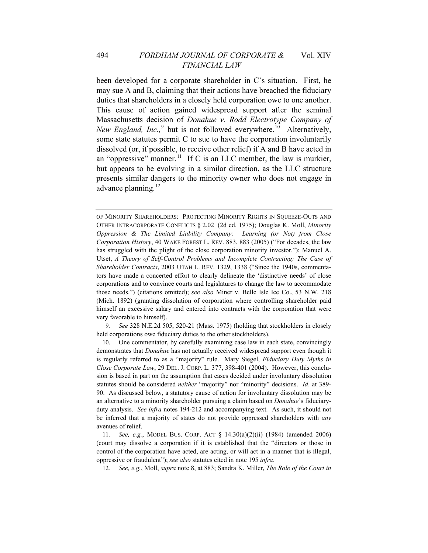been developed for a corporate shareholder in C's situation. First, he may sue A and B, claiming that their actions have breached the fiduciary duties that shareholders in a closely held corporation owe to one another. This cause of action gained widespread support after the seminal Massachusetts decision of *Donahue v. Rodd Electrotype Company of*  New England, Inc.,<sup>[9](#page-4-0)</sup> but is not followed everywhere.<sup>[10](#page-4-1)</sup> Alternatively, some state statutes permit C to sue to have the corporation involuntarily dissolved (or, if possible, to receive other relief) if A and B have acted in an "oppressive" manner.<sup>[11](#page-4-2)</sup> If C is an LLC member, the law is murkier, but appears to be evolving in a similar direction, as the LLC structure presents similar dangers to the minority owner who does not engage in advance planning.<sup>[12](#page-4-3)</sup>

<span id="page-4-0"></span>9*. See* 328 N.E.2d 505, 520-21 (Mass. 1975) (holding that stockholders in closely held corporations owe fiduciary duties to the other stockholders).

<span id="page-4-1"></span>10. One commentator, by carefully examining case law in each state, convincingly demonstrates that *Donahue* has not actually received widespread support even though it is regularly referred to as a "majority" rule. Mary Siegel, *Fiduciary Duty Myths in Close Corporate Law*, 29 DEL. J. CORP. L. 377, 398-401 (2004). However, this conclusion is based in part on the assumption that cases decided under involuntary dissolution statutes should be considered *neither* "majority" nor "minority" decisions. *Id*. at 389- 90. As discussed below, a statutory cause of action for involuntary dissolution may be an alternative to a minority shareholder pursuing a claim based on *Donahue*'s fiduciaryduty analysis. *See infra* notes 194-212 and accompanying text. As such, it should not be inferred that a majority of states do not provide oppressed shareholders with *any* avenues of relief.

<span id="page-4-3"></span><span id="page-4-2"></span>11*. See, e.g.*, MODEL BUS. CORP. ACT § 14.30(a)(2)(ii) (1984) (amended 2006) (court may dissolve a corporation if it is established that the "directors or those in control of the corporation have acted, are acting, or will act in a manner that is illegal, oppressive or fraudulent"); *see also* statutes cited in note 195 *infra*.

12*. See, e.g.*, Moll, *supra* note 8, at 883; Sandra K. Miller, *The Role of the Court in* 

OF MINORITY SHAREHOLDERS: PROTECTING MINORITY RIGHTS IN SQUEEZE-OUTS AND OTHER INTRACORPORATE CONFLICTS § 2.02 (2d ed. 1975); Douglas K. Moll, *Minority Oppression & The Limited Liability Company: Learning (or Not) from Close Corporation History*, 40 WAKE FOREST L. REV. 883, 883 (2005) ("For decades, the law has struggled with the plight of the close corporation minority investor."); Manuel A. Utset, *A Theory of Self-Control Problems and Incomplete Contracting: The Case of Shareholder Contracts*, 2003 UTAH L. REV. 1329, 1338 ("Since the 1940s, commentators have made a concerted effort to clearly delineate the 'distinctive needs' of close corporations and to convince courts and legislatures to change the law to accommodate those needs.") (citations omitted); *see also* Miner v. Belle Isle Ice Co., 53 N.W. 218 (Mich. 1892) (granting dissolution of corporation where controlling shareholder paid himself an excessive salary and entered into contracts with the corporation that were very favorable to himself).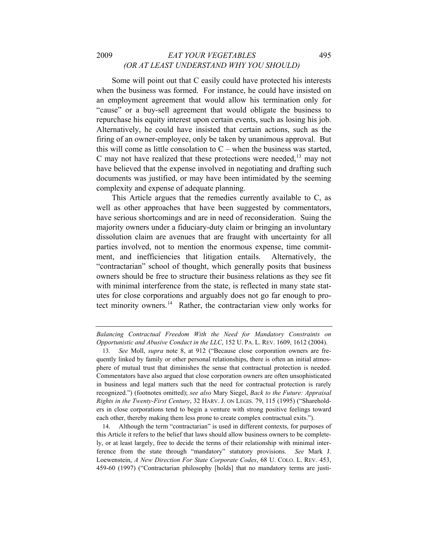#### 2009 *EAT YOUR VEGETABLES* 495 *(OR AT LEAST UNDERSTAND WHY YOU SHOULD)*

Some will point out that C easily could have protected his interests when the business was formed. For instance, he could have insisted on an employment agreement that would allow his termination only for "cause" or a buy-sell agreement that would obligate the business to repurchase his equity interest upon certain events, such as losing his job. Alternatively, he could have insisted that certain actions, such as the firing of an owner-employee, only be taken by unanimous approval. But this will come as little consolation to  $C$  – when the business was started, C may not have realized that these protections were needed,  $13$  may not have believed that the expense involved in negotiating and drafting such documents was justified, or may have been intimidated by the seeming complexity and expense of adequate planning.

This Article argues that the remedies currently available to C, as well as other approaches that have been suggested by commentators, have serious shortcomings and are in need of reconsideration. Suing the majority owners under a fiduciary-duty claim or bringing an involuntary dissolution claim are avenues that are fraught with uncertainty for all parties involved, not to mention the enormous expense, time commitment, and inefficiencies that litigation entails. Alternatively, the "contractarian" school of thought, which generally posits that business owners should be free to structure their business relations as they see fit with minimal interference from the state, is reflected in many state statutes for close corporations and arguably does not go far enough to pro-tect minority owners.<sup>[14](#page-5-1)</sup> Rather, the contractarian view only works for

*Balancing Contractual Freedom With the Need for Mandatory Constraints on Opportunistic and Abusive Conduct in the LLC*, 152 U. PA. L. REV. 1609, 1612 (2004).

<span id="page-5-0"></span><sup>13</sup>*. See* Moll, *supra* note 8, at 912 ("Because close corporation owners are frequently linked by family or other personal relationships, there is often an initial atmosphere of mutual trust that diminishes the sense that contractual protection is needed. Commentators have also argued that close corporation owners are often unsophisticated in business and legal matters such that the need for contractual protection is rarely recognized.") (footnotes omitted); *see also* Mary Siegel, *Back to the Future: Appraisal Rights in the Twenty-First Century*, 32 HARV. J. ON LEGIS. 79, 115 (1995) ("Shareholders in close corporations tend to begin a venture with strong positive feelings toward each other, thereby making them less prone to create complex contractual exits.").

<span id="page-5-1"></span><sup>14.</sup> Although the term "contractarian" is used in different contexts, for purposes of this Article it refers to the belief that laws should allow business owners to be completely, or at least largely, free to decide the terms of their relationship with minimal interference from the state through "mandatory" statutory provisions. *See* Mark J. Loewenstein, *A New Direction For State Corporate Codes*, 68 U. COLO. L. REV. 453, 459-60 (1997) ("Contractarian philosophy [holds] that no mandatory terms are justi-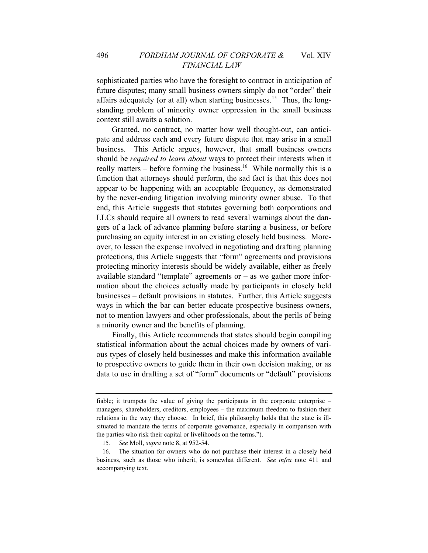sophisticated parties who have the foresight to contract in anticipation of future disputes; many small business owners simply do not "order" their affairs adequately (or at all) when starting businesses.<sup>[15](#page-6-0)</sup> Thus, the longstanding problem of minority owner oppression in the small business context still awaits a solution.

Granted, no contract, no matter how well thought-out, can anticipate and address each and every future dispute that may arise in a small business. This Article argues, however, that small business owners should be *required to learn about* ways to protect their interests when it really matters – before forming the business.<sup>[16](#page-6-1)</sup> While normally this is a function that attorneys should perform, the sad fact is that this does not appear to be happening with an acceptable frequency, as demonstrated by the never-ending litigation involving minority owner abuse. To that end, this Article suggests that statutes governing both corporations and LLCs should require all owners to read several warnings about the dangers of a lack of advance planning before starting a business, or before purchasing an equity interest in an existing closely held business. Moreover, to lessen the expense involved in negotiating and drafting planning protections, this Article suggests that "form" agreements and provisions protecting minority interests should be widely available, either as freely available standard "template" agreements or  $-$  as we gather more information about the choices actually made by participants in closely held businesses – default provisions in statutes. Further, this Article suggests ways in which the bar can better educate prospective business owners, not to mention lawyers and other professionals, about the perils of being a minority owner and the benefits of planning.

Finally, this Article recommends that states should begin compiling statistical information about the actual choices made by owners of various types of closely held businesses and make this information available to prospective owners to guide them in their own decision making, or as data to use in drafting a set of "form" documents or "default" provisions

fiable; it trumpets the value of giving the participants in the corporate enterprise – managers, shareholders, creditors, employees – the maximum freedom to fashion their relations in the way they choose. In brief, this philosophy holds that the state is illsituated to mandate the terms of corporate governance, especially in comparison with the parties who risk their capital or livelihoods on the terms.").

<sup>15</sup>*. See* Moll, *supra* note 8, at 952-54.

<span id="page-6-1"></span><span id="page-6-0"></span><sup>16.</sup> The situation for owners who do not purchase their interest in a closely held business, such as those who inherit, is somewhat different. *See infra* note 411 and accompanying text.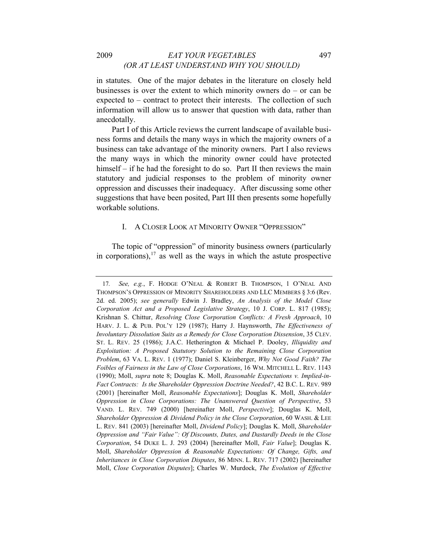in statutes. One of the major debates in the literature on closely held businesses is over the extent to which minority owners  $do - or can be$ expected to – contract to protect their interests. The collection of such information will allow us to answer that question with data, rather than anecdotally.

Part I of this Article reviews the current landscape of available business forms and details the many ways in which the majority owners of a business can take advantage of the minority owners. Part I also reviews the many ways in which the minority owner could have protected himself – if he had the foresight to do so. Part II then reviews the main statutory and judicial responses to the problem of minority owner oppression and discusses their inadequacy. After discussing some other suggestions that have been posited, Part III then presents some hopefully workable solutions.

#### I. A CLOSER LOOK AT MINORITY OWNER "OPPRESSION"

The topic of "oppression" of minority business owners (particularly in corporations), $17$  as well as the ways in which the astute prospective

<span id="page-7-0"></span><sup>17</sup>*. See, e.g.*, F. HODGE O'NEAL & ROBERT B. THOMPSON, 1 O'NEAL AND THOMPSON'S OPPRESSION OF MINORITY SHAREHOLDERS AND LLC MEMBERS § 3:6 (Rev. 2d. ed. 2005); *see generally* Edwin J. Bradley, *An Analysis of the Model Close Corporation Act and a Proposed Legislative Strategy*, 10 J. CORP. L. 817 (1985); Krishnan S. Chittur, *Resolving Close Corporation Conflicts: A Fresh Approach*, 10 HARV. J. L. & PUB. POL'Y 129 (1987); Harry J. Haynsworth, *The Effectiveness of Involuntary Dissolution Suits as a Remedy for Close Corporation Dissension*, 35 CLEV. ST. L. REV. 25 (1986); J.A.C. Hetherington & Michael P. Dooley, *Illiquidity and Exploitation: A Proposed Statutory Solution to the Remaining Close Corporation Problem*, 63 VA. L. REV. 1 (1977); Daniel S. Kleinberger, *Why Not Good Faith? The Foibles of Fairness in the Law of Close Corporations*, 16 WM. MITCHELL L. REV. 1143 (1990); Moll, *supra* note 8; Douglas K. Moll, *Reasonable Expectations v. Implied-in-Fact Contracts: Is the Shareholder Oppression Doctrine Needed?*, 42 B.C. L. REV. 989 (2001) [hereinafter Moll, *Reasonable Expectations*]; Douglas K. Moll, *Shareholder Oppression in Close Corporations: The Unanswered Question of Perspective*, 53 VAND. L. REV. 749 (2000) [hereinafter Moll, *Perspective*]; Douglas K. Moll, *Shareholder Oppression & Dividend Policy in the Close Corporation*, 60 WASH. & LEE L. REV. 841 (2003) [hereinafter Moll, *Dividend Policy*]; Douglas K. Moll, *Shareholder Oppression and "Fair Value": Of Discounts, Dates, and Dastardly Deeds in the Close Corporation*, 54 DUKE L. J. 293 (2004) [hereinafter Moll, *Fair Value*]; Douglas K. Moll, *Shareholder Oppression & Reasonable Expectations: Of Change, Gifts, and Inheritances in Close Corporation Disputes*, 86 MINN. L. REV. 717 (2002) [hereinafter Moll, *Close Corporation Disputes*]; Charles W. Murdock, *The Evolution of Effective*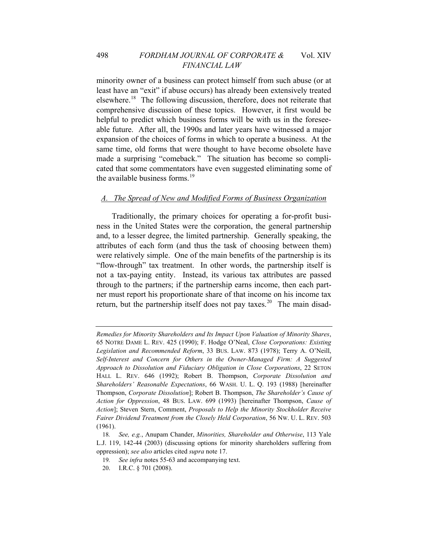minority owner of a business can protect himself from such abuse (or at least have an "exit" if abuse occurs) has already been extensively treated elsewhere.[18](#page-8-0) The following discussion, therefore, does not reiterate that comprehensive discussion of these topics. However, it first would be helpful to predict which business forms will be with us in the foreseeable future. After all, the 1990s and later years have witnessed a major expansion of the choices of forms in which to operate a business. At the same time, old forms that were thought to have become obsolete have made a surprising "comeback." The situation has become so complicated that some commentators have even suggested eliminating some of the available business forms. $19$ 

#### *A. The Spread of New and Modified Forms of Business Organization*

Traditionally, the primary choices for operating a for-profit business in the United States were the corporation, the general partnership and, to a lesser degree, the limited partnership. Generally speaking, the attributes of each form (and thus the task of choosing between them) were relatively simple. One of the main benefits of the partnership is its "flow-through" tax treatment. In other words, the partnership itself is not a tax-paying entity. Instead, its various tax attributes are passed through to the partners; if the partnership earns income, then each partner must report his proportionate share of that income on his income tax return, but the partnership itself does not pay taxes.<sup>[20](#page-8-2)</sup> The main disad-

*Remedies for Minority Shareholders and Its Impact Upon Valuation of Minority Shares*, 65 NOTRE DAME L. REV. 425 (1990); F. Hodge O'Neal, *Close Corporations: Existing Legislation and Recommended Reform*, 33 BUS. LAW. 873 (1978); Terry A. O'Neill, *Self-Interest and Concern for Others in the Owner-Managed Firm: A Suggested Approach to Dissolution and Fiduciary Obligation in Close Corporations*, 22 SETON HALL L. REV. 646 (1992); Robert B. Thompson, *Corporate Dissolution and Shareholders' Reasonable Expectations*, 66 WASH. U. L. Q. 193 (1988) [hereinafter Thompson, *Corporate Dissolution*]; Robert B. Thompson, *The Shareholder's Cause of Action for Oppression*, 48 BUS. LAW. 699 (1993) [hereinafter Thompson, *Cause of Action*]; Steven Stern, Comment, *Proposals to Help the Minority Stockholder Receive Fairer Dividend Treatment from the Closely Held Corporation*, 56 NW. U. L. REV. 503 (1961).

<span id="page-8-2"></span><span id="page-8-1"></span><span id="page-8-0"></span><sup>18</sup>*. See, e.g.*, Anupam Chander, *Minorities, Shareholder and Otherwise*, 113 Yale L.J. 119, 142-44 (2003) (discussing options for minority shareholders suffering from oppression); *see also* articles cited *supra* note 17.

<sup>19</sup>*. See infra* notes 55-63 and accompanying text.

<sup>20.</sup> I.R.C. § 701 (2008).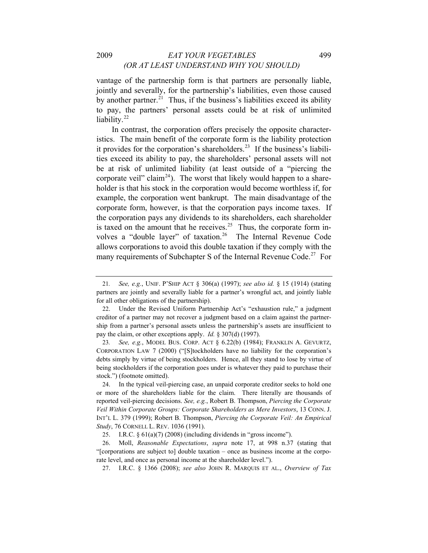vantage of the partnership form is that partners are personally liable, jointly and severally, for the partnership's liabilities, even those caused by another partner.<sup>[21](#page-9-0)</sup> Thus, if the business's liabilities exceed its ability to pay, the partners' personal assets could be at risk of unlimited liability.<sup>[22](#page-9-1)</sup>

In contrast, the corporation offers precisely the opposite characteristics. The main benefit of the corporate form is the liability protection it provides for the corporation's shareholders.<sup>[23](#page-9-2)</sup> If the business's liabilities exceed its ability to pay, the shareholders' personal assets will not be at risk of unlimited liability (at least outside of a "piercing the corporate veil" claim<sup>[24](#page-9-3)</sup>). The worst that likely would happen to a shareholder is that his stock in the corporation would become worthless if, for example, the corporation went bankrupt. The main disadvantage of the corporate form, however, is that the corporation pays income taxes. If the corporation pays any dividends to its shareholders, each shareholder is taxed on the amount that he receives.<sup>[25](#page-9-4)</sup> Thus, the corporate form in-volves a "double layer" of taxation.<sup>[26](#page-9-5)</sup> The Internal Revenue Code allows corporations to avoid this double taxation if they comply with the many requirements of Subchapter S of the Internal Revenue Code.<sup>[27](#page-9-6)</sup> For

27. I.R.C. § 1366 (2008); *see also* JOHN R. MARQUIS ET AL., *Overview of Tax* 

<span id="page-9-0"></span><sup>21</sup>*. See, e.g.*, UNIF. P'SHIP ACT § 306(a) (1997); *see also id.* § 15 (1914) (stating partners are jointly and severally liable for a partner's wrongful act, and jointly liable for all other obligations of the partnership).

<span id="page-9-1"></span><sup>22.</sup> Under the Revised Uniform Partnership Act's "exhaustion rule," a judgment creditor of a partner may not recover a judgment based on a claim against the partnership from a partner's personal assets unless the partnership's assets are insufficient to pay the claim, or other exceptions apply. *Id.* § 307(d) (1997).

<span id="page-9-2"></span><sup>23</sup>*. See, e.g.*, MODEL BUS. CORP. ACT § 6.22(b) (1984); FRANKLIN A. GEVURTZ, CORPORATION LAW 7 (2000) ("[S]tockholders have no liability for the corporation's debts simply by virtue of being stockholders. Hence, all they stand to lose by virtue of being stockholders if the corporation goes under is whatever they paid to purchase their stock.") (footnote omitted).

<span id="page-9-3"></span><sup>24.</sup> In the typical veil-piercing case, an unpaid corporate creditor seeks to hold one or more of the shareholders liable for the claim. There literally are thousands of reported veil-piercing decisions. *See, e.g.*, Robert B. Thompson, *Piercing the Corporate Veil Within Corporate Groups: Corporate Shareholders as Mere Investors*, 13 CONN. J. INT'L L. 379 (1999); Robert B. Thompson, *Piercing the Corporate Veil: An Empirical Study*, 76 CORNELL L. REV. 1036 (1991).

<sup>25.</sup> I.R.C. § 61(a)(7) (2008) (including dividends in "gross income").

<span id="page-9-6"></span><span id="page-9-5"></span><span id="page-9-4"></span><sup>26.</sup> Moll, *Reasonable Expectations*, *supra* note 17, at 998 n.37 (stating that "[corporations are subject to] double taxation – once as business income at the corporate level, and once as personal income at the shareholder level.").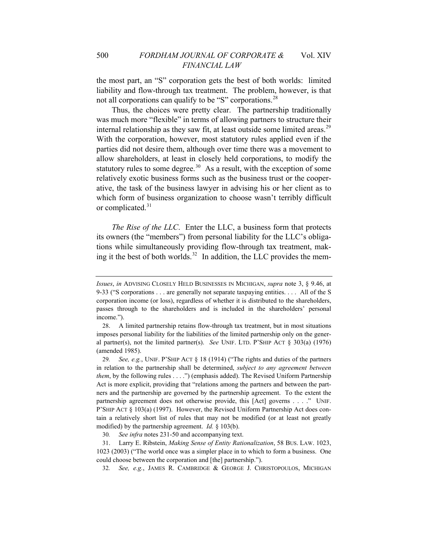not all corporations can qualify to be "S" corporations.<sup>28</sup> the most part, an "S" corporation gets the best of both worlds: limited liability and flow-through tax treatment. The problem, however, is that

Thus, the choices were pretty clear. The partnership traditionally was much more "flexible" in terms of allowing partners to structure their internal relationship as they saw fit, at least outside some limited areas.<sup>[29](#page-10-0)</sup> With the corporation, however, most statutory rules applied even if the parties did not desire them, although over time there was a movement to allow shareholders, at least in closely held corporations, to modify the statutory rules to some degree. $30$  As a result, with the exception of some relatively exotic business forms such as the business trust or the cooperative, the task of the business lawyer in advising his or her client as to which form of business organization to choose wasn't terribly difficult or complicated.<sup>[31](#page-10-2)</sup>

*The Rise of the LLC*. Enter the LLC, a business form that protects its owners (the "members") from personal liability for the LLC's obligations while simultaneously providing flow-through tax treatment, mak-ing it the best of both worlds.<sup>[32](#page-10-3)</sup> In addition, the LLC provides the mem-

30*. See infra* notes 231-50 and accompanying text.

32*. See, e.g.*, JAMES R. CAMBRIDGE & GEORGE J. CHRISTOPOULOS, MICHIGAN

*Issues*, *in* ADVISING CLOSELY HELD BUSINESSES IN MICHIGAN, *supra* note 3, § 9.46, at 9-33 ("S corporations . . . are generally not separate taxpaying entities. . . . All of the S corporation income (or loss), regardless of whether it is distributed to the shareholders, passes through to the shareholders and is included in the shareholders' personal income.").

<sup>28.</sup> A limited partnership retains flow-through tax treatment, but in most situations imposes personal liability for the liabilities of the limited partnership only on the general partner(s), not the limited partner(s). *See* UNIF. LTD. P'SHIP ACT § 303(a) (1976) (amended 1985).

<span id="page-10-0"></span><sup>29</sup>*. See, e.g.*, UNIF. P'SHIP ACT § 18 (1914) ("The rights and duties of the partners in relation to the partnership shall be determined, *subject to any agreement between them*, by the following rules . . . .") (emphasis added). The Revised Uniform Partnership Act is more explicit, providing that "relations among the partners and between the partners and the partnership are governed by the partnership agreement. To the extent the partnership agreement does not otherwise provide, this [Act] governs . . . ." UNIF. P'SHIP ACT § 103(a) (1997). However, the Revised Uniform Partnership Act does contain a relatively short list of rules that may not be modified (or at least not greatly modified) by the partnership agreement. *Id.* § 103(b).

<span id="page-10-3"></span><span id="page-10-2"></span><span id="page-10-1"></span><sup>31.</sup> Larry E. Ribstein, *Making Sense of Entity Rationalization*, 58 BUS. LAW. 1023, 1023 (2003) ("The world once was a simpler place in to which to form a business. One could choose between the corporation and [the] partnership.").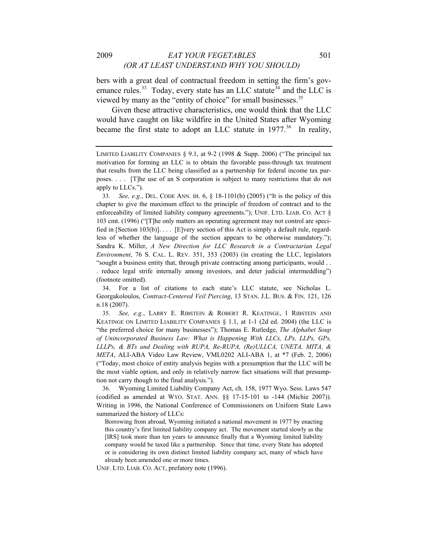bers with a great deal of contractual freedom in setting the firm's gov-ernance rules.<sup>[33](#page-11-0)</sup> Today, every state has an LLC statute<sup>[34](#page-11-1)</sup> and the LLC is viewed by many as the "entity of choice" for small businesses.<sup>[35](#page-11-2)</sup>

Given these attractive characteristics, one would think that the LLC would have caught on like wildfire in the United States after Wyoming became the first state to adopt an LLC statute in  $1977$ <sup>[36](#page-11-3)</sup> In reality,

<span id="page-11-1"></span>34. For a list of citations to each state's LLC statute, see Nicholas L. Georgakoloulos, *Contract-Centered Veil Piercing*, 13 STAN. J.L. BUS. & FIN. 121, 126 n.18 (2007).

<span id="page-11-2"></span>35*. See, e.g.*, LARRY E. RIBSTEIN & ROBERT R. KEATINGE, 1 RIBSTEIN AND KEATINGE ON LIMITED LIABILITY COMPANIES § 1.1, at 1-1 (2d ed. 2004) (the LLC is "the preferred choice for many businesses"); Thomas E. Rutledge, *The Alphabet Soup of Unincorporated Business Law: What is Happening With LLCs, LPs, LLPs, GPs, LLLPs, & BTs and Dealing with RUPA, Re-RUPA, (Re)ULLCA, UNETA, MITA, & META*, ALI-ABA Video Law Review, VML0202 ALI-ABA 1, at \*7 (Feb. 2, 2006) ("Today, most choice of entity analysis begins with a presumption that the LLC will be the most viable option, and only in relatively narrow fact situations will that presumption not carry though to the final analysis.").

<span id="page-11-3"></span>36. Wyoming Limited Liability Company Act, ch. 158, 1977 Wyo. Sess. Laws 547 (codified as amended at WYO. STAT. ANN. §§ 17-15-101 to -144 (Michie 2007)). Writing in 1996, the National Conference of Commissioners on Uniform State Laws summarized the history of LLCs:

Borrowing from abroad, Wyoming initiated a national movement in 1977 by enacting this country's first limited liability company act. The movement started slowly as the [IRS] took more than ten years to announce finally that a Wyoming limited liability company would be taxed like a partnership. Since that time, every State has adopted or is considering its own distinct limited liability company act, many of which have already been amended one or more times.

UNIF. LTD. LIAB. CO. ACT, prefatory note (1996).

LIMITED LIABILITY COMPANIES § 9.1, at 9-2 (1998 & Supp. 2006) ("The principal tax motivation for forming an LLC is to obtain the favorable pass-through tax treatment that results from the LLC being classified as a partnership for federal income tax purposes. . . . [T]he use of an S corporation is subject to many restrictions that do not apply to LLCs.").

<span id="page-11-0"></span><sup>33</sup>*. See, e.g.*, DEL. CODE ANN. tit. 6, § 18-1101(b) (2005) ("It is the policy of this chapter to give the maximum effect to the principle of freedom of contract and to the enforceability of limited liability company agreements."); UNIF. LTD. LIAB. CO. ACT § 103 cmt. (1996) ("[T]he only matters an operating agreement may not control are specified in [Section 103(b)]. . . . [E]very section of this Act is simply a default rule, regardless of whether the language of the section appears to be otherwise mandatory."); Sandra K. Miller, *A New Direction for LLC Research in a Contractarian Legal Environment*, 76 S. CAL. L. REV. 351, 353 (2003) (in creating the LLC, legislators "sought a business entity that, through private contracting among participants, would . . . reduce legal strife internally among investors, and deter judicial intermeddling") (footnote omitted).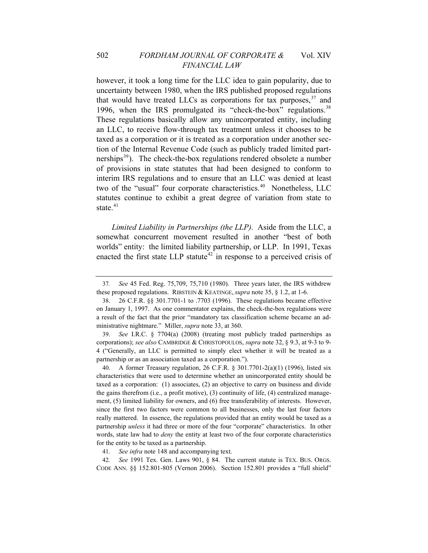however, it took a long time for the LLC idea to gain popularity, due to uncertainty between 1980, when the IRS published proposed regulations that would have treated LLCs as corporations for tax purposes,  $37$  and 1996, when the IRS promulgated its "check-the-box" regulations.<sup>[38](#page-12-1)</sup> These regulations basically allow any unincorporated entity, including an LLC, to receive flow-through tax treatment unless it chooses to be taxed as a corporation or it is treated as a corporation under another section of the Internal Revenue Code (such as publicly traded limited partnerships $^{39}$  $^{39}$  $^{39}$ ). The check-the-box regulations rendered obsolete a number of provisions in state statutes that had been designed to conform to interim IRS regulations and to ensure that an LLC was denied at least two of the "usual" four corporate characteristics.<sup>[40](#page-12-3)</sup> Nonetheless, LLC statutes continue to exhibit a great degree of variation from state to state.<sup>[41](#page-12-4)</sup>

*Limited Liability in Partnerships (the LLP)*. Aside from the LLC, a somewhat concurrent movement resulted in another "best of both worlds" entity: the limited liability partnership, or LLP. In 1991, Texas enacted the first state LLP statute<sup>[42](#page-12-5)</sup> in response to a perceived crisis of

<span id="page-12-2"></span>39*. See* I.R.C. § 7704(a) (2008) (treating most publicly traded partnerships as corporations); *see also* CAMBRIDGE & CHRISTOPOULOS, *supra* note 32, § 9.3, at 9-3 to 9- 4 ("Generally, an LLC is permitted to simply elect whether it will be treated as a partnership or as an association taxed as a corporation.").

<span id="page-12-3"></span>40. A former Treasury regulation, 26 C.F.R. § 301.7701-2(a)(1) (1996), listed six characteristics that were used to determine whether an unincorporated entity should be taxed as a corporation: (1) associates, (2) an objective to carry on business and divide the gains therefrom (i.e., a profit motive), (3) continuity of life, (4) centralized management, (5) limited liability for owners, and (6) free transferability of interests. However, since the first two factors were common to all businesses, only the last four factors really mattered. In essence, the regulations provided that an entity would be taxed as a partnership *unless* it had three or more of the four "corporate" characteristics. In other words, state law had to *deny* the entity at least two of the four corporate characteristics for the entity to be taxed as a partnership.

41*. See infra* note 148 and accompanying text.

<span id="page-12-5"></span><span id="page-12-4"></span>42*. See* 1991 Tex. Gen. Laws 901, § 84. The current statute is TEX. BUS. ORGS. CODE ANN. §§ 152.801-805 (Vernon 2006). Section 152.801 provides a "full shield"

<span id="page-12-0"></span><sup>37</sup>*. See* 45 Fed. Reg. 75,709, 75,710 (1980). Three years later, the IRS withdrew these proposed regulations. RIBSTEIN & KEATINGE, *supra* note 35, § 1.2, at 1-6.

<span id="page-12-1"></span><sup>38. 26</sup> C.F.R. §§ 301.7701-1 to .7703 (1996). These regulations became effective on January 1, 1997. As one commentator explains, the check-the-box regulations were a result of the fact that the prior "mandatory tax classification scheme became an administrative nightmare." Miller, *supra* note 33, at 360.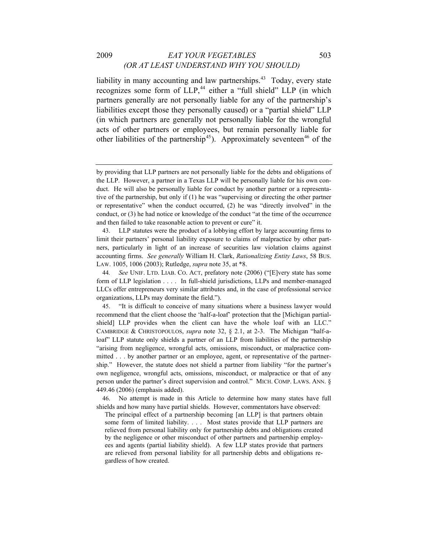liability in many accounting and law partnerships. $43$  Today, every state recognizes some form of LLP,<sup>[44](#page-13-1)</sup> either a "full shield" LLP (in which partners generally are not personally liable for any of the partnership's liabilities except those they personally caused) or a "partial shield" LLP (in which partners are generally not personally liable for the wrongful acts of other partners or employees, but remain personally liable for other liabilities of the partnership<sup>[45](#page-13-2)</sup>). Approximately seventeen<sup>[46](#page-13-3)</sup> of the

<span id="page-13-0"></span>43. LLP statutes were the product of a lobbying effort by large accounting firms to limit their partners' personal liability exposure to claims of malpractice by other partners, particularly in light of an increase of securities law violation claims against accounting firms. *See generally* William H. Clark, *Rationalizing Entity Laws*, 58 BUS. LAW. 1005, 1006 (2003); Rutledge, *supra* note 35, at \*8.

by providing that LLP partners are not personally liable for the debts and obligations of the LLP. However, a partner in a Texas LLP will be personally liable for his own conduct. He will also be personally liable for conduct by another partner or a representative of the partnership, but only if (1) he was "supervising or directing the other partner or representative" when the conduct occurred, (2) he was "directly involved" in the conduct, or (3) he had notice or knowledge of the conduct "at the time of the occurrence and then failed to take reasonable action to prevent or cure" it.

<span id="page-13-1"></span><sup>44</sup>*. See* UNIF. LTD. LIAB. CO. ACT, prefatory note (2006) ("[E]very state has some form of LLP legislation . . . . In full-shield jurisdictions, LLPs and member-managed LLCs offer entrepreneurs very similar attributes and, in the case of professional service organizations, LLPs may dominate the field.").

<span id="page-13-2"></span><sup>45. &</sup>quot;It is difficult to conceive of many situations where a business lawyer would recommend that the client choose the 'half-a-loaf' protection that the [Michigan partialshield] LLP provides when the client can have the whole loaf with an LLC." CAMBRIDGE & CHRISTOPOULOS, *supra* note 32, § 2.1, at 2-3. The Michigan "half-aloaf" LLP statute only shields a partner of an LLP from liabilities of the partnership "arising from negligence, wrongful acts, omissions, misconduct, or malpractice committed . . . by another partner or an employee, agent, or representative of the partnership." However, the statute does not shield a partner from liability "for the partner's own negligence, wrongful acts, omissions, misconduct, or malpractice or that of any person under the partner's direct supervision and control." MICH. COMP. LAWS. ANN. § 449.46 (2006) (emphasis added).

<span id="page-13-3"></span><sup>46.</sup> No attempt is made in this Article to determine how many states have full shields and how many have partial shields. However, commentators have observed:

The principal effect of a partnership becoming [an LLP] is that partners obtain some form of limited liability. . . . Most states provide that LLP partners are relieved from personal liability only for partnership debts and obligations created by the negligence or other misconduct of other partners and partnership employees and agents (partial liability shield). A few LLP states provide that partners are relieved from personal liability for all partnership debts and obligations regardless of how created.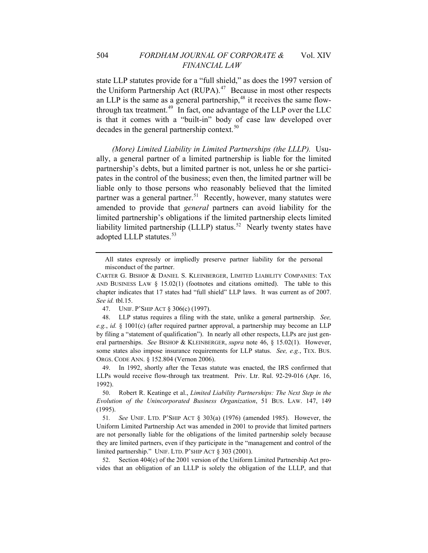state LLP statutes provide for a "full shield," as does the 1997 version of the Uniform Partnership Act (RUPA).<sup>[47](#page-14-0)</sup> Because in most other respects an LLP is the same as a general partnership,  $48$  it receives the same flow-through tax treatment.<sup>[49](#page-14-2)</sup> In fact, one advantage of the LLP over the LLC is that it comes with a "built-in" body of case law developed over decades in the general partnership context. $50$ 

*(More) Limited Liability in Limited Partnerships (the LLLP).* Usually, a general partner of a limited partnership is liable for the limited partnership's debts, but a limited partner is not, unless he or she participates in the control of the business; even then, the limited partner will be liable only to those persons who reasonably believed that the limited partner was a general partner.<sup>[51](#page-14-4)</sup> Recently, however, many statutes were amended to provide that *general* partners can avoid liability for the limited partnership's obligations if the limited partnership elects limited liability limited partnership (LLLP) status.<sup>[52](#page-14-5)</sup> Nearly twenty states have adopted LLLP statutes.<sup>[53](#page-14-1)</sup>

All states expressly or impliedly preserve partner liability for the personal misconduct of the partner.

CARTER G. BISHOP & DANIEL S. KLEINBERGER, LIMITED LIABILITY COMPANIES: TAX AND BUSINESS LAW  $\S$  15.02(1) (footnotes and citations omitted). The table to this chapter indicates that 17 states had "full shield" LLP laws. It was current as of 2007. *See id.* tbl.15.

<sup>47.</sup> UNIF. P'SHIP ACT § 306(c) (1997).

<span id="page-14-1"></span><span id="page-14-0"></span><sup>48.</sup> LLP status requires a filing with the state, unlike a general partnership. *See, e.g.*, *id.* § 1001(c) (after required partner approval, a partnership may become an LLP by filing a "statement of qualification"). In nearly all other respects, LLPs are just general partnerships. *See* BISHOP & KLEINBERGER, *supra* note 46, § 15.02(1). However, some states also impose insurance requirements for LLP status. *See, e.g.*, TEX. BUS. ORGS. CODE ANN. § 152.804 (Vernon 2006).

<span id="page-14-2"></span><sup>49.</sup> In 1992, shortly after the Texas statute was enacted, the IRS confirmed that LLPs would receive flow-through tax treatment. Priv. Ltr. Rul. 92-29-016 (Apr. 16, 1992).

<span id="page-14-3"></span><sup>50.</sup> Robert R. Keatinge et al., *Limited Liability Partnerships: The Next Step in the Evolution of the Unincorporated Business Organization*, 51 BUS. LAW. 147, 149 (1995).

<span id="page-14-4"></span><sup>51</sup>*. See* UNIF. LTD. P'SHIP ACT § 303(a) (1976) (amended 1985). However, the Uniform Limited Partnership Act was amended in 2001 to provide that limited partners are not personally liable for the obligations of the limited partnership solely because they are limited partners, even if they participate in the "management and control of the limited partnership." UNIF. LTD. P'SHIP ACT § 303 (2001).

<span id="page-14-5"></span><sup>52.</sup> Section 404(c) of the 2001 version of the Uniform Limited Partnership Act provides that an obligation of an LLLP is solely the obligation of the LLLP, and that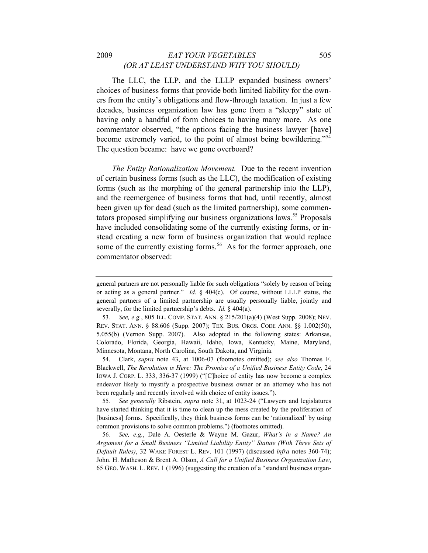#### 2009 *EAT YOUR VEGETABLES* 505 *(OR AT LEAST UNDERSTAND WHY YOU SHOULD)*

The LLC, the LLP, and the LLLP expanded business owners' choices of business forms that provide both limited liability for the owners from the entity's obligations and flow-through taxation. In just a few decades, business organization law has gone from a "sleepy" state of having only a handful of form choices to having many more. As one commentator observed, "the options facing the business lawyer [have] become extremely varied, to the point of almost being bewildering."[54](#page-15-0) The question became: have we gone overboard?

*The Entity Rationalization Movement.* Due to the recent invention of certain business forms (such as the LLC), the modification of existing forms (such as the morphing of the general partnership into the LLP), and the reemergence of business forms that had, until recently, almost been given up for dead (such as the limited partnership), some commen-tators proposed simplifying our business organizations laws.<sup>[55](#page-15-1)</sup> Proposals have included consolidating some of the currently existing forms, or instead creating a new form of business organization that would replace some of the currently existing forms.<sup>[56](#page-15-2)</sup> As for the former approach, one commentator observed:

<span id="page-15-0"></span>54. Clark, *supra* note 43, at 1006-07 (footnotes omitted); *see also* Thomas F. Blackwell, *The Revolution is Here: The Promise of a Unified Business Entity Code*, 24 IOWA J. CORP. L. 333, 336-37 (1999) ("[C]hoice of entity has now become a complex endeavor likely to mystify a prospective business owner or an attorney who has not been regularly and recently involved with choice of entity issues.").

<span id="page-15-1"></span>55*. See generally* Ribstein, *supra* note 31, at 1023-24 ("Lawyers and legislatures have started thinking that it is time to clean up the mess created by the proliferation of [business] forms. Specifically, they think business forms can be 'rationalized' by using common provisions to solve common problems.") (footnotes omitted).

<span id="page-15-2"></span>56*. See, e.g.*, Dale A. Oesterle & Wayne M. Gazur, *What's in a Name? An Argument for a Small Business "Limited Liability Entity" Statute (With Three Sets of Default Rules)*, 32 WAKE FOREST L. REV. 101 (1997) (discussed *infra* notes 360-74); John. H. Matheson & Brent A. Olson, *A Call for a Unified Business Organization Law*, 65 GEO. WASH. L. REV. 1 (1996) (suggesting the creation of a "standard business organ-

general partners are not personally liable for such obligations "solely by reason of being or acting as a general partner." *Id.* § 404(c). Of course, without LLLP status, the general partners of a limited partnership are usually personally liable, jointly and severally, for the limited partnership's debts. *Id.* § 404(a).

<sup>53</sup>*. See, e.g.*, 805 ILL. COMP. STAT. ANN. § 215/201(a)(4) (West Supp. 2008); NEV. REV. STAT. ANN. § 88.606 (Supp. 2007); TEX. BUS. ORGS. CODE ANN. §§ 1.002(50), 5.055(b) (Vernon Supp. 2007). Also adopted in the following states: Arkansas, Colorado, Florida, Georgia, Hawaii, Idaho, Iowa, Kentucky, Maine, Maryland, Minnesota, Montana, North Carolina, South Dakota, and Virginia.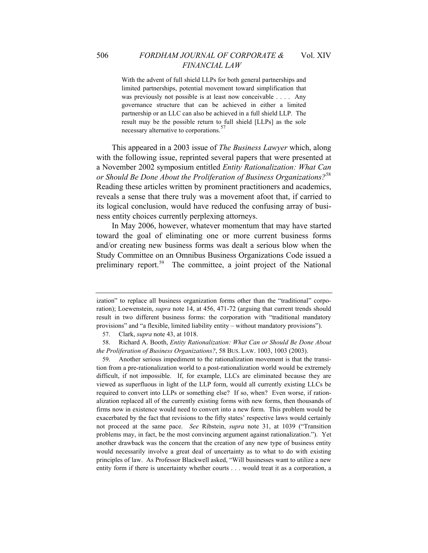With the advent of full shield LLPs for both general partnerships and limited partnerships, potential movement toward simplification that was previously not possible is at least now conceivable . . . . Any governance structure that can be achieved in either a limited

partnership or an LLC can also be achieved in a full shield LLP. The result may be the possible return to full shield [LLPs] as the sole necessary alternative to corporations.<sup>5</sup>

This appeared in a 2003 issue of *The Business Lawyer* which, along with the following issue, reprinted several papers that were presented at a November 2002 symposium entitled *Entity Rationalization: What Can or Should Be Done About the Proliferation of Business Organizations?*[58](#page-16-1) Reading these articles written by prominent practitioners and academics, reveals a sense that there truly was a movement afoot that, if carried to its logical conclusion, would have reduced the confusing array of business entity choices currently perplexing attorneys.

In May 2006, however, whatever momentum that may have started toward the goal of eliminating one or more current business forms and/or creating new business forms was dealt a serious blow when the Study Committee on an Omnibus Business Organizations Code issued a preliminary report.<sup>[59](#page-16-2)</sup> The committee, a joint project of the National

ization" to replace all business organization forms other than the "traditional" corporation); Loewenstein, *supra* note 14, at 456, 471-72 (arguing that current trends should result in two different business forms: the corporation with "traditional mandatory provisions" and "a flexible, limited liability entity – without mandatory provisions").

<sup>57.</sup> Clark, *supra* note 43, at 1018.

<span id="page-16-1"></span><span id="page-16-0"></span><sup>58.</sup> Richard A. Booth, *Entity Rationalization: What Can or Should Be Done About the Proliferation of Business Organizations?*, 58 BUS. LAW. 1003, 1003 (2003).

<span id="page-16-2"></span><sup>59.</sup> Another serious impediment to the rationalization movement is that the transition from a pre-rationalization world to a post-rationalization world would be extremely difficult, if not impossible. If, for example, LLCs are eliminated because they are viewed as superfluous in light of the LLP form, would all currently existing LLCs be required to convert into LLPs or something else? If so, when? Even worse, if rationalization replaced all of the currently existing forms with new forms, then thousands of firms now in existence would need to convert into a new form. This problem would be exacerbated by the fact that revisions to the fifty states' respective laws would certainly not proceed at the same pace. *See* Ribstein, *supra* note 31, at 1039 ("Transition problems may, in fact, be the most convincing argument against rationalization."). Yet another drawback was the concern that the creation of any new type of business entity would necessarily involve a great deal of uncertainty as to what to do with existing principles of law. As Professor Blackwell asked, "Will businesses want to utilize a new entity form if there is uncertainty whether courts . . . would treat it as a corporation, a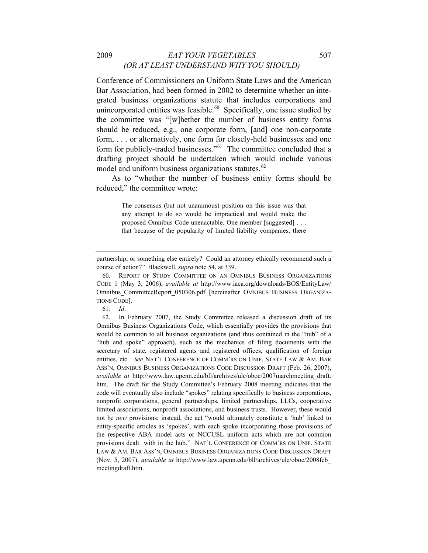#### 2009 *EAT YOUR VEGETABLES* 507 *(OR AT LEAST UNDERSTAND WHY YOU SHOULD)*

Conference of Commissioners on Uniform State Laws and the American Bar Association, had been formed in 2002 to determine whether an integrated business organizations statute that includes corporations and unincorporated entities was feasible. $60$  Specifically, one issue studied by the committee was "[w]hether the number of business entity forms should be reduced, e.g., one corporate form, [and] one non-corporate form, . . . or alternatively, one form for closely-held businesses and one form for publicly-traded businesses."<sup>[61](#page-17-1)</sup> The committee concluded that a drafting project should be undertaken which would include various model and uniform business organizations statutes.<sup>[62](#page-17-2)</sup>

As to "whether the number of business entity forms should be reduced," the committee wrote:

> The consensus (but not unanimous) position on this issue was that any attempt to do so would be impractical and would make the proposed Omnibus Code unenactable. One member [suggested] . . . that because of the popularity of limited liability companies, there

61*. Id*.

<span id="page-17-2"></span><span id="page-17-1"></span>62. In February 2007, the Study Committee released a discussion draft of its Omnibus Business Organizations Code, which essentially provides the provisions that would be common to all business organizations (and thus contained in the "hub" of a "hub and spoke" approach), such as the mechanics of filing documents with the secretary of state, registered agents and registered offices, qualification of foreign entities, etc. *See* NAT'L CONFERENCE OF COMM'RS ON UNIF. STATE LAW & AM. BAR ASS'N, OMNIBUS BUSINESS ORGANIZATIONS CODE DISCUSSION DRAFT (Feb. 26, 2007), *available at* http://www.law.upenn.edu/bll/archives/ulc/oboc/2007marchmeeting\_draft. htm. The draft for the Study Committee's February 2008 meeting indicates that the code will eventually also include "spokes" relating specifically to business corporations, nonprofit corporations, general partnerships, limited partnerships, LLCs, cooperative limited associations, nonprofit associations, and business trusts. However, these would not be *new* provisions; instead, the act "would ultimately constitute a 'hub' linked to entity-specific articles as 'spokes', with each spoke incorporating those provisions of the respective ABA model acts or NCCUSL uniform acts which are not common provisions dealt with in the hub." NAT'L CONFERENCE OF COMM'RS ON UNIF. STATE LAW & AM. BAR ASS'N, OMNIBUS BUSINESS ORGANIZATIONS CODE DISCUSSION DRAFT (Nov. 5, 2007), *available at* http://www.law.upenn.edu/bll/archives/ulc/oboc/2008feb\_ meetingdraft.htm.

partnership, or something else entirely? Could an attorney ethically recommend such a course of action?" Blackwell, *supra* note 54, at 339.

<span id="page-17-0"></span><sup>60.</sup> REPORT OF STUDY COMMITTEE ON AN OMNIBUS BUSINESS ORGANIZATIONS CODE 1 (May 3, 2006), *available at* http://www.iaca.org/downloads/BOS/EntityLaw/ Omnibus CommitteeReport 050306.pdf [hereinafter OMNIBUS BUSINESS ORGANIZA-TIONS CODE].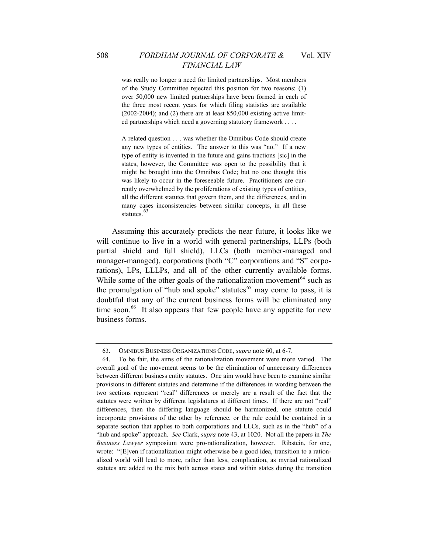was really no longer a need for limited partnerships. Most members of the Study Committee rejected this position for two reasons: (1) over 50,000 new limited partnerships have been formed in each of the three most recent years for which filing statistics are available  $(2002-2004)$ ; and  $(2)$  there are at least 850,000 existing active limit-

A related question . . . was whether the Omnibus Code should create any new types of entities. The answer to this was "no." If a new type of entity is invented in the future and gains tractions [sic] in the states, however, the Committee was open to the possibility that it might be brought into the Omnibus Code; but no one thought this was likely to occur in the foreseeable future. Practitioners are currently overwhelmed by the proliferations of existing types of entities, all the different statutes that govern them, and the differences, and in many cases inconsistencies between similar concepts, in all these statutes.<sup>[63](#page-18-0)</sup>

ed partnerships which need a governing statutory framework . . . .

Assuming this accurately predicts the near future, it looks like we will continue to live in a world with general partnerships, LLPs (both partial shield and full shield), LLCs (both member-managed and manager-managed), corporations (both "C" corporations and "S" corporations), LPs, LLLPs, and all of the other currently available forms. While some of the other goals of the rationalization movement<sup>[64](#page-18-1)</sup> such as the promulgation of "hub and spoke" statutes<sup>[65](#page-18-2)</sup> may come to pass, it is doubtful that any of the current business forms will be eliminated any time soon.<sup>[66](#page-18-3)</sup> It also appears that few people have any appetite for new business forms.

<sup>63.</sup> OMNIBUS BUSINESS ORGANIZATIONS CODE, *supra* note 60, at 6-7.

<span id="page-18-3"></span><span id="page-18-2"></span><span id="page-18-1"></span><span id="page-18-0"></span><sup>64.</sup> To be fair, the aims of the rationalization movement were more varied. The overall goal of the movement seems to be the elimination of unnecessary differences between different business entity statutes. One aim would have been to examine similar provisions in different statutes and determine if the differences in wording between the two sections represent "real" differences or merely are a result of the fact that the statutes were written by different legislatures at different times. If there are not "real" differences, then the differing language should be harmonized, one statute could incorporate provisions of the other by reference, or the rule could be contained in a separate section that applies to both corporations and LLCs, such as in the "hub" of a "hub and spoke" approach. *See* Clark, *supra* note 43, at 1020. Not all the papers in *The Business Lawyer* symposium were pro-rationalization, however. Ribstein, for one, wrote: "[E]ven if rationalization might otherwise be a good idea, transition to a rationalized world will lead to more, rather than less, complication, as myriad rationalized statutes are added to the mix both across states and within states during the transition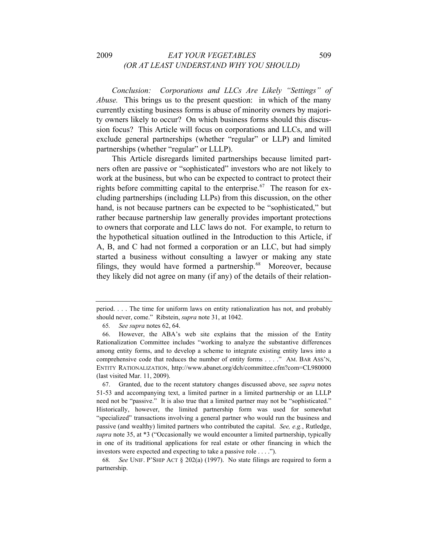*Conclusion: Corporations and LLCs Are Likely "Settings" of Abuse.* This brings us to the present question: in which of the many currently existing business forms is abuse of minority owners by majority owners likely to occur? On which business forms should this discussion focus? This Article will focus on corporations and LLCs, and will exclude general partnerships (whether "regular" or LLP) and limited partnerships (whether "regular" or LLLP).

This Article disregards limited partnerships because limited partners often are passive or "sophisticated" investors who are not likely to work at the business, but who can be expected to contract to protect their rights before committing capital to the enterprise.<sup>[67](#page-19-0)</sup> The reason for excluding partnerships (including LLPs) from this discussion, on the other hand, is not because partners can be expected to be "sophisticated," but rather because partnership law generally provides important protections to owners that corporate and LLC laws do not. For example, to return to the hypothetical situation outlined in the Introduction to this Article, if A, B, and C had not formed a corporation or an LLC, but had simply started a business without consulting a lawyer or making any state filings, they would have formed a partnership. $68$  Moreover, because they likely did not agree on many (if any) of the details of their relation-

65*. See supra* notes 62, 64.

<span id="page-19-1"></span>68*. See* UNIF. P'SHIP ACT § 202(a) (1997). No state filings are required to form a partnership.

period. . . . The time for uniform laws on entity rationalization has not, and probably should never, come." Ribstein, *supra* note 31, at 1042.

<sup>66.</sup> However, the ABA's web site explains that the mission of the Entity Rationalization Committee includes "working to analyze the substantive differences among entity forms, and to develop a scheme to integrate existing entity laws into a comprehensive code that reduces the number of entity forms . . . ." AM. BAR ASS'N, ENTITY RATIONALIZATION, http://www.abanet.org/dch/committee.cfm?com=CL980000 (last visited Mar. 11, 2009).

<span id="page-19-0"></span><sup>67.</sup> Granted, due to the recent statutory changes discussed above, see *supra* notes 51-53 and accompanying text, a limited partner in a limited partnership or an LLLP need not be "passive." It is also true that a limited partner may not be "sophisticated." Historically, however, the limited partnership form was used for somewhat "specialized" transactions involving a general partner who would run the business and passive (and wealthy) limited partners who contributed the capital. *See, e.g.*, Rutledge, *supra* note 35, at \*3 ("Occasionally we would encounter a limited partnership, typically in one of its traditional applications for real estate or other financing in which the investors were expected and expecting to take a passive role . . . .").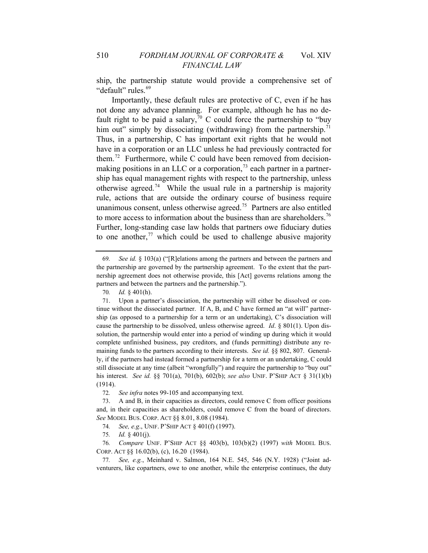" default" rules.<sup>69</sup> ship, the partnership statute would provide a comprehensive set of

Importantly, these default rules are protective of C, even if he has not done any advance planning. For example, although he has no de-fault right to be paid a salary,<sup>[70](#page-20-0)</sup> C could force the partnership to "buy" him out" simply by dissociating (withdrawing) from the partnership.<sup>[71](#page-20-1)</sup> Thus, in a partnership, C has important exit rights that he would not have in a corporation or an LLC unless he had previously contracted for them.<sup>[72](#page-20-2)</sup> Furthermore, while C could have been removed from decisionmaking positions in an LLC or a corporation, $^{73}$  $^{73}$  $^{73}$  each partner in a partnership has equal management rights with respect to the partnership, unless otherwise agreed.<sup>[74](#page-20-4)</sup> While the usual rule in a partnership is majority rule, actions that are outside the ordinary course of business require unanimous consent, unless otherwise agreed.<sup>[75](#page-20-5)</sup> Partners are also entitled to more access to information about the business than are shareholders.<sup>[76](#page-20-6)</sup> Further, long-standing case law holds that partners owe fiduciary duties to one another, $77$  which could be used to challenge abusive majority

<sup>69</sup>*. See id.* § 103(a) ("[R]elations among the partners and between the partners and the partnership are governed by the partnership agreement. To the extent that the partnership agreement does not otherwise provide, this [Act] governs relations among the partners and between the partners and the partnership.").

<sup>70</sup>*. Id.* § 401(h).

<span id="page-20-1"></span><span id="page-20-0"></span><sup>71.</sup> Upon a partner's dissociation, the partnership will either be dissolved or continue without the dissociated partner. If A, B, and C have formed an "at will" partnership (as opposed to a partnership for a term or an undertaking), C's dissociation will cause the partnership to be dissolved, unless otherwise agreed. *Id*. § 801(1). Upon dissolution, the partnership would enter into a period of winding up during which it would complete unfinished business, pay creditors, and (funds permitting) distribute any remaining funds to the partners according to their interests. *See id.* §§ 802, 807. Generally, if the partners had instead formed a partnership for a term or an undertaking, C could still dissociate at any time (albeit "wrongfully") and require the partnership to "buy out" his interest. *See id.* §§ 701(a), 701(b), 602(b); *see also* UNIF. P'SHIP ACT § 31(1)(b) (1914).

<sup>72</sup>*. See infra* notes 99-105 and accompanying text.

<span id="page-20-3"></span><span id="page-20-2"></span><sup>73.</sup> A and B, in their capacities as directors, could remove C from officer positions and, in their capacities as shareholders, could remove C from the board of directors. *See* MODEL BUS. CORP. ACT §§ 8.01, 8.08 (1984).

<sup>74</sup>*. See, e.g*., UNIF. P'SHIP ACT § 401(f) (1997).

<sup>75</sup>*. Id.* § 401(j).

<span id="page-20-6"></span><span id="page-20-5"></span><span id="page-20-4"></span><sup>76</sup>*. Compare* UNIF. P'SHIP ACT §§ 403(b), 103(b)(2) (1997) *with* MODEL BUS. CORP. ACT §§ 16.02(b), (c), 16.20 (1984).

<span id="page-20-7"></span><sup>77</sup>*. See, e.g.*, Meinhard v. Salmon, 164 N.E. 545, 546 (N.Y. 1928) ("Joint adventurers, like copartners, owe to one another, while the enterprise continues, the duty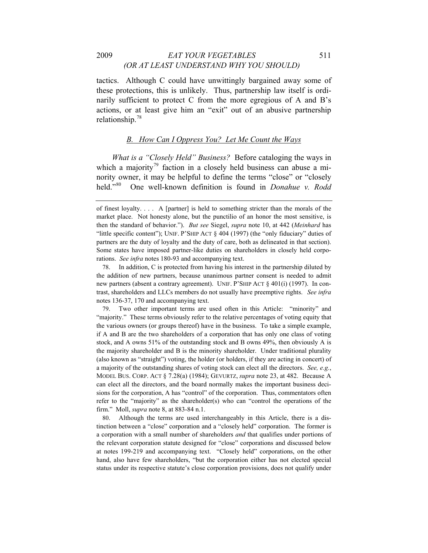tactics. Although C could have unwittingly bargained away some of these protections, this is unlikely. Thus, partnership law itself is ordinarily sufficient to protect C from the more egregious of A and B's actions, or at least give him an "exit" out of an abusive partnership relationship.[78](#page-21-0)

#### *B. How Can I Oppress You? Let Me Count the Ways*

*What is a "Closely Held" Business?* Before cataloging the ways in which a majority<sup>[79](#page-21-1)</sup> faction in a closely held business can abuse a minority owner, it may be helpful to define the terms "close" or "closely held."[80](#page-21-2) One well-known definition is found in *Donahue v. Rodd* 

<span id="page-21-1"></span>79. Two other important terms are used often in this Article: "minority" and "majority." These terms obviously refer to the relative percentages of voting equity that the various owners (or groups thereof) have in the business. To take a simple example, if A and B are the two shareholders of a corporation that has only one class of voting stock, and A owns 51% of the outstanding stock and B owns 49%, then obviously A is the majority shareholder and B is the minority shareholder. Under traditional plurality (also known as "straight") voting, the holder (or holders, if they are acting in concert) of a majority of the outstanding shares of voting stock can elect all the directors. *See, e.g.*, MODEL BUS. CORP. ACT § 7.28(a) (1984); GEVURTZ, *supra* note 23, at 482. Because A can elect all the directors, and the board normally makes the important business decisions for the corporation, A has "control" of the corporation. Thus, commentators often refer to the "majority" as the shareholder(s) who can "control the operations of the firm." Moll, *supra* note 8, at 883-84 n.1.

<span id="page-21-2"></span>80. Although the terms are used interchangeably in this Article, there is a distinction between a "close" corporation and a "closely held" corporation. The former is a corporation with a small number of shareholders *and* that qualifies under portions of the relevant corporation statute designed for "close" corporations and discussed below at notes 199-219 and accompanying text. "Closely held" corporations, on the other hand, also have few shareholders, "but the corporation either has not elected special status under its respective statute's close corporation provisions, does not qualify under

of finest loyalty. . . . A [partner] is held to something stricter than the morals of the market place. Not honesty alone, but the punctilio of an honor the most sensitive, is then the standard of behavior."). *But see* Siegel, *supra* note 10, at 442 (*Meinhard* has "little specific content"); UNIF. P'SHIP ACT § 404 (1997) (the "only fiduciary" duties of partners are the duty of loyalty and the duty of care, both as delineated in that section). Some states have imposed partner-like duties on shareholders in closely held corporations. *See infra* notes 180-93 and accompanying text.

<span id="page-21-0"></span><sup>78.</sup> In addition, C is protected from having his interest in the partnership diluted by the addition of new partners, because unanimous partner consent is needed to admit new partners (absent a contrary agreement). UNIF. P'SHIP ACT § 401(i) (1997). In contrast, shareholders and LLCs members do not usually have preemptive rights. *See infra* notes 136-37, 170 and accompanying text.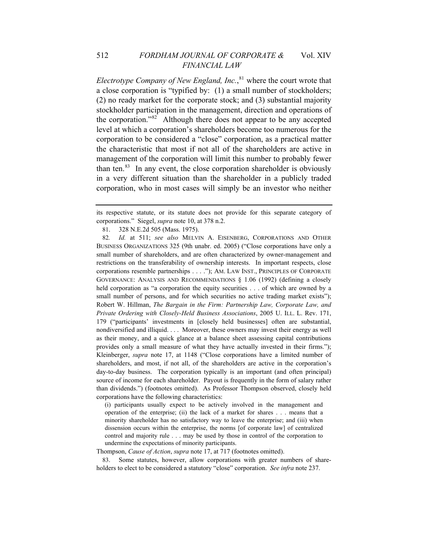*Electrotype Company of New England, Inc.*, [81](#page-22-0) where the court wrote that a close corporation is "typified by: (1) a small number of stockholders; (2) no ready market for the corporate stock; and (3) substantial majority stockholder participation in the management, direction and operations of the corporation."<sup>[82](#page-22-1)</sup> Although there does not appear to be any accepted level at which a corporation's shareholders become too numerous for the corporation to be considered a "close" corporation, as a practical matter the characteristic that most if not all of the shareholders are active in management of the corporation will limit this number to probably fewer than ten. $83$  In any event, the close corporation shareholder is obviously in a very different situation than the shareholder in a publicly traded corporation, who in most cases will simply be an investor who neither

81. 328 N.E.2d 505 (Mass. 1975).

<span id="page-22-1"></span><span id="page-22-0"></span>82*. Id.* at 511; *see also* MELVIN A. EISENBERG, CORPORATIONS AND OTHER BUSINESS ORGANIZATIONS 325 (9th unabr. ed. 2005) ("Close corporations have only a small number of shareholders, and are often characterized by owner-management and restrictions on the transferability of ownership interests. In important respects, close corporations resemble partnerships . . . ."); AM. LAW INST., PRINCIPLES OF CORPORATE GOVERNANCE: ANALYSIS AND RECOMMENDATIONS § 1.06 (1992) (defining a closely held corporation as "a corporation the equity securities . . . of which are owned by a small number of persons, and for which securities no active trading market exists"); Robert W. Hillman, *The Bargain in the Firm: Partnership Law, Corporate Law, and Private Ordering with Closely-Held Business Associations*, 2005 U. ILL. L. Rev. 171, 179 ("participants' investments in [closely held businesses] often are substantial, nondiversified and illiquid. . . . Moreover, these owners may invest their energy as well as their money, and a quick glance at a balance sheet assessing capital contributions provides only a small measure of what they have actually invested in their firms."); Kleinberger, *supra* note 17, at 1148 ("Close corporations have a limited number of shareholders, and most, if not all, of the shareholders are active in the corporation's day-to-day business. The corporation typically is an important (and often principal) source of income for each shareholder. Payout is frequently in the form of salary rather than dividends.") (footnotes omitted). As Professor Thompson observed, closely held corporations have the following characteristics:

(i) participants usually expect to be actively involved in the management and operation of the enterprise; (ii) the lack of a market for shares . . . means that a minority shareholder has no satisfactory way to leave the enterprise; and (iii) when dissension occurs within the enterprise, the norms [of corporate law] of centralized control and majority rule . . . may be used by those in control of the corporation to undermine the expectations of minority participants.

Thompson, *Cause of Action*, *supra* note 17, at 717 (footnotes omitted).

<span id="page-22-2"></span>83. Some statutes, however, allow corporations with greater numbers of shareholders to elect to be considered a statutory "close" corporation. *See infra* note 237.

its respective statute, or its statute does not provide for this separate category of corporations." Siegel, *supra* note 10, at 378 n.2.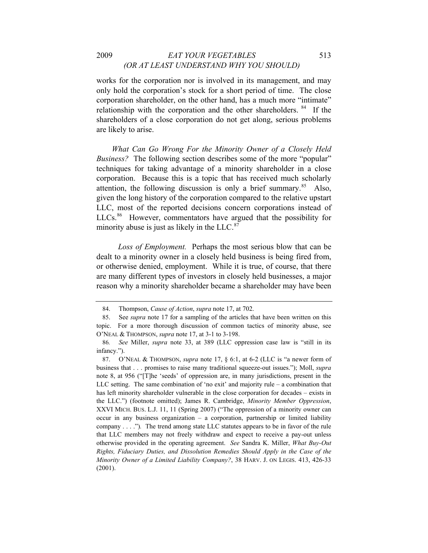works for the corporation nor is involved in its management, and may only hold the corporation's stock for a short period of time. The close corporation shareholder, on the other hand, has a much more "intimate" relationship with the corporation and the other shareholders. <sup>[84](#page-23-0)</sup> If the shareholders of a close corporation do not get along, serious problems are likely to arise.

*What Can Go Wrong For the Minority Owner of a Closely Held Business?* The following section describes some of the more "popular" techniques for taking advantage of a minority shareholder in a close corporation. Because this is a topic that has received much scholarly attention, the following discussion is only a brief summary. $85$  Also, given the long history of the corporation compared to the relative upstart LLC, most of the reported decisions concern corporations instead of LLCs.<sup>[86](#page-23-2)</sup> However, commentators have argued that the possibility for minority abuse is just as likely in the LLC. $87$ 

 *Loss of Employment.* Perhaps the most serious blow that can be dealt to a minority owner in a closely held business is being fired from, or otherwise denied, employment. While it is true, of course, that there are many different types of investors in closely held businesses, a major reason why a minority shareholder became a shareholder may have been

<sup>84.</sup> Thompson, *Cause of Action*, *supra* note 17, at 702.

<span id="page-23-1"></span><span id="page-23-0"></span><sup>85.</sup> See *supra* note 17 for a sampling of the articles that have been written on this topic. For a more thorough discussion of common tactics of minority abuse, see O'NEAL & THOMPSON, *supra* note 17, at 3-1 to 3-198.

<span id="page-23-2"></span><sup>86</sup>*. See* Miller, *supra* note 33, at 389 (LLC oppression case law is "still in its infancy.").

<span id="page-23-3"></span><sup>87.</sup> O'NEAL & THOMPSON, *supra* note 17, § 6:1, at 6-2 (LLC is "a newer form of business that . . . promises to raise many traditional squeeze-out issues."); Moll, *supra* note 8, at 956 ("[T]he 'seeds' of oppression are, in many jurisdictions, present in the LLC setting. The same combination of 'no exit' and majority rule – a combination that has left minority shareholder vulnerable in the close corporation for decades – exists in the LLC.") (footnote omitted); James R. Cambridge, *Minority Member Oppression*, XXVI MICH. BUS. L.J. 11, 11 (Spring 2007) ("The oppression of a minority owner can occur in any business organization – a corporation, partnership or limited liability company . . . .")*.* The trend among state LLC statutes appears to be in favor of the rule that LLC members may not freely withdraw and expect to receive a pay-out unless otherwise provided in the operating agreement. *See* Sandra K. Miller, *What Buy-Out Rights, Fiduciary Duties, and Dissolution Remedies Should Apply in the Case of the Minority Owner of a Limited Liability Company?*, 38 HARV. J. ON LEGIS. 413, 426-33 (2001).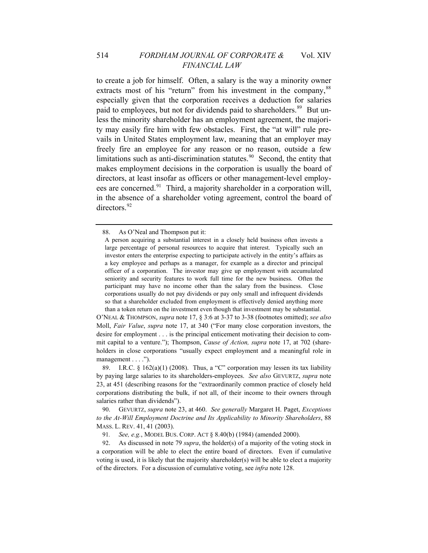to create a job for himself. Often, a salary is the way a minority owner extracts most of his "return" from his investment in the company,<sup>[88](#page-24-0)</sup> especially given that the corporation receives a deduction for salaries paid to employees, but not for dividends paid to shareholders.<sup>[89](#page-24-1)</sup> But unless the minority shareholder has an employment agreement, the majority may easily fire him with few obstacles. First, the "at will" rule prevails in United States employment law, meaning that an employer may freely fire an employee for any reason or no reason, outside a few limitations such as anti-discrimination statutes.<sup>[90](#page-24-2)</sup> Second, the entity that makes employment decisions in the corporation is usually the board of directors, at least insofar as officers or other management-level employ-ees are concerned.<sup>[91](#page-24-3)</sup> Third, a majority shareholder in a corporation will, in the absence of a shareholder voting agreement, control the board of directors.<sup>[92](#page-24-4)</sup>

O'NEAL & THOMPSON, *supra* note 17, § 3:6 at 3-37 to 3-38 (footnotes omitted); *see also*  Moll, *Fair Value*, *supra* note 17, at 340 ("For many close corporation investors, the desire for employment . . . is the principal enticement motivating their decision to commit capital to a venture."); Thompson, *Cause of Action, supra* note 17, at 702 (shareholders in close corporations "usually expect employment and a meaningful role in management . . . .").

<span id="page-24-1"></span>89. I.R.C. §  $162(a)(1)$  (2008). Thus, a "C" corporation may lessen its tax liability by paying large salaries to its shareholders-employees. *See also* GEVURTZ, *supra* note 23, at 451 (describing reasons for the "extraordinarily common practice of closely held corporations distributing the bulk, if not all, of their income to their owners through salaries rather than dividends").

<span id="page-24-2"></span>90. GEVURTZ, *supra* note 23, at 460. *See generally* Margaret H. Paget, *Exceptions to the At-Will Employment Doctrine and Its Applicability to Minority Shareholders*, 88 MASS. L. REV. 41, 41 (2003).

91*. See, e.g.*, MODEL BUS. CORP. ACT § 8.40(b) (1984) (amended 2000).

<span id="page-24-4"></span><span id="page-24-3"></span>92. As discussed in note 79 *supra*, the holder(s) of a majority of the voting stock in a corporation will be able to elect the entire board of directors. Even if cumulative voting is used, it is likely that the majority shareholder(s) will be able to elect a majority of the directors. For a discussion of cumulative voting, see *infra* note 128.

<span id="page-24-0"></span><sup>88.</sup> As O'Neal and Thompson put it:

A person acquiring a substantial interest in a closely held business often invests a large percentage of personal resources to acquire that interest. Typically such an investor enters the enterprise expecting to participate actively in the entity's affairs as a key employee and perhaps as a manager, for example as a director and principal officer of a corporation. The investor may give up employment with accumulated seniority and security features to work full time for the new business. Often the participant may have no income other than the salary from the business. Close corporations usually do not pay dividends or pay only small and infrequent dividends so that a shareholder excluded from employment is effectively denied anything more than a token return on the investment even though that investment may be substantial.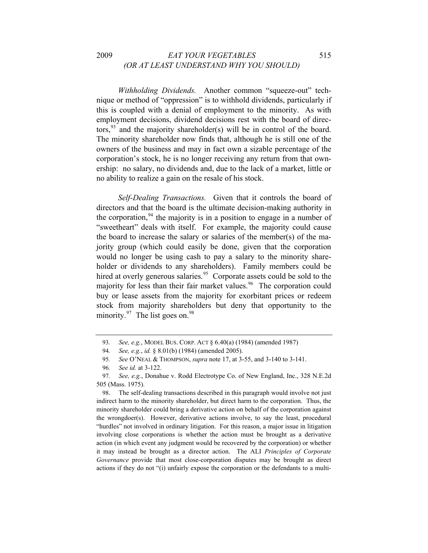*Withholding Dividends.* Another common "squeeze-out" technique or method of "oppression" is to withhold dividends, particularly if this is coupled with a denial of employment to the minority. As with employment decisions, dividend decisions rest with the board of directors,  $93$  and the majority shareholder(s) will be in control of the board. The minority shareholder now finds that, although he is still one of the owners of the business and may in fact own a sizable percentage of the corporation's stock, he is no longer receiving any return from that ownership: no salary, no dividends and, due to the lack of a market, little or no ability to realize a gain on the resale of his stock.

 *Self-Dealing Transactions.* Given that it controls the board of directors and that the board is the ultimate decision-making authority in the corporation,  $94$  the majority is in a position to engage in a number of "sweetheart" deals with itself. For example, the majority could cause the board to increase the salary or salaries of the member(s) of the majority group (which could easily be done, given that the corporation would no longer be using cash to pay a salary to the minority shareholder or dividends to any shareholders). Family members could be hired at overly generous salaries.<sup>[95](#page-25-2)</sup> Corporate assets could be sold to the majority for less than their fair market values.<sup>[96](#page-25-3)</sup> The corporation could buy or lease assets from the majority for exorbitant prices or redeem stock from majority shareholders but deny that opportunity to the minority. $97$  The list goes on.  $98$ 

<sup>93</sup>*. See, e.g.*, MODEL BUS. CORP. ACT § 6.40(a) (1984) (amended 1987)

<sup>94</sup>*. See, e.g.*, *id.* § 8.01(b) (1984) (amended 2005).

<sup>95</sup>*. See* O'NEAL & THOMPSON, *supra* note 17, at 3-55, and 3-140 to 3-141.

<sup>96</sup>*. See id.* at 3-122.

<span id="page-25-4"></span><span id="page-25-3"></span><span id="page-25-2"></span><span id="page-25-1"></span><span id="page-25-0"></span><sup>97</sup>*. See, e.g.*, Donahue v. Rodd Electrotype Co. of New England, Inc., 328 N.E.2d 505 (Mass. 1975).

<span id="page-25-5"></span><sup>98.</sup> The self-dealing transactions described in this paragraph would involve not just indirect harm to the minority shareholder, but direct harm to the corporation. Thus, the minority shareholder could bring a derivative action on behalf of the corporation against the wrongdoer(s). However, derivative actions involve, to say the least, procedural "hurdles" not involved in ordinary litigation. For this reason, a major issue in litigation involving close corporations is whether the action must be brought as a derivative action (in which event any judgment would be recovered by the corporation) or whether it may instead be brought as a director action. The ALI *Principles of Corporate Governance* provide that most close-corporation disputes may be brought as direct actions if they do not "(i) unfairly expose the corporation or the defendants to a multi-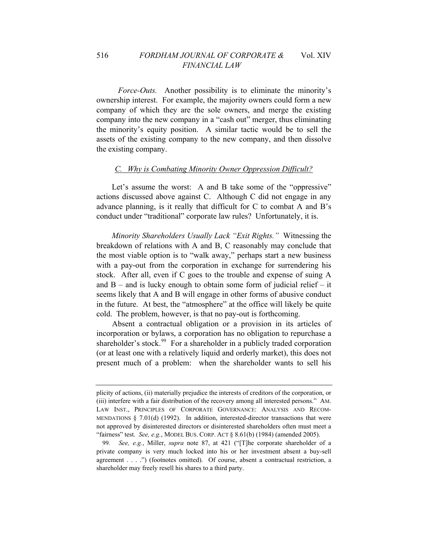*Force-Outs.* Another possibility is to eliminate the minority's ownership interest. For example, the majority owners could form a new company of which they are the sole owners, and merge the existing company into the new company in a "cash out" merger, thus eliminating the minority's equity position. A similar tactic would be to sell the assets of the existing company to the new company, and then dissolve the existing company.

#### *C. Why is Combating Minority Owner Oppression Difficult?*

Let's assume the worst: A and B take some of the "oppressive" actions discussed above against C. Although C did not engage in any advance planning, is it really that difficult for C to combat A and B's conduct under "traditional" corporate law rules? Unfortunately, it is.

*Minority Shareholders Usually Lack "Exit Rights."* Witnessing the breakdown of relations with A and B, C reasonably may conclude that the most viable option is to "walk away," perhaps start a new business with a pay-out from the corporation in exchange for surrendering his stock. After all, even if C goes to the trouble and expense of suing A and  $B$  – and is lucky enough to obtain some form of judicial relief – it seems likely that A and B will engage in other forms of abusive conduct in the future. At best, the "atmosphere" at the office will likely be quite cold. The problem, however, is that no pay-out is forthcoming.

Absent a contractual obligation or a provision in its articles of incorporation or bylaws, a corporation has no obligation to repurchase a shareholder's stock.<sup>[99](#page-26-0)</sup> For a shareholder in a publicly traded corporation (or at least one with a relatively liquid and orderly market), this does not present much of a problem: when the shareholder wants to sell his

plicity of actions, (ii) materially prejudice the interests of creditors of the corporation, or (iii) interfere with a fair distribution of the recovery among all interested persons." AM. LAW INST., PRINCIPLES OF CORPORATE GOVERNANCE: ANALYSIS AND RECOM-MENDATIONS  $\S$  7.01(d) (1992). In addition, interested-director transactions that were not approved by disinterested directors or disinterested shareholders often must meet a "fairness" test. *See, e.g.*, MODEL BUS. CORP. ACT § 8.61(b) (1984) (amended 2005).

<span id="page-26-0"></span><sup>99</sup>*. See, e.g.*, Miller, *supra* note 87, at 421 ("[T]he corporate shareholder of a private company is very much locked into his or her investment absent a buy-sell agreement . . . .") (footnotes omitted). Of course, absent a contractual restriction, a shareholder may freely resell his shares to a third party.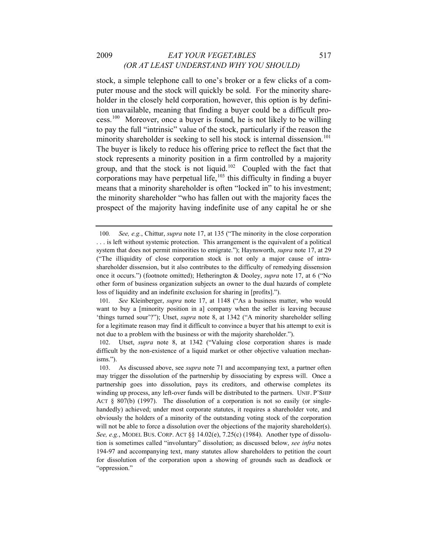#### 2009 *EAT YOUR VEGETABLES* 517 *(OR AT LEAST UNDERSTAND WHY YOU SHOULD)*

stock, a simple telephone call to one's broker or a few clicks of a computer mouse and the stock will quickly be sold. For the minority shareholder in the closely held corporation, however, this option is by definition unavailable, meaning that finding a buyer could be a difficult process.[100](#page-27-0) Moreover, once a buyer is found, he is not likely to be willing to pay the full "intrinsic" value of the stock, particularly if the reason the minority shareholder is seeking to sell his stock is internal dissension.<sup>[101](#page-27-1)</sup> The buyer is likely to reduce his offering price to reflect the fact that the stock represents a minority position in a firm controlled by a majority group, and that the stock is not liquid.<sup>[102](#page-27-2)</sup> Coupled with the fact that corporations may have perpetual life, $103$  this difficulty in finding a buyer means that a minority shareholder is often "locked in" to his investment; the minority shareholder "who has fallen out with the majority faces the prospect of the majority having indefinite use of any capital he or she

<span id="page-27-0"></span><sup>100</sup>*. See, e.g.*, Chittur, *supra* note 17, at 135 ("The minority in the close corporation . . . is left without systemic protection. This arrangement is the equivalent of a political system that does not permit minorities to emigrate."); Haynsworth, *supra* note 17, at 29 ("The illiquidity of close corporation stock is not only a major cause of intrashareholder dissension, but it also contributes to the difficulty of remedying dissension once it occurs.") (footnote omitted); Hetherington & Dooley, *supra* note 17, at 6 ("No other form of business organization subjects an owner to the dual hazards of complete loss of liquidity and an indefinite exclusion for sharing in [profits].").

<span id="page-27-1"></span><sup>101</sup>*. See* Kleinberger, *supra* note 17, at 1148 ("As a business matter, who would want to buy a [minority position in a] company when the seller is leaving because 'things turned sour'?"); Utset, *supra* note 8, at 1342 ("A minority shareholder selling for a legitimate reason may find it difficult to convince a buyer that his attempt to exit is not due to a problem with the business or with the majority shareholder.").

<span id="page-27-2"></span><sup>102.</sup> Utset, *supra* note 8, at 1342 ("Valuing close corporation shares is made difficult by the non-existence of a liquid market or other objective valuation mechanisms.").

<span id="page-27-3"></span><sup>103.</sup> As discussed above, see *supra* note 71 and accompanying text, a partner often may trigger the dissolution of the partnership by dissociating by express will. Once a partnership goes into dissolution, pays its creditors, and otherwise completes its winding up process, any left-over funds will be distributed to the partners. UNIF. P'SHIP ACT  $\S$  807(b) (1997). The dissolution of a corporation is not so easily (or singlehandedly) achieved; under most corporate statutes, it requires a shareholder vote, and obviously the holders of a minority of the outstanding voting stock of the corporation will not be able to force a dissolution over the objections of the majority shareholder(s). *See, e.g.*, MODEL BUS. CORP. ACT §§ 14.02(e), 7.25(c) (1984). Another type of dissolution is sometimes called "involuntary" dissolution; as discussed below, *see infra* notes 194-97 and accompanying text, many statutes allow shareholders to petition the court for dissolution of the corporation upon a showing of grounds such as deadlock or "oppression."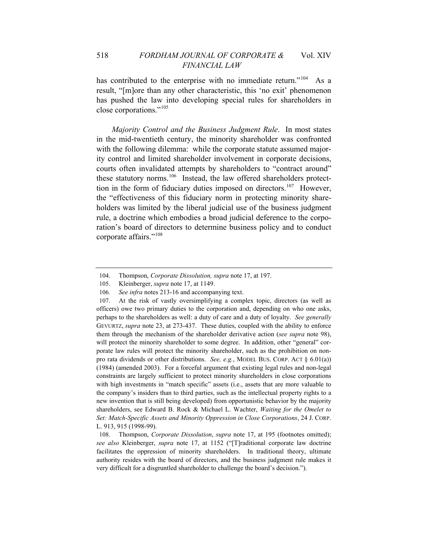has contributed to the enterprise with no immediate return."<sup>[104](#page-28-0)</sup> As a result, "[m]ore than any other characteristic, this 'no exit' phenomenon has pushed the law into developing special rules for shareholders in close corporations."[105](#page-28-1)

*Majority Control and the Business Judgment Rule*. In most states in the mid-twentieth century, the minority shareholder was confronted with the following dilemma: while the corporate statute assumed majority control and limited shareholder involvement in corporate decisions, courts often invalidated attempts by shareholders to "contract around" these statutory norms.<sup>[106](#page-28-2)</sup> Instead, the law offered shareholders protect-tion in the form of fiduciary duties imposed on directors.<sup>[107](#page-28-3)</sup> However, the "effectiveness of this fiduciary norm in protecting minority shareholders was limited by the liberal judicial use of the business judgment rule, a doctrine which embodies a broad judicial deference to the corporation's board of directors to determine business policy and to conduct corporate affairs."[108](#page-28-4)

<sup>104.</sup> Thompson, *Corporate Dissolution, supra* note 17, at 197.

<sup>105.</sup> Kleinberger, *supra* note 17, at 1149.

<sup>106</sup>*. See infra* notes 213-16 and accompanying text.

<span id="page-28-3"></span><span id="page-28-2"></span><span id="page-28-1"></span><span id="page-28-0"></span><sup>107.</sup> At the risk of vastly oversimplifying a complex topic, directors (as well as officers) owe two primary duties to the corporation and, depending on who one asks, perhaps to the shareholders as well: a duty of care and a duty of loyalty. *See generally* GEVURTZ, *supra* note 23, at 273-437. These duties, coupled with the ability to enforce them through the mechanism of the shareholder derivative action (*see supra* note 98), will protect the minority shareholder to some degree. In addition, other "general" corporate law rules will protect the minority shareholder, such as the prohibition on nonpro rata dividends or other distributions. *See, e.g.*, MODEL BUS. CORP. ACT § 6.01(a)) (1984) (amended 2003). For a forceful argument that existing legal rules and non-legal constraints are largely sufficient to protect minority shareholders in close corporations with high investments in "match specific" assets (i.e., assets that are more valuable to the company's insiders than to third parties, such as the intellectual property rights to a new invention that is still being developed) from opportunistic behavior by the majority shareholders, see Edward B. Rock & Michael L. Wachter, *Waiting for the Omelet to Set: Match-Specific Assets and Minority Oppression in Close Corporations*, 24 J. CORP. L. 913, 915 (1998-99).

<span id="page-28-4"></span><sup>108.</sup> Thompson, *Corporate Dissolution*, *supra* note 17, at 195 (footnotes omitted); *see also* Kleinberger, *supra* note 17, at 1152 ("[T]raditional corporate law doctrine facilitates the oppression of minority shareholders. In traditional theory, ultimate authority resides with the board of directors, and the business judgment rule makes it very difficult for a disgruntled shareholder to challenge the board's decision.").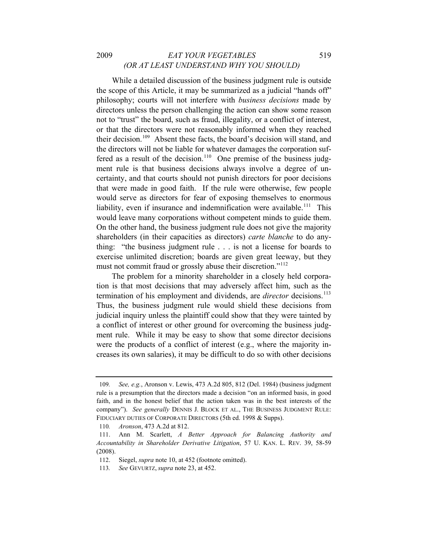#### 2009 *EAT YOUR VEGETABLES* 519 *(OR AT LEAST UNDERSTAND WHY YOU SHOULD)*

While a detailed discussion of the business judgment rule is outside the scope of this Article, it may be summarized as a judicial "hands off" philosophy; courts will not interfere with *business decisions* made by directors unless the person challenging the action can show some reason not to "trust" the board, such as fraud, illegality, or a conflict of interest, or that the directors were not reasonably informed when they reached their decision.<sup>[109](#page-29-0)</sup> Absent these facts, the board's decision will stand, and the directors will not be liable for whatever damages the corporation suf-fered as a result of the decision.<sup>[110](#page-29-1)</sup> One premise of the business judgment rule is that business decisions always involve a degree of uncertainty, and that courts should not punish directors for poor decisions that were made in good faith. If the rule were otherwise, few people would serve as directors for fear of exposing themselves to enormous liability, even if insurance and indemnification were available.<sup>[111](#page-29-2)</sup> This would leave many corporations without competent minds to guide them. On the other hand, the business judgment rule does not give the majority shareholders (in their capacities as directors) *carte blanche* to do anything: "the business judgment rule . . . is not a license for boards to exercise unlimited discretion; boards are given great leeway, but they must not commit fraud or grossly abuse their discretion."<sup>[112](#page-29-3)</sup>

The problem for a minority shareholder in a closely held corporation is that most decisions that may adversely affect him, such as the termination of his employment and dividends, are *director* decisions.<sup>[113](#page-29-4)</sup> Thus, the business judgment rule would shield these decisions from judicial inquiry unless the plaintiff could show that they were tainted by a conflict of interest or other ground for overcoming the business judgment rule. While it may be easy to show that some director decisions were the products of a conflict of interest (e.g., where the majority increases its own salaries), it may be difficult to do so with other decisions

<span id="page-29-0"></span><sup>109</sup>*. See, e.g.*, Aronson v. Lewis, 473 A.2d 805, 812 (Del. 1984) (business judgment rule is a presumption that the directors made a decision "on an informed basis, in good faith, and in the honest belief that the action taken was in the best interests of the company"). *See generally* DENNIS J. BLOCK ET AL., THE BUSINESS JUDGMENT RULE: FIDUCIARY DUTIES OF CORPORATE DIRECTORS (5th ed. 1998 & Supps).

<sup>110</sup>*. Aronson*, 473 A.2d at 812.

<span id="page-29-2"></span><span id="page-29-1"></span><sup>111.</sup> Ann M. Scarlett, *A Better Approach for Balancing Authority and Accountability in Shareholder Derivative Litigation*, 57 U. KAN. L. REV. 39, 58-59 (2008).

<span id="page-29-4"></span><span id="page-29-3"></span><sup>112.</sup> Siegel, *supra* note 10, at 452 (footnote omitted).

<sup>113</sup>*. See* GEVURTZ, *supra* note 23, at 452.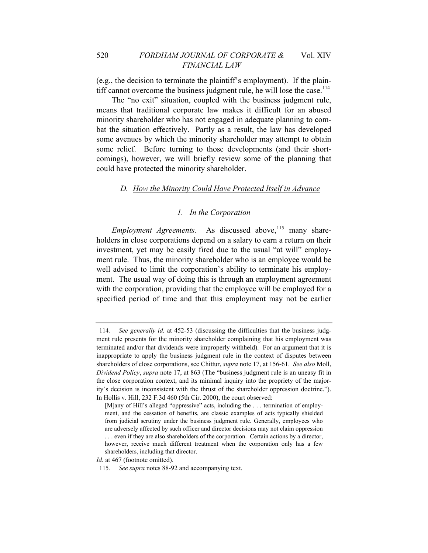(e.g., the decision to terminate the plaintiff's employment). If the plain-tiff cannot overcome the business judgment rule, he will lose the case.<sup>[114](#page-30-0)</sup>

The "no exit" situation, coupled with the business judgment rule, means that traditional corporate law makes it difficult for an abused minority shareholder who has not engaged in adequate planning to combat the situation effectively. Partly as a result, the law has developed some avenues by which the minority shareholder may attempt to obtain some relief. Before turning to those developments (and their shortcomings), however, we will briefly review some of the planning that could have protected the minority shareholder.

#### *D. How the Minority Could Have Protected Itself in Advance*

#### *1. In the Corporation*

*Employment Agreements.* As discussed above,<sup>[115](#page-30-1)</sup> many shareholders in close corporations depend on a salary to earn a return on their investment, yet may be easily fired due to the usual "at will" employment rule. Thus, the minority shareholder who is an employee would be well advised to limit the corporation's ability to terminate his employment. The usual way of doing this is through an employment agreement with the corporation, providing that the employee will be employed for a specified period of time and that this employment may not be earlier

<span id="page-30-0"></span><sup>114</sup>*. See generally id.* at 452-53 (discussing the difficulties that the business judgment rule presents for the minority shareholder complaining that his employment was terminated and/or that dividends were improperly withheld). For an argument that it is inappropriate to apply the business judgment rule in the context of disputes between shareholders of close corporations, see Chittur, *supra* note 17, at 156-61. *See also* Moll, *Dividend Policy*, *supra* note 17, at 863 (The "business judgment rule is an uneasy fit in the close corporation context, and its minimal inquiry into the propriety of the majority's decision is inconsistent with the thrust of the shareholder oppression doctrine."). In Hollis v. Hill, 232 F.3d 460 (5th Cir. 2000), the court observed:

<sup>[</sup>M]any of Hill's alleged "oppressive" acts, including the . . . termination of employment, and the cessation of benefits, are classic examples of acts typically shielded from judicial scrutiny under the business judgment rule. Generally, employees who are adversely affected by such officer and director decisions may not claim oppression . . . even if they are also shareholders of the corporation. Certain actions by a director, however, receive much different treatment when the corporation only has a few shareholders, including that director.

<span id="page-30-1"></span>*Id.* at 467 (footnote omitted).

<sup>115</sup>*. See supra* notes 88-92 and accompanying text.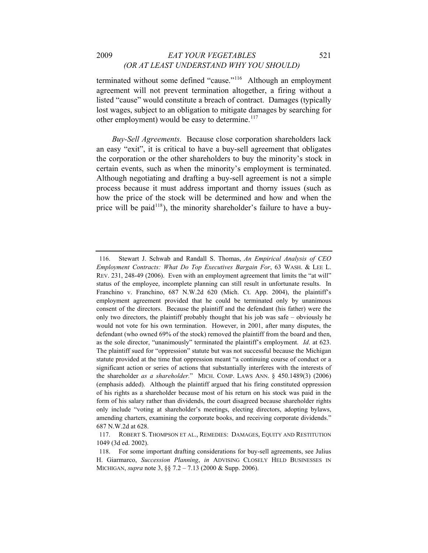#### 2009 *EAT YOUR VEGETABLES* 521 *(OR AT LEAST UNDERSTAND WHY YOU SHOULD)*

terminated without some defined "cause."[116](#page-31-0) Although an employment agreement will not prevent termination altogether, a firing without a listed "cause" would constitute a breach of contract. Damages (typically lost wages, subject to an obligation to mitigate damages by searching for other employment) would be easy to determine. $117$ 

*Buy-Sell Agreements.* Because close corporation shareholders lack an easy "exit", it is critical to have a buy-sell agreement that obligates the corporation or the other shareholders to buy the minority's stock in certain events, such as when the minority's employment is terminated. Although negotiating and drafting a buy-sell agreement is not a simple process because it must address important and thorny issues (such as how the price of the stock will be determined and how and when the price will be paid<sup>[118](#page-31-2)</sup>), the minority shareholder's failure to have a buy-

<span id="page-31-0"></span><sup>116.</sup> Stewart J. Schwab and Randall S. Thomas, *An Empirical Analysis of CEO Employment Contracts: What Do Top Executives Bargain For*, 63 WASH. & LEE L. REV. 231, 248-49 (2006). Even with an employment agreement that limits the "at will" status of the employee, incomplete planning can still result in unfortunate results. In Franchino v. Franchino, 687 N.W.2d 620 (Mich. Ct. App. 2004), the plaintiff's employment agreement provided that he could be terminated only by unanimous consent of the directors. Because the plaintiff and the defendant (his father) were the only two directors, the plaintiff probably thought that his job was safe – obviously he would not vote for his own termination. However, in 2001, after many disputes, the defendant (who owned 69% of the stock) removed the plaintiff from the board and then, as the sole director, "unanimously" terminated the plaintiff's employment. *Id*. at 623. The plaintiff sued for "oppression" statute but was not successful because the Michigan statute provided at the time that oppression meant "a continuing course of conduct or a significant action or series of actions that substantially interferes with the interests of the shareholder *as a shareholder.*" MICH. COMP. LAWS ANN. § 450.1489(3) (2006) (emphasis added). Although the plaintiff argued that his firing constituted oppression of his rights as a shareholder because most of his return on his stock was paid in the form of his salary rather than dividends, the court disagreed because shareholder rights only include "voting at shareholder's meetings, electing directors, adopting bylaws, amending charters, examining the corporate books, and receiving corporate dividends." 687 N.W.2d at 628.

<span id="page-31-1"></span><sup>117.</sup> ROBERT S. THOMPSON ET AL., REMEDIES: DAMAGES, EQUITY AND RESTITUTION 1049 (3d ed. 2002).

<span id="page-31-2"></span><sup>118.</sup> For some important drafting considerations for buy-sell agreements, see Julius H. Giarmarco, *Succession Planning*, *in* ADVISING CLOSELY HELD BUSINESSES IN MICHIGAN, *supra* note 3, §§ 7.2 – 7.13 (2000 & Supp. 2006).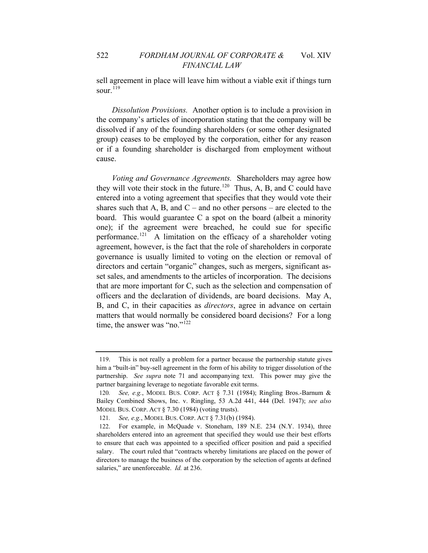sell agreement in place will leave him without a viable exit if things turn sour. $119$ 

*Dissolution Provisions.* Another option is to include a provision in the company's articles of incorporation stating that the company will be dissolved if any of the founding shareholders (or some other designated group) ceases to be employed by the corporation, either for any reason or if a founding shareholder is discharged from employment without cause.

*Voting and Governance Agreements.* Shareholders may agree how they will vote their stock in the future.<sup>[120](#page-32-1)</sup> Thus, A, B, and C could have entered into a voting agreement that specifies that they would vote their shares such that A, B, and  $C$  – and no other persons – are elected to the board. This would guarantee C a spot on the board (albeit a minority one); if the agreement were breached, he could sue for specific performance.<sup>[121](#page-32-2)</sup> A limitation on the efficacy of a shareholder voting agreement, however, is the fact that the role of shareholders in corporate governance is usually limited to voting on the election or removal of directors and certain "organic" changes, such as mergers, significant asset sales, and amendments to the articles of incorporation. The decisions that are more important for C, such as the selection and compensation of officers and the declaration of dividends, are board decisions. May A, B, and C, in their capacities as *directors*, agree in advance on certain matters that would normally be considered board decisions? For a long time, the answer was "no."<sup>[122](#page-32-3)</sup>

<span id="page-32-0"></span><sup>119.</sup> This is not really a problem for a partner because the partnership statute gives him a "built-in" buy-sell agreement in the form of his ability to trigger dissolution of the partnership. *See supra* note 71 and accompanying text. This power may give the partner bargaining leverage to negotiate favorable exit terms.

<span id="page-32-1"></span><sup>120</sup>*. See, e.g.*, MODEL BUS. CORP. ACT § 7.31 (1984); Ringling Bros.-Barnum & Bailey Combined Shows, Inc. v. Ringling, 53 A.2d 441, 444 (Del. 1947); *see also* MODEL BUS. CORP. ACT § 7.30 (1984) (voting trusts).

<sup>121</sup>*. See, e.g.*, MODEL BUS. CORP. ACT § 7.31(b) (1984).

<span id="page-32-3"></span><span id="page-32-2"></span><sup>122.</sup> For example, in McQuade v. Stoneham, 189 N.E. 234 (N.Y. 1934), three shareholders entered into an agreement that specified they would use their best efforts to ensure that each was appointed to a specified officer position and paid a specified salary. The court ruled that "contracts whereby limitations are placed on the power of directors to manage the business of the corporation by the selection of agents at defined salaries," are unenforceable. *Id.* at 236.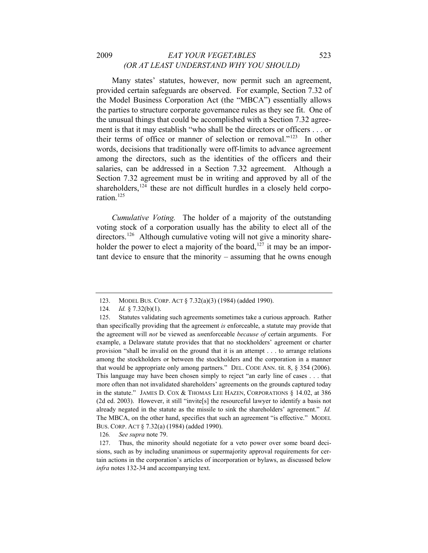#### 2009 *EAT YOUR VEGETABLES* 523 *(OR AT LEAST UNDERSTAND WHY YOU SHOULD)*

Many states' statutes, however, now permit such an agreement, provided certain safeguards are observed. For example, Section 7.32 of the Model Business Corporation Act (the "MBCA") essentially allows the parties to structure corporate governance rules as they see fit. One of the unusual things that could be accomplished with a Section 7.32 agreement is that it may establish "who shall be the directors or officers . . . or their terms of office or manner of selection or removal."[123](#page-33-0) In other words, decisions that traditionally were off-limits to advance agreement among the directors, such as the identities of the officers and their salaries, can be addressed in a Section 7.32 agreement. Although a Section 7.32 agreement must be in writing and approved by all of the shareholders,  $124$  these are not difficult hurdles in a closely held corpo-ration<sup>[125](#page-33-2)</sup>

*Cumulative Voting.* The holder of a majority of the outstanding voting stock of a corporation usually has the ability to elect all of the directors.<sup>[126](#page-33-3)</sup> Although cumulative voting will not give a minority share-holder the power to elect a majority of the board,<sup>[127](#page-33-4)</sup> it may be an important device to ensure that the minority – assuming that he owns enough

126*. See supra* note 79.

<sup>123.</sup> MODEL BUS. CORP. ACT § 7.32(a)(3) (1984) (added 1990).

<sup>124</sup>*. Id.* § 7.32(b)(1).

<span id="page-33-2"></span><span id="page-33-1"></span><span id="page-33-0"></span><sup>125.</sup> Statutes validating such agreements sometimes take a curious approach. Rather than specifically providing that the agreement *is* enforceable, a statute may provide that the agreement will *not* be viewed as *un*enforceable *because of* certain arguments. For example, a Delaware statute provides that that no stockholders' agreement or charter provision "shall be invalid on the ground that it is an attempt . . . to arrange relations among the stockholders or between the stockholders and the corporation in a manner that would be appropriate only among partners." DEL. CODE ANN. tit. 8, § 354 (2006). This language may have been chosen simply to reject "an early line of cases . . . that more often than not invalidated shareholders' agreements on the grounds captured today in the statute." JAMES D. COX & THOMAS LEE HAZEN, CORPORATIONS  $\S$  14.02, at 386 (2d ed. 2003). However, it still "invite[s] the resourceful lawyer to identify a basis not already negated in the statute as the missile to sink the shareholders' agreement." *Id.* The MBCA, on the other hand, specifies that such an agreement "is effective." MODEL BUS. CORP. ACT § 7.32(a) (1984) (added 1990).

<span id="page-33-4"></span><span id="page-33-3"></span><sup>127.</sup> Thus, the minority should negotiate for a veto power over some board decisions, such as by including unanimous or supermajority approval requirements for certain actions in the corporation's articles of incorporation or bylaws, as discussed below *infra* notes 132-34 and accompanying text.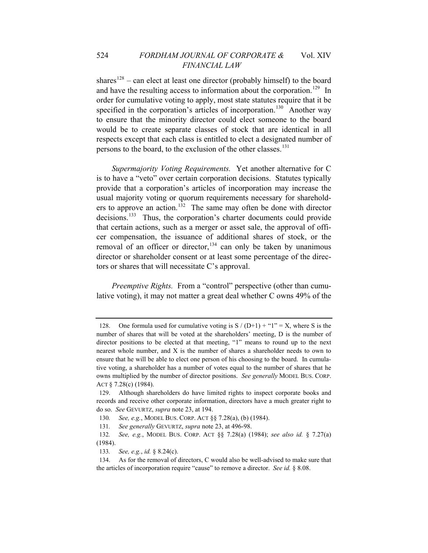shares<sup>[128](#page-34-0)</sup> – can elect at least one director (probably himself) to the board and have the resulting access to information about the corporation.<sup>[129](#page-34-1)</sup> In order for cumulative voting to apply, most state statutes require that it be specified in the corporation's articles of incorporation.<sup>[130](#page-34-2)</sup> Another way to ensure that the minority director could elect someone to the board would be to create separate classes of stock that are identical in all respects except that each class is entitled to elect a designated number of persons to the board, to the exclusion of the other classes.<sup>[131](#page-34-3)</sup>

*Supermajority Voting Requirements.* Yet another alternative for C is to have a "veto" over certain corporation decisions. Statutes typically provide that a corporation's articles of incorporation may increase the usual majority voting or quorum requirements necessary for sharehold-ers to approve an action.<sup>[132](#page-34-4)</sup> The same may often be done with director decisions.<sup>[133](#page-34-5)</sup> Thus, the corporation's charter documents could provide that certain actions, such as a merger or asset sale, the approval of officer compensation, the issuance of additional shares of stock, or the removal of an officer or director,  $134$  can only be taken by unanimous director or shareholder consent or at least some percentage of the directors or shares that will necessitate C's approval.

*Preemptive Rights.* From a "control" perspective (other than cumulative voting), it may not matter a great deal whether C owns 49% of the

<span id="page-34-0"></span><sup>128.</sup> One formula used for cumulative voting is  $S / (D+1) + "1" = X$ , where S is the number of shares that will be voted at the shareholders' meeting, D is the number of director positions to be elected at that meeting, "1" means to round up to the next nearest whole number, and X is the number of shares a shareholder needs to own to ensure that he will be able to elect one person of his choosing to the board. In cumulative voting, a shareholder has a number of votes equal to the number of shares that he owns multiplied by the number of director positions. *See generally* MODEL BUS. CORP. ACT § 7.28(c) (1984).

<span id="page-34-1"></span><sup>129.</sup> Although shareholders do have limited rights to inspect corporate books and records and receive other corporate information, directors have a much greater right to do so. *See* GEVURTZ, *supra* note 23, at 194.

<sup>130</sup>*. See, e.g.*, MODEL BUS. CORP. ACT §§ 7.28(a), (b) (1984).

<sup>131</sup>*. See generally* GEVURTZ, *supra* note 23, at 496-98.

<span id="page-34-4"></span><span id="page-34-3"></span><span id="page-34-2"></span><sup>132</sup>*. See, e.g.*, MODEL BUS. CORP. ACT §§ 7.28(a) (1984); *see also id.* § 7.27(a) (1984).

<sup>133</sup>*. See, e.g.*, *id.* § 8.24(c).

<span id="page-34-6"></span><span id="page-34-5"></span><sup>134.</sup> As for the removal of directors, C would also be well-advised to make sure that the articles of incorporation require "cause" to remove a director. *See id.* § 8.08.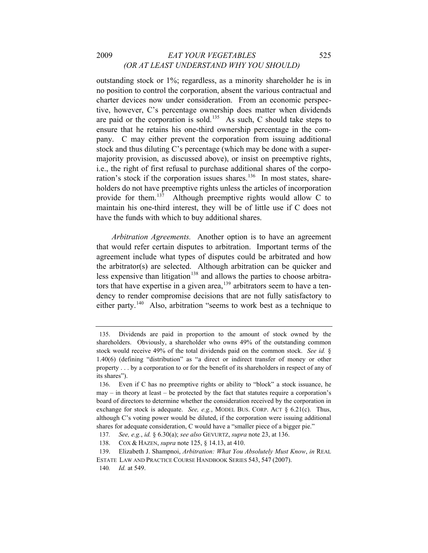#### 2009 *EAT YOUR VEGETABLES* 525 *(OR AT LEAST UNDERSTAND WHY YOU SHOULD)*

outstanding stock or 1%; regardless, as a minority shareholder he is in no position to control the corporation, absent the various contractual and charter devices now under consideration. From an economic perspective, however, C's percentage ownership does matter when dividends are paid or the corporation is sold.<sup>[135](#page-35-0)</sup> As such, C should take steps to ensure that he retains his one-third ownership percentage in the company. C may either prevent the corporation from issuing additional stock and thus diluting C's percentage (which may be done with a supermajority provision, as discussed above), or insist on preemptive rights, i.e., the right of first refusal to purchase additional shares of the corpo-ration's stock if the corporation issues shares.<sup>[136](#page-35-1)</sup> In most states, shareholders do not have preemptive rights unless the articles of incorporation provide for them.[137](#page-35-2) Although preemptive rights would allow C to maintain his one-third interest, they will be of little use if C does not have the funds with which to buy additional shares.

*Arbitration Agreements.* Another option is to have an agreement that would refer certain disputes to arbitration. Important terms of the agreement include what types of disputes could be arbitrated and how the arbitrator(s) are selected. Although arbitration can be quicker and less expensive than litigation<sup>[138](#page-35-3)</sup> and allows the parties to choose arbitrators that have expertise in a given area, $139$  arbitrators seem to have a tendency to render compromise decisions that are not fully satisfactory to either party.<sup>[140](#page-35-5)</sup> Also, arbitration "seems to work best as a technique to

<span id="page-35-0"></span><sup>135.</sup> Dividends are paid in proportion to the amount of stock owned by the shareholders. Obviously, a shareholder who owns 49% of the outstanding common stock would receive 49% of the total dividends paid on the common stock. *See id.* § 1.40(6) (defining "distribution" as "a direct or indirect transfer of money or other property . . . by a corporation to or for the benefit of its shareholders in respect of any of its shares").

<span id="page-35-1"></span><sup>136.</sup> Even if C has no preemptive rights or ability to "block" a stock issuance, he may – in theory at least – be protected by the fact that statutes require a corporation's board of directors to determine whether the consideration received by the corporation in exchange for stock is adequate. *See, e.g.*, MODEL BUS. CORP. ACT § 6.21(c). Thus, although C's voting power would be diluted, if the corporation were issuing additional shares for adequate consideration, C would have a "smaller piece of a bigger pie."

<sup>137</sup>*. See, e.g.*, *id.* § 6.30(a); *see also* GEVURTZ, *supra* note 23, at 136.

<sup>138.</sup> COX & HAZEN, *supra* note 125, § 14.13, at 410.

<span id="page-35-5"></span><span id="page-35-4"></span><span id="page-35-3"></span><span id="page-35-2"></span><sup>139.</sup> Elizabeth J. Shampnoi, *Arbitration: What You Absolutely Must Know*, *in* REAL ESTATE LAW AND PRACTICE COURSE HANDBOOK SERIES 543, 547 (2007).

<sup>140</sup>*. Id.* at 549.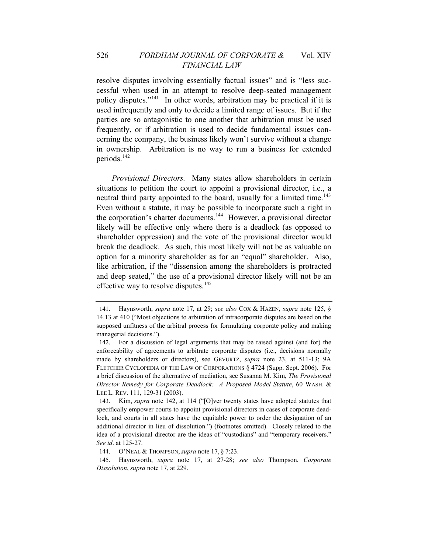### 526 *FORDHAM JOURNAL OF CORPORATE &* Vol. XIV *FINANCIAL LAW*

resolve disputes involving essentially factual issues" and is "less successful when used in an attempt to resolve deep-seated management policy disputes."[141](#page-36-0) In other words, arbitration may be practical if it is used infrequently and only to decide a limited range of issues. But if the parties are so antagonistic to one another that arbitration must be used frequently, or if arbitration is used to decide fundamental issues concerning the company, the business likely won't survive without a change in ownership. Arbitration is no way to run a business for extended periods. $142$ 

*Provisional Directors.* Many states allow shareholders in certain situations to petition the court to appoint a provisional director, i.e., a neutral third party appointed to the board, usually for a limited time.<sup>[143](#page-36-2)</sup> Even without a statute, it may be possible to incorporate such a right in the corporation's charter documents.<sup>[144](#page-36-3)</sup> However, a provisional director likely will be effective only where there is a deadlock (as opposed to shareholder oppression) and the vote of the provisional director would break the deadlock. As such, this most likely will not be as valuable an option for a minority shareholder as for an "equal" shareholder. Also, like arbitration, if the "dissension among the shareholders is protracted and deep seated," the use of a provisional director likely will not be an effective way to resolve disputes.<sup>[145](#page-36-4)</sup>

<span id="page-36-0"></span><sup>141.</sup> Haynsworth, *supra* note 17, at 29; *see also* COX & HAZEN, *supra* note 125, § 14.13 at 410 ("Most objections to arbitration of intracorporate disputes are based on the supposed unfitness of the arbitral process for formulating corporate policy and making managerial decisions.").

<span id="page-36-1"></span><sup>142.</sup> For a discussion of legal arguments that may be raised against (and for) the enforceability of agreements to arbitrate corporate disputes (i.e., decisions normally made by shareholders or directors), see GEVURTZ, *supra* note 23, at 511-13; 9A FLETCHER CYCLOPEDIA OF THE LAW OF CORPORATIONS § 4724 (Supp. Sept. 2006). For a brief discussion of the alternative of mediation, see Susanna M. Kim, *The Provisional Director Remedy for Corporate Deadlock: A Proposed Model Statute*, 60 WASH. & LEE L. REV. 111, 129-31 (2003).

<span id="page-36-2"></span><sup>143.</sup> Kim, *supra* note 142, at 114 ("[O]ver twenty states have adopted statutes that specifically empower courts to appoint provisional directors in cases of corporate deadlock, and courts in all states have the equitable power to order the designation of an additional director in lieu of dissolution.") (footnotes omitted). Closely related to the idea of a provisional director are the ideas of "custodians" and "temporary receivers." *See id*. at 125-27.

<sup>144.</sup> O'NEAL & THOMPSON, *supra* note 17, § 7:23.

<span id="page-36-4"></span><span id="page-36-3"></span><sup>145.</sup> Haynsworth, *supra* note 17, at 27-28; *see also* Thompson, *Corporate Dissolution*, *supra* note 17, at 229.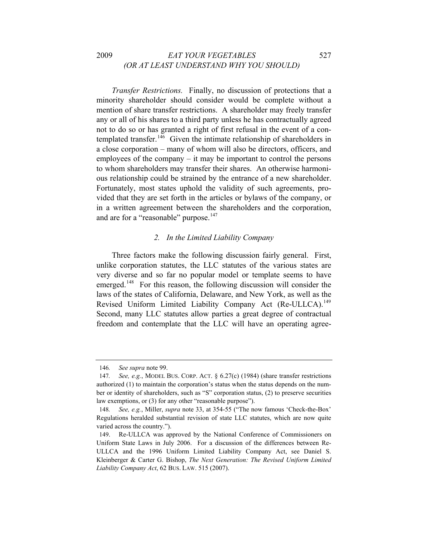#### 2009 *EAT YOUR VEGETABLES* 527 *(OR AT LEAST UNDERSTAND WHY YOU SHOULD)*

*Transfer Restrictions.* Finally, no discussion of protections that a minority shareholder should consider would be complete without a mention of share transfer restrictions. A shareholder may freely transfer any or all of his shares to a third party unless he has contractually agreed not to do so or has granted a right of first refusal in the event of a con-templated transfer.<sup>[146](#page-37-0)</sup> Given the intimate relationship of shareholders in a close corporation – many of whom will also be directors, officers, and employees of the company – it may be important to control the persons to whom shareholders may transfer their shares. An otherwise harmonious relationship could be strained by the entrance of a new shareholder. Fortunately, most states uphold the validity of such agreements, provided that they are set forth in the articles or bylaws of the company, or in a written agreement between the shareholders and the corporation, and are for a "reasonable" purpose.<sup>[147](#page-37-1)</sup>

#### *2. In the Limited Liability Company*

Three factors make the following discussion fairly general. First, unlike corporation statutes, the LLC statutes of the various states are very diverse and so far no popular model or template seems to have emerged.<sup>[148](#page-37-2)</sup> For this reason, the following discussion will consider the laws of the states of California, Delaware, and New York, as well as the Revised Uniform Limited Liability Company Act (Re-ULLCA).<sup>[149](#page-37-3)</sup> Second, many LLC statutes allow parties a great degree of contractual freedom and contemplate that the LLC will have an operating agree-

<sup>146</sup>*. See supra* note 99.

<span id="page-37-1"></span><span id="page-37-0"></span><sup>147</sup>*. See, e.g.*, MODEL BUS. CORP. ACT. § 6.27(c) (1984) (share transfer restrictions authorized (1) to maintain the corporation's status when the status depends on the number or identity of shareholders, such as "S" corporation status, (2) to preserve securities law exemptions, or (3) for any other "reasonable purpose").

<span id="page-37-2"></span><sup>148</sup>*. See, e.g.*, Miller, *supra* note 33, at 354-55 ("The now famous 'Check-the-Box' Regulations heralded substantial revision of state LLC statutes, which are now quite varied across the country.").

<span id="page-37-3"></span><sup>149.</sup> Re-ULLCA was approved by the National Conference of Commissioners on Uniform State Laws in July 2006. For a discussion of the differences between Re-ULLCA and the 1996 Uniform Limited Liability Company Act, see Daniel S. Kleinberger & Carter G. Bishop, *The Next Generation: The Revised Uniform Limited Liability Company Act*, 62 BUS. LAW. 515 (2007).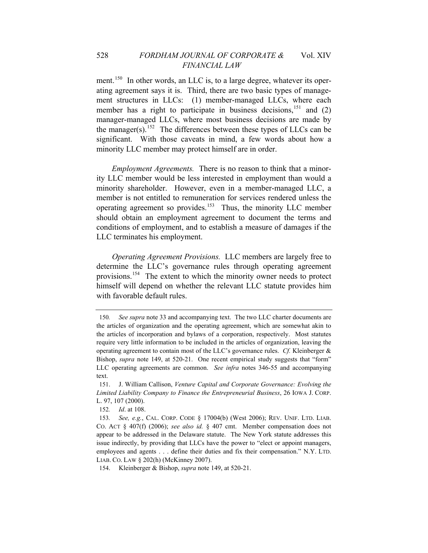ment.<sup>[150](#page-38-0)</sup> In other words, an LLC is, to a large degree, whatever its operating agreement says it is. Third, there are two basic types of management structures in LLCs: (1) member-managed LLCs, where each member has a right to participate in business decisions,  $^{151}$  $^{151}$  $^{151}$  and (2) manager-managed LLCs, where most business decisions are made by the manager(s).<sup>[152](#page-38-2)</sup> The differences between these types of LLCs can be significant. With those caveats in mind, a few words about how a minority LLC member may protect himself are in order.

*Employment Agreements.* There is no reason to think that a minority LLC member would be less interested in employment than would a minority shareholder. However, even in a member-managed LLC, a member is not entitled to remuneration for services rendered unless the operating agreement so provides.[153](#page-38-3) Thus, the minority LLC member should obtain an employment agreement to document the terms and conditions of employment, and to establish a measure of damages if the LLC terminates his employment.

*Operating Agreement Provisions.* LLC members are largely free to determine the LLC's governance rules through operating agreement provisions.[154](#page-38-4) The extent to which the minority owner needs to protect himself will depend on whether the relevant LLC statute provides him with favorable default rules.

<span id="page-38-0"></span><sup>150</sup>*. See supra* note 33 and accompanying text. The two LLC charter documents are the articles of organization and the operating agreement, which are somewhat akin to the articles of incorporation and bylaws of a corporation, respectively. Most statutes require very little information to be included in the articles of organization, leaving the operating agreement to contain most of the LLC's governance rules. *Cf.* Kleinberger & Bishop, *supra* note 149, at 520-21. One recent empirical study suggests that "form" LLC operating agreements are common. *See infra* notes 346-55 and accompanying text.

<span id="page-38-1"></span><sup>151.</sup> J. William Callison, *Venture Capital and Corporate Governance: Evolving the Limited Liability Company to Finance the Entrepreneurial Business*, 26 IOWA J. CORP. L. 97, 107 (2000).

<sup>152</sup>*. Id*. at 108.

<span id="page-38-3"></span><span id="page-38-2"></span><sup>153</sup>*. See, e.g.*, CAL. CORP. CODE § 17004(b) (West 2006); REV. UNIF. LTD. LIAB. CO. ACT § 407(f) (2006); *see also id.* § 407 cmt. Member compensation does not appear to be addressed in the Delaware statute. The New York statute addresses this issue indirectly, by providing that LLCs have the power to "elect or appoint managers, employees and agents . . . define their duties and fix their compensation." N.Y. LTD. LIAB. CO. LAW § 202(h) (McKinney 2007).

<span id="page-38-4"></span><sup>154.</sup> Kleinberger & Bishop, *supra* note 149, at 520-21.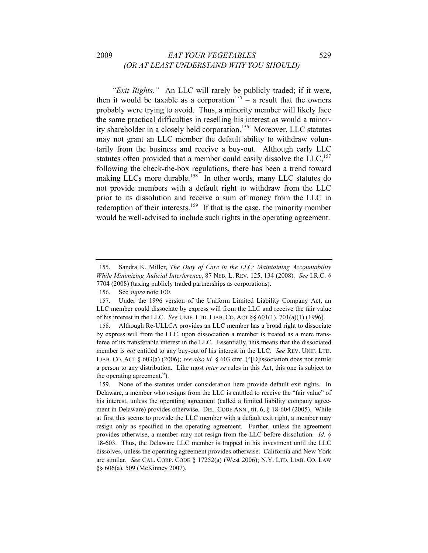### 2009 *EAT YOUR VEGETABLES* 529 *(OR AT LEAST UNDERSTAND WHY YOU SHOULD)*

*"Exit Rights."* An LLC will rarely be publicly traded; if it were, then it would be taxable as a corporation<sup>[155](#page-39-0)</sup> – a result that the owners probably were trying to avoid. Thus, a minority member will likely face the same practical difficulties in reselling his interest as would a minority shareholder in a closely held corporation.[156](#page-39-1) Moreover, LLC statutes may not grant an LLC member the default ability to withdraw voluntarily from the business and receive a buy-out. Although early LLC statutes often provided that a member could easily dissolve the LLC,<sup>[157](#page-39-2)</sup> following the check-the-box regulations, there has been a trend toward making LLCs more durable.<sup>[158](#page-39-3)</sup> In other words, many LLC statutes do not provide members with a default right to withdraw from the LLC prior to its dissolution and receive a sum of money from the LLC in redemption of their interests.<sup>[159](#page-39-4)</sup> If that is the case, the minority member would be well-advised to include such rights in the operating agreement.

<span id="page-39-0"></span><sup>155.</sup> Sandra K. Miller, *The Duty of Care in the LLC: Maintaining Accountability While Minimizing Judicial Interference*, 87 NEB. L. REV. 125, 134 (2008). *See* I.R.C. § 7704 (2008) (taxing publicly traded partnerships as corporations).

<sup>156.</sup> See *supra* note 100.

<span id="page-39-2"></span><span id="page-39-1"></span><sup>157.</sup> Under the 1996 version of the Uniform Limited Liability Company Act, an LLC member could dissociate by express will from the LLC and receive the fair value of his interest in the LLC. *See* UNIF. LTD. LIAB. CO. ACT §§ 601(1), 701(a)(1) (1996).

<span id="page-39-3"></span><sup>158.</sup> Although Re-ULLCA provides an LLC member has a broad right to dissociate by express will from the LLC, upon dissociation a member is treated as a mere transferee of its transferable interest in the LLC. Essentially, this means that the dissociated member is *not* entitled to any buy-out of his interest in the LLC. *See* REV. UNIF. LTD. LIAB. CO. ACT § 603(a) (2006); *see also id.* § 603 cmt. ("[D]issociation does not entitle a person to any distribution. Like most *inter se* rules in this Act, this one is subject to the operating agreement.").

<span id="page-39-4"></span><sup>159.</sup> None of the statutes under consideration here provide default exit rights. In Delaware, a member who resigns from the LLC is entitled to receive the "fair value" of his interest, unless the operating agreement (called a limited liability company agreement in Delaware) provides otherwise. DEL. CODE ANN., tit. 6, § 18-604 (2005). While at first this seems to provide the LLC member with a default exit right, a member may resign only as specified in the operating agreement. Further, unless the agreement provides otherwise, a member may not resign from the LLC before dissolution. *Id.* § 18-603. Thus, the Delaware LLC member is trapped in his investment until the LLC dissolves, unless the operating agreement provides otherwise. California and New York are similar. *See* CAL. CORP. CODE § 17252(a) (West 2006); N.Y. LTD. LIAB. CO. LAW §§ 606(a), 509 (McKinney 2007).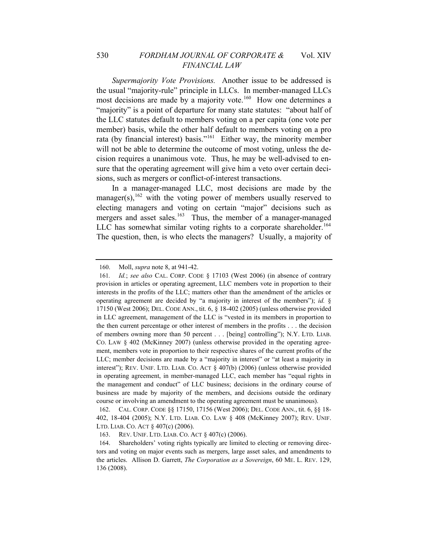*Supermajority Vote Provisions.* Another issue to be addressed is the usual "majority-rule" principle in LLCs. In member-managed LLCs most decisions are made by a majority vote.<sup>[160](#page-40-0)</sup> How one determines a "majority" is a point of departure for many state statutes: "about half of the LLC statutes default to members voting on a per capita (one vote per member) basis, while the other half default to members voting on a pro rata (by financial interest) basis."[161](#page-40-1) Either way, the minority member will not be able to determine the outcome of most voting, unless the decision requires a unanimous vote. Thus, he may be well-advised to ensure that the operating agreement will give him a veto over certain decisions, such as mergers or conflict-of-interest transactions.

In a manager-managed LLC, most decisions are made by the manager(s),  $^{162}$  $^{162}$  $^{162}$  with the voting power of members usually reserved to electing managers and voting on certain "major" decisions such as mergers and asset sales.<sup>[163](#page-40-3)</sup> Thus, the member of a manager-managed LLC has somewhat similar voting rights to a corporate shareholder.<sup>[164](#page-40-4)</sup> The question, then, is who elects the managers? Usually, a majority of

<sup>160.</sup> Moll, *supra* note 8, at 941-42.

<span id="page-40-1"></span><span id="page-40-0"></span><sup>161</sup>*. Id.*; *see also* CAL. CORP. CODE § 17103 (West 2006) (in absence of contrary provision in articles or operating agreement, LLC members vote in proportion to their interests in the profits of the LLC; matters other than the amendment of the articles or operating agreement are decided by "a majority in interest of the members"); *id.* § 17150 (West 2006); DEL. CODE ANN., tit. 6, § 18-402 (2005) (unless otherwise provided in LLC agreement, management of the LLC is "vested in its members in proportion to the then current percentage or other interest of members in the profits . . . the decision of members owning more than 50 percent . . . [being] controlling"); N.Y. LTD. LIAB. CO. LAW § 402 (McKinney 2007) (unless otherwise provided in the operating agreement, members vote in proportion to their respective shares of the current profits of the LLC; member decisions are made by a "majority in interest" or "at least a majority in interest"); REV. UNIF. LTD. LIAB. CO. ACT § 407(b) (2006) (unless otherwise provided in operating agreement, in member-managed LLC, each member has "equal rights in the management and conduct" of LLC business; decisions in the ordinary course of business are made by majority of the members, and decisions outside the ordinary course or involving an amendment to the operating agreement must be unanimous).

<span id="page-40-2"></span><sup>162.</sup> CAL. CORP. CODE §§ 17150, 17156 (West 2006); DEL. CODE ANN., tit. 6, §§ 18- 402, 18-404 (2005); N.Y. LTD. LIAB. CO. LAW § 408 (McKinney 2007); REV. UNIF. LTD. LIAB. CO. ACT § 407(c) (2006).

<sup>163.</sup> REV. UNIF. LTD. LIAB. CO. ACT § 407(c) (2006).

<span id="page-40-4"></span><span id="page-40-3"></span><sup>164.</sup> Shareholders' voting rights typically are limited to electing or removing directors and voting on major events such as mergers, large asset sales, and amendments to the articles. Allison D. Garrett, *The Corporation as a Sovereign*, 60 ME. L. REV. 129, 136 (2008).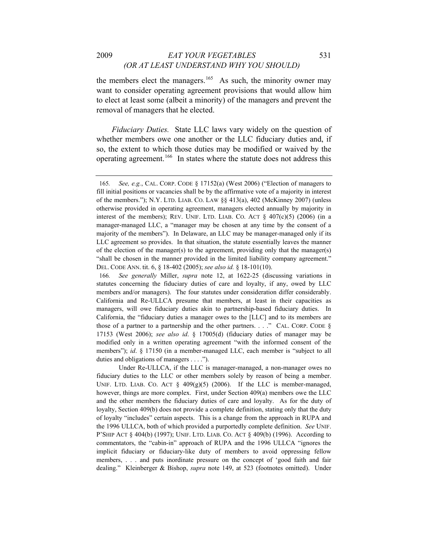# 2009 *EAT YOUR VEGETABLES* 531 *(OR AT LEAST UNDERSTAND WHY YOU SHOULD)*

the members elect the managers.<sup>[165](#page-41-0)</sup> As such, the minority owner may want to consider operating agreement provisions that would allow him to elect at least some (albeit a minority) of the managers and prevent the removal of managers that he elected.

*Fiduciary Duties.* State LLC laws vary widely on the question of whether members owe one another or the LLC fiduciary duties and, if so, the extent to which those duties may be modified or waived by the operating agreement.[166](#page-41-1) In states where the statute does not address this

<span id="page-41-0"></span><sup>165</sup>*. See, e.g.*, CAL. CORP. CODE § 17152(a) (West 2006) ("Election of managers to fill initial positions or vacancies shall be by the affirmative vote of a majority in interest of the members."); N.Y. LTD. LIAB. CO. LAW §§ 413(a), 402 (McKinney 2007) (unless otherwise provided in operating agreement, managers elected annually by majority in interest of the members); REV. UNIF. LTD. LIAB. CO. ACT  $\S$  407(c)(5) (2006) (in a manager-managed LLC, a "manager may be chosen at any time by the consent of a majority of the members"). In Delaware, an LLC may be manager-managed only if its LLC agreement so provides. In that situation, the statute essentially leaves the manner of the election of the manager(s) to the agreement, providing only that the manager(s) "shall be chosen in the manner provided in the limited liability company agreement." DEL. CODE ANN. tit. 6, § 18-402 (2005); *see also id.* § 18-101(10).

<span id="page-41-1"></span><sup>166</sup>*. See generally* Miller, *supra* note 12, at 1622-25 (discussing variations in statutes concerning the fiduciary duties of care and loyalty, if any, owed by LLC members and/or managers). The four statutes under consideration differ considerably. California and Re-ULLCA presume that members, at least in their capacities as managers, will owe fiduciary duties akin to partnership-based fiduciary duties. In California, the "fiduciary duties a manager owes to the [LLC] and to its members are those of a partner to a partnership and the other partners. . . ." CAL. CORP. CODE  $\S$ 17153 (West 2006); *see also id*. § 17005(d) (fiduciary duties of manager may be modified only in a written operating agreement "with the informed consent of the members"); *id.* § 17150 (in a member-managed LLC, each member is "subject to all duties and obligations of managers . . . .").

Under Re-ULLCA, if the LLC is manager-managed, a non-manager owes no fiduciary duties to the LLC or other members solely by reason of being a member. UNIF. LTD. LIAB. CO. ACT  $\S$  409(g)(5) (2006). If the LLC is member-managed, however, things are more complex. First, under Section 409(a) members owe the LLC and the other members the fiduciary duties of care and loyalty. As for the duty of loyalty, Section 409(b) does not provide a complete definition, stating only that the duty of loyalty "includes" certain aspects. This is a change from the approach in RUPA and the 1996 ULLCA, both of which provided a purportedly complete definition. *See* UNIF. P'SHIP ACT § 404(b) (1997); UNIF. LTD. LIAB. CO. ACT § 409(b) (1996). According to commentators, the "cabin-in" approach of RUPA and the 1996 ULLCA "ignores the implicit fiduciary or fiduciary-like duty of members to avoid oppressing fellow members, . . . and puts inordinate pressure on the concept of 'good faith and fair dealing." Kleinberger & Bishop, *supra* note 149, at 523 (footnotes omitted). Under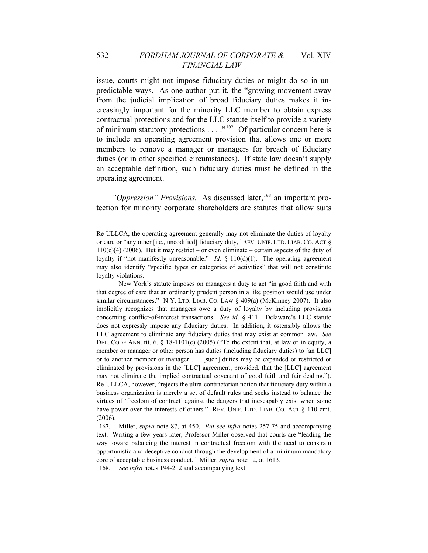issue, courts might not impose fiduciary duties or might do so in unpredictable ways. As one author put it, the "growing movement away from the judicial implication of broad fiduciary duties makes it increasingly important for the minority LLC member to obtain express contractual protections and for the LLC statute itself to provide a variety of minimum statutory protections  $\dots$  ."<sup>[167](#page-42-0)</sup> Of particular concern here is to include an operating agreement provision that allows one or more members to remove a manager or managers for breach of fiduciary duties (or in other specified circumstances). If state law doesn't supply an acceptable definition, such fiduciary duties must be defined in the operating agreement.

*"Oppression" Provisions.* As discussed later,<sup>[168](#page-42-1)</sup> an important protection for minority corporate shareholders are statutes that allow suits

 New York's statute imposes on managers a duty to act "in good faith and with that degree of care that an ordinarily prudent person in a like position would use under similar circumstances." N.Y. LTD. LIAB. CO. LAW § 409(a) (McKinney 2007). It also implicitly recognizes that managers owe a duty of loyalty by including provisions concerning conflict-of-interest transactions. *See id*. § 411. Delaware's LLC statute does not expressly impose any fiduciary duties. In addition, it ostensibly allows the LLC agreement to eliminate any fiduciary duties that may exist at common law. *See* DEL. CODE ANN. tit. 6, § 18-1101(c) (2005) ("To the extent that, at law or in equity, a member or manager or other person has duties (including fiduciary duties) to [an LLC] or to another member or manager . . . [such] duties may be expanded or restricted or eliminated by provisions in the [LLC] agreement; provided, that the [LLC] agreement may not eliminate the implied contractual covenant of good faith and fair dealing."). Re-ULLCA, however, "rejects the ultra-contractarian notion that fiduciary duty within a business organization is merely a set of default rules and seeks instead to balance the virtues of 'freedom of contract' against the dangers that inescapably exist when some have power over the interests of others." REV. UNIF. LTD. LIAB. CO. ACT § 110 cmt. (2006).

<span id="page-42-1"></span>168*. See infra* notes 194-212 and accompanying text.

Re-ULLCA, the operating agreement generally may not eliminate the duties of loyalty or care or "any other [i.e., uncodified] fiduciary duty," REV. UNIF. LTD. LIAB. CO. ACT §  $110(c)(4)$  (2006). But it may restrict – or even eliminate – certain aspects of the duty of loyalty if "not manifestly unreasonable." *Id.* § 110(d)(1). The operating agreement may also identify "specific types or categories of activities" that will not constitute loyalty violations.

<span id="page-42-0"></span><sup>167.</sup> Miller, *supra* note 87, at 450. *But see infra* notes 257-75 and accompanying text. Writing a few years later, Professor Miller observed that courts are "leading the way toward balancing the interest in contractual freedom with the need to constrain opportunistic and deceptive conduct through the development of a minimum mandatory core of acceptable business conduct." Miller, *supra* note 12, at 1613.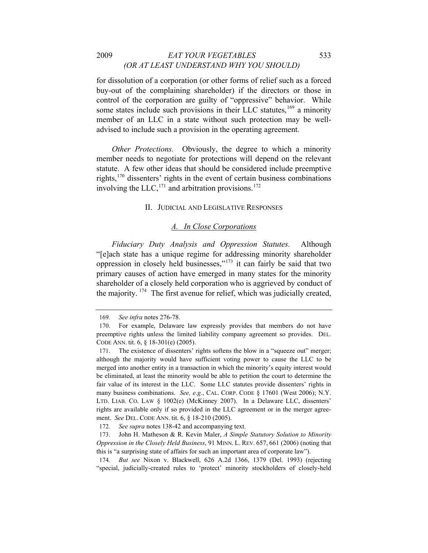#### 2009 *EAT YOUR VEGETABLES* 533 *(OR AT LEAST UNDERSTAND WHY YOU SHOULD)*

for dissolution of a corporation (or other forms of relief such as a forced buy-out of the complaining shareholder) if the directors or those in control of the corporation are guilty of "oppressive" behavior. While some states include such provisions in their LLC statutes,  $169$  a minority member of an LLC in a state without such protection may be welladvised to include such a provision in the operating agreement.

*Other Protections.* Obviously, the degree to which a minority member needs to negotiate for protections will depend on the relevant statute. A few other ideas that should be considered include preemptive rights,[170](#page-43-1) dissenters' rights in the event of certain business combinations involving the  $LLC$ ,  $^{171}$  $^{171}$  $^{171}$  and arbitration provisions.<sup>[172](#page-43-3)</sup>

### II. JUDICIAL AND LEGISLATIVE RESPONSES

### *A. In Close Corporations*

*Fiduciary Duty Analysis and Oppression Statutes*. Although "[e]ach state has a unique regime for addressing minority shareholder oppression in closely held businesses," $173$  it can fairly be said that two primary causes of action have emerged in many states for the minority shareholder of a closely held corporation who is aggrieved by conduct of the majority.  $174$  The first avenue for relief, which was judicially created,

<sup>169</sup>*. See infra* notes 276-78.

<span id="page-43-1"></span><span id="page-43-0"></span><sup>170.</sup> For example, Delaware law expressly provides that members do not have preemptive rights unless the limited liability company agreement so provides. DEL. CODE ANN. tit. 6, § 18-301(e) (2005).

<span id="page-43-2"></span><sup>171.</sup> The existence of dissenters' rights softens the blow in a "squeeze out" merger; although the majority would have sufficient voting power to cause the LLC to be merged into another entity in a transaction in which the minority's equity interest would be eliminated, at least the minority would be able to petition the court to determine the fair value of its interest in the LLC. Some LLC statutes provide dissenters' rights in many business combinations. *See, e.g.*, CAL. CORP. CODE § 17601 (West 2006); N.Y. LTD. LIAB. CO. LAW § 1002(e) (McKinney 2007). In a Delaware LLC, dissenters' rights are available only if so provided in the LLC agreement or in the merger agreement. *See* DEL. CODE ANN. tit. 6, § 18-210 (2005).

<sup>172</sup>*. See supra* notes 138-42 and accompanying text.

<span id="page-43-4"></span><span id="page-43-3"></span><sup>173.</sup> John H. Matheson & R. Kevin Maler, *A Simple Statutory Solution to Minority Oppression in the Closely Held Business*, 91 MINN. L. REV. 657, 661 (2006) (noting that this is "a surprising state of affairs for such an important area of corporate law").

<span id="page-43-5"></span><sup>174</sup>*. But see* Nixon v. Blackwell, 626 A.2d 1366, 1379 (Del. 1993) (rejecting "special, judicially-created rules to 'protect' minority stockholders of closely-held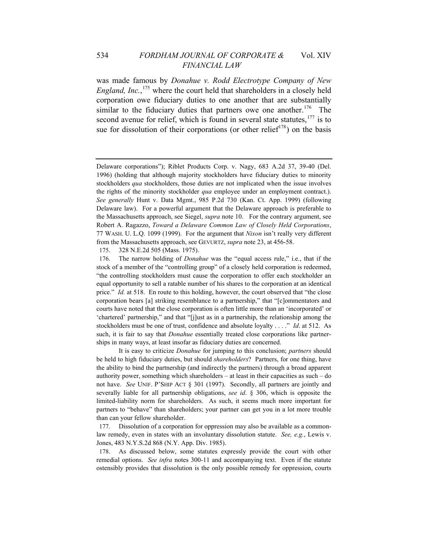### 534 *FORDHAM JOURNAL OF CORPORATE &* Vol. XIV *FINANCIAL LAW*

was made famous by *Donahue v. Rodd Electrotype Company of New England, Inc.*, [175](#page-44-0) where the court held that shareholders in a closely held corporation owe fiduciary duties to one another that are substantially similar to the fiduciary duties that partners owe one another.<sup>[176](#page-44-1)</sup> The second avenue for relief, which is found in several state statutes,<sup>[177](#page-44-2)</sup> is to sue for dissolution of their corporations (or other relief<sup>[178](#page-44-3)</sup>) on the basis

175. 328 N.E.2d 505 (Mass. 1975).

 It is easy to criticize *Donahue* for jumping to this conclusion; *partners* should be held to high fiduciary duties, but should *shareholders*? Partners, for one thing, have the ability to bind the partnership (and indirectly the partners) through a broad apparent authority power, something which shareholders – at least in their capacities as such – do not have. *See* UNIF. P'SHIP ACT § 301 (1997). Secondly, all partners are jointly and severally liable for all partnership obligations, *see id*. § 306, which is opposite the limited-liability norm for shareholders. As such, it seems much more important for partners to "behave" than shareholders; your partner can get you in a lot more trouble than can your fellow shareholder.

<span id="page-44-2"></span>177. Dissolution of a corporation for oppression may also be available as a commonlaw remedy, even in states with an involuntary dissolution statute. *See, e.g.*, Lewis v. Jones, 483 N.Y.S.2d 868 (N.Y. App. Div. 1985).

<span id="page-44-3"></span>178. As discussed below, some statutes expressly provide the court with other remedial options. *See infra* notes 300-11 and accompanying text. Even if the statute ostensibly provides that dissolution is the only possible remedy for oppression, courts

Delaware corporations"); Riblet Products Corp. v. Nagy, 683 A.2d 37, 39-40 (Del. 1996) (holding that although majority stockholders have fiduciary duties to minority stockholders *qua* stockholders, those duties are not implicated when the issue involves the rights of the minority stockholder *qua* employee under an employment contract.). *See generally* Hunt v. Data Mgmt., 985 P.2d 730 (Kan. Ct. App. 1999) (following Delaware law). For a powerful argument that the Delaware approach is preferable to the Massachusetts approach, see Siegel, *supra* note 10. For the contrary argument, see Robert A. Ragazzo, *Toward a Delaware Common Law of Closely Held Corporations*, 77 WASH. U. L.Q. 1099 (1999). For the argument that *Nixon* isn't really very different from the Massachusetts approach, see GEVURTZ, *supra* note 23, at 456-58.

<span id="page-44-1"></span><span id="page-44-0"></span><sup>176.</sup> The narrow holding of *Donahue* was the "equal access rule," i.e., that if the stock of a member of the "controlling group" of a closely held corporation is redeemed, "the controlling stockholders must cause the corporation to offer each stockholder an equal opportunity to sell a ratable number of his shares to the corporation at an identical price." *Id.* at 518. En route to this holding, however, the court observed that "the close corporation bears [a] striking resemblance to a partnership," that "[c]ommentators and courts have noted that the close corporation is often little more than an 'incorporated' or 'chartered' partnership," and that "[j]ust as in a partnership, the relationship among the stockholders must be one of trust, confidence and absolute loyalty . . . ." *Id*. at 512. As such, it is fair to say that *Donahue* essentially treated close corporations like partnerships in many ways, at least insofar as fiduciary duties are concerned.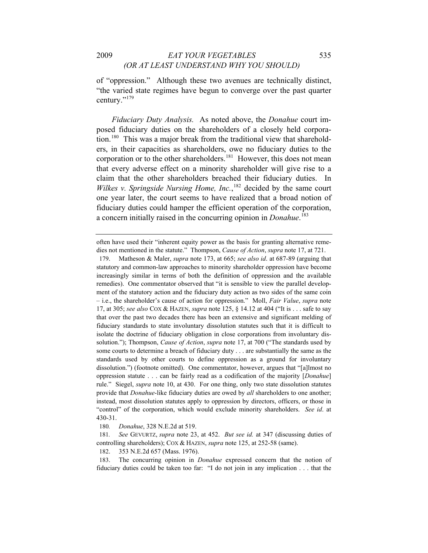of "oppression." Although these two avenues are technically distinct, "the varied state regimes have begun to converge over the past quarter century."<sup>[179](#page-45-0)</sup>

*Fiduciary Duty Analysis.* As noted above, the *Donahue* court imposed fiduciary duties on the shareholders of a closely held corpora-tion.<sup>[180](#page-45-1)</sup> This was a major break from the traditional view that shareholders, in their capacities as shareholders, owe no fiduciary duties to the corporation or to the other shareholders.<sup>[181](#page-45-2)</sup> However, this does not mean that every adverse effect on a minority shareholder will give rise to a claim that the other shareholders breached their fiduciary duties. In Wilkes v. Springside Nursing Home, Inc.,<sup>[182](#page-45-3)</sup> decided by the same court one year later, the court seems to have realized that a broad notion of fiduciary duties could hamper the efficient operation of the corporation, a concern initially raised in the concurring opinion in *Donahue*. [183](#page-45-4)

180*. Donahue*, 328 N.E.2d at 519.

often have used their "inherent equity power as the basis for granting alternative remedies not mentioned in the statute." Thompson, *Cause of Action*, *supra* note 17, at 721.

<span id="page-45-0"></span><sup>179.</sup> Matheson & Maler, *supra* note 173, at 665; *see also id*. at 687-89 (arguing that statutory and common-law approaches to minority shareholder oppression have become increasingly similar in terms of both the definition of oppression and the available remedies). One commentator observed that "it is sensible to view the parallel development of the statutory action and the fiduciary duty action as two sides of the same coin – i.e., the shareholder's cause of action for oppression." Moll, *Fair Value*, *supra* note 17, at 305; *see also* COX & HAZEN, *supra* note 125, § 14.12 at 404 ("It is . . . safe to say that over the past two decades there has been an extensive and significant melding of fiduciary standards to state involuntary dissolution statutes such that it is difficult to isolate the doctrine of fiduciary obligation in close corporations from involuntary dissolution."); Thompson, *Cause of Action*, *supra* note 17, at 700 ("The standards used by some courts to determine a breach of fiduciary duty . . . are substantially the same as the standards used by other courts to define oppression as a ground for involuntary dissolution.") (footnote omitted). One commentator, however, argues that "[a]lmost no oppression statute . . . can be fairly read as a codification of the majority [*Donahue*] rule." Siegel, *supra* note 10, at 430. For one thing, only two state dissolution statutes provide that *Donahue*-like fiduciary duties are owed by *all* shareholders to one another; instead, most dissolution statutes apply to oppression by directors, officers, or those in "control" of the corporation, which would exclude minority shareholders. *See id*. at 430-31.

<span id="page-45-2"></span><span id="page-45-1"></span><sup>181</sup>*. See* GEVURTZ, *supra* note 23, at 452. *But see id.* at 347 (discussing duties of controlling shareholders); COX & HAZEN, *supra* note 125, at 252-58 (same).

<sup>182. 353</sup> N.E.2d 657 (Mass. 1976).

<span id="page-45-4"></span><span id="page-45-3"></span><sup>183.</sup> The concurring opinion in *Donahue* expressed concern that the notion of fiduciary duties could be taken too far: "I do not join in any implication . . . that the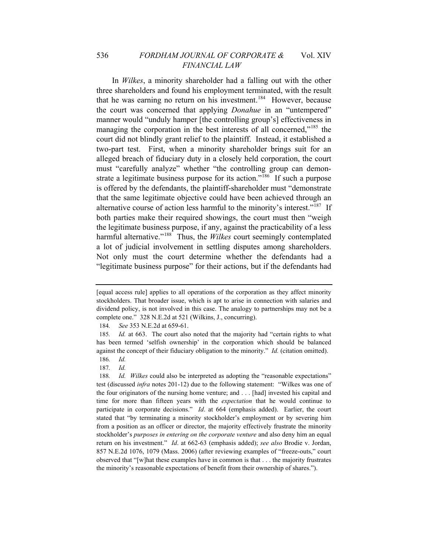In *Wilkes*, a minority shareholder had a falling out with the other three shareholders and found his employment terminated, with the result that he was earning no return on his investment.<sup>[184](#page-46-0)</sup> However, because the court was concerned that applying *Donahue* in an "untempered" manner would "unduly hamper [the controlling group's] effectiveness in managing the corporation in the best interests of all concerned,"<sup>[185](#page-46-1)</sup> the court did not blindly grant relief to the plaintiff. Instead, it established a two-part test. First, when a minority shareholder brings suit for an alleged breach of fiduciary duty in a closely held corporation, the court must "carefully analyze" whether "the controlling group can demon-strate a legitimate business purpose for its action."<sup>[186](#page-46-2)</sup> If such a purpose is offered by the defendants, the plaintiff-shareholder must "demonstrate that the same legitimate objective could have been achieved through an alternative course of action less harmful to the minority's interest."<sup>[187](#page-46-3)</sup> If both parties make their required showings, the court must then "weigh the legitimate business purpose, if any, against the practicability of a less harmful alternative."<sup>[188](#page-46-4)</sup> Thus, the *Wilkes* court seemingly contemplated a lot of judicial involvement in settling disputes among shareholders. Not only must the court determine whether the defendants had a "legitimate business purpose" for their actions, but if the defendants had

184*. See* 353 N.E.2d at 659-61.

<sup>[</sup>equal access rule] applies to all operations of the corporation as they affect minority stockholders. That broader issue, which is apt to arise in connection with salaries and dividend policy, is not involved in this case. The analogy to partnerships may not be a complete one." 328 N.E.2d at 521 (Wilkins, J., concurring).

<span id="page-46-1"></span><span id="page-46-0"></span><sup>185</sup>*. Id.* at 663. The court also noted that the majority had "certain rights to what has been termed 'selfish ownership' in the corporation which should be balanced against the concept of their fiduciary obligation to the minority." *Id.* (citation omitted).

<sup>186</sup>*. Id.*

<sup>187</sup>*. Id.*

<span id="page-46-4"></span><span id="page-46-3"></span><span id="page-46-2"></span><sup>188</sup>*. Id. Wilkes* could also be interpreted as adopting the "reasonable expectations" test (discussed *infra* notes 201-12) due to the following statement: "Wilkes was one of the four originators of the nursing home venture; and . . . [had] invested his capital and time for more than fifteen years with the *expectation* that he would continue to participate in corporate decisions." *Id*. at 664 (emphasis added). Earlier, the court stated that "by terminating a minority stockholder's employment or by severing him from a position as an officer or director, the majority effectively frustrate the minority stockholder's *purposes in entering on the corporate venture* and also deny him an equal return on his investment." *Id*. at 662-63 (emphasis added); *see also* Brodie v. Jordan, 857 N.E.2d 1076, 1079 (Mass. 2006) (after reviewing examples of "freeze-outs," court observed that "[w]hat these examples have in common is that . . . the majority frustrates the minority's reasonable expectations of benefit from their ownership of shares.").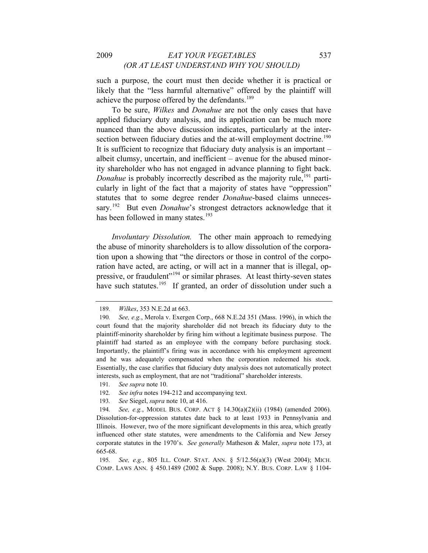such a purpose, the court must then decide whether it is practical or likely that the "less harmful alternative" offered by the plaintiff will achieve the purpose offered by the defendants.<sup>[189](#page-47-0)</sup>

To be sure, *Wilkes* and *Donahue* are not the only cases that have applied fiduciary duty analysis, and its application can be much more nuanced than the above discussion indicates, particularly at the inter-section between fiduciary duties and the at-will employment doctrine.<sup>[190](#page-47-1)</sup> It is sufficient to recognize that fiduciary duty analysis is an important – albeit clumsy, uncertain, and inefficient – avenue for the abused minority shareholder who has not engaged in advance planning to fight back. *Donahue* is probably incorrectly described as the majority rule,<sup>[191](#page-47-2)</sup> particularly in light of the fact that a majority of states have "oppression" statutes that to some degree render *Donahue*-based claims unneces-sary.<sup>[192](#page-47-3)</sup> But even *Donahue*'s strongest detractors acknowledge that it has been followed in many states. $193$ 

*Involuntary Dissolution.* The other main approach to remedying the abuse of minority shareholders is to allow dissolution of the corporation upon a showing that "the directors or those in control of the corporation have acted, are acting, or will act in a manner that is illegal, op-pressive, or fraudulent<sup>"[194](#page-47-5)</sup> or similar phrases. At least thirty-seven states have such statutes.<sup>[195](#page-47-6)</sup> If granted, an order of dissolution under such a

<sup>189</sup>*. Wilkes*, 353 N.E.2d at 663.

<span id="page-47-1"></span><span id="page-47-0"></span><sup>190</sup>*. See, e.g.*, Merola v. Exergen Corp., 668 N.E.2d 351 (Mass. 1996), in which the court found that the majority shareholder did not breach its fiduciary duty to the plaintiff-minority shareholder by firing him without a legitimate business purpose. The plaintiff had started as an employee with the company before purchasing stock. Importantly, the plaintiff's firing was in accordance with his employment agreement and he was adequately compensated when the corporation redeemed his stock. Essentially, the case clarifies that fiduciary duty analysis does not automatically protect interests, such as employment, that are not "traditional" shareholder interests.

<span id="page-47-2"></span><sup>191</sup>*. See supra* note 10.

<sup>192</sup>*. See infra* notes 194-212 and accompanying text.

<sup>193</sup>*. See* Siegel, *supra* note 10, at 416.

<span id="page-47-5"></span><span id="page-47-4"></span><span id="page-47-3"></span><sup>194</sup>*. See, e.g.*, MODEL BUS. CORP. ACT § 14.30(a)(2)(ii) (1984) (amended 2006). Dissolution-for-oppression statutes date back to at least 1933 in Pennsylvania and Illinois. However, two of the more significant developments in this area, which greatly influenced other state statutes, were amendments to the California and New Jersey corporate statutes in the 1970's. *See generally* Matheson & Maler, *supra* note 173, at 665-68.

<span id="page-47-6"></span><sup>195</sup>*. See, e.g.*, 805 ILL. COMP. STAT. ANN. § 5/12.56(a)(3) (West 2004); MICH. COMP. LAWS ANN. § 450.1489 (2002 & Supp. 2008); N.Y. BUS. CORP. LAW § 1104-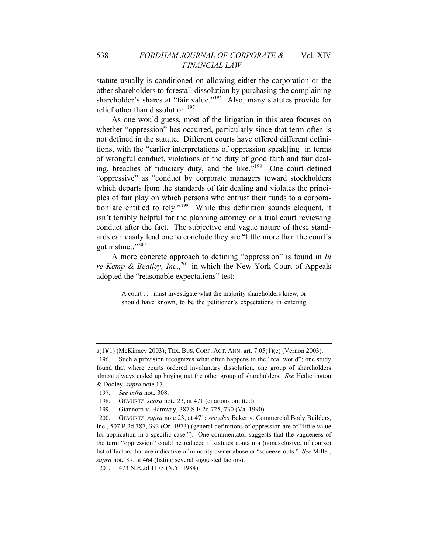statute usually is conditioned on allowing either the corporation or the other shareholders to forestall dissolution by purchasing the complaining shareholder's shares at "fair value."<sup>[196](#page-48-0)</sup> Also, many statutes provide for relief other than dissolution.<sup>[197](#page-48-1)</sup>

As one would guess, most of the litigation in this area focuses on whether "oppression" has occurred, particularly since that term often is not defined in the statute. Different courts have offered different definitions, with the "earlier interpretations of oppression speak[ing] in terms of wrongful conduct, violations of the duty of good faith and fair dealing, breaches of fiduciary duty, and the like."[198](#page-48-2) One court defined "oppressive" as "conduct by corporate managers toward stockholders which departs from the standards of fair dealing and violates the principles of fair play on which persons who entrust their funds to a corporation are entitled to rely."[199](#page-48-3) While this definition sounds eloquent, it isn't terribly helpful for the planning attorney or a trial court reviewing conduct after the fact. The subjective and vague nature of these standards can easily lead one to conclude they are "little more than the court's gut instinct."[200](#page-48-4)

A more concrete approach to defining "oppression" is found in *In re Kemp & Beatley, Inc.*,<sup>[201](#page-48-5)</sup> in which the New York Court of Appeals adopted the "reasonable expectations" test:

> A court . . . must investigate what the majority shareholders knew, or should have known, to be the petitioner's expectations in entering

<span id="page-48-5"></span>201. 473 N.E.2d 1173 (N.Y. 1984).

<span id="page-48-0"></span>a(1)(1) (McKinney 2003); TEX. BUS. CORP. ACT. ANN. art. 7.05(1)(c) (Vernon 2003).

<sup>196.</sup> Such a provision recognizes what often happens in the "real world"; one study found that where courts ordered involuntary dissolution, one group of shareholders almost always ended up buying out the other group of shareholders. *See* Hetherington & Dooley, *supra* note 17.

<span id="page-48-1"></span><sup>197</sup>*. See infra* note 308.

<sup>198.</sup> GEVURTZ, *supra* note 23, at 471 (citations omitted).

<sup>199.</sup> Giannotti v. Hamway, 387 S.E.2d 725, 730 (Va. 1990).

<span id="page-48-4"></span><span id="page-48-3"></span><span id="page-48-2"></span><sup>200.</sup> GEVURTZ, *supra* note 23, at 471; *see also* Baker v. Commercial Body Builders, Inc., 507 P.2d 387, 393 (Or. 1973) (general definitions of oppression are of "little value for application in a specific case."). One commentator suggests that the vagueness of the term "oppression" could be reduced if statutes contain a (nonexclusive, of course) list of factors that are indicative of minority owner abuse or "squeeze-outs." *See* Miller, *supra* note 87, at 464 (listing several suggested factors).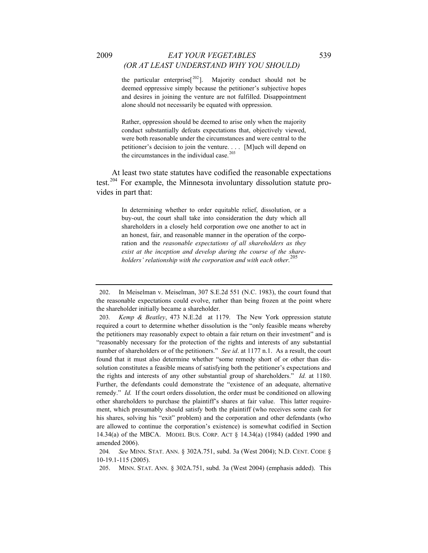the particular enterprise<sup>[[202](#page-49-0)</sup>]. Majority conduct should not be deemed oppressive simply because the petitioner's subjective hopes and desires in joining the venture are not fulfilled. Disappointment alone should not necessarily be equated with oppression.

Rather, oppression should be deemed to arise only when the majority conduct substantially defeats expectations that, objectively viewed, were both reasonable under the circumstances and were central to the petitioner's decision to join the venture. . . . [M]uch will depend on the circumstances in the individual case. $203$ 

At least two state statutes have codified the reasonable expectations test.<sup>[204](#page-49-2)</sup> For example, the Minnesota involuntary dissolution statute provides in part that:

> In determining whether to order equitable relief, dissolution, or a buy-out, the court shall take into consideration the duty which all shareholders in a closely held corporation owe one another to act in an honest, fair, and reasonable manner in the operation of the corporation and the *reasonable expectations of all shareholders as they exist at the inception and develop during the course of the shareholders' relationship with the corporation and with each other*. [205](#page-49-3)

<span id="page-49-0"></span><sup>202.</sup> In Meiselman v. Meiselman, 307 S.E.2d 551 (N.C. 1983), the court found that the reasonable expectations could evolve, rather than being frozen at the point where the shareholder initially became a shareholder.

<span id="page-49-1"></span><sup>203</sup>*. Kemp & Beatley*, 473 N.E.2d at 1179. The New York oppression statute required a court to determine whether dissolution is the "only feasible means whereby the petitioners may reasonably expect to obtain a fair return on their investment" and is "reasonably necessary for the protection of the rights and interests of any substantial number of shareholders or of the petitioners." *See id*. at 1177 n.1. As a result, the court found that it must also determine whether "some remedy short of or other than dissolution constitutes a feasible means of satisfying both the petitioner's expectations and the rights and interests of any other substantial group of shareholders." *Id.* at 1180. Further, the defendants could demonstrate the "existence of an adequate, alternative remedy." *Id.* If the court orders dissolution, the order must be conditioned on allowing other shareholders to purchase the plaintiff's shares at fair value. This latter requirement, which presumably should satisfy both the plaintiff (who receives some cash for his shares, solving his "exit" problem) and the corporation and other defendants (who are allowed to continue the corporation's existence) is somewhat codified in Section 14.34(a) of the MBCA. MODEL BUS. CORP. ACT § 14.34(a) (1984) (added 1990 and amended 2006).

<span id="page-49-3"></span><span id="page-49-2"></span><sup>204</sup>*. See* MINN. STAT. ANN. § 302A.751, subd. 3a (West 2004); N.D. CENT. CODE § 10-19.1-115 (2005).

<sup>205.</sup> MINN. STAT. ANN. § 302A.751, subd. 3a (West 2004) (emphasis added). This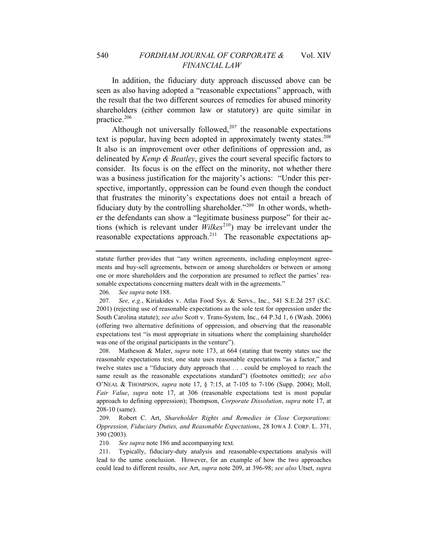In addition, the fiduciary duty approach discussed above can be seen as also having adopted a "reasonable expectations" approach, with the result that the two different sources of remedies for abused minority shareholders (either common law or statutory) are quite similar in practice.<sup>[206](#page-50-0)</sup>

Although not universally followed, $207$  the reasonable expectations text is popular, having been adopted in approximately twenty states.<sup>[208](#page-50-2)</sup> It also is an improvement over other definitions of oppression and, as delineated by *Kemp & Beatley*, gives the court several specific factors to consider. Its focus is on the effect on the minority, not whether there was a business justification for the majority's actions: "Under this perspective, importantly, oppression can be found even though the conduct that frustrates the minority's expectations does not entail a breach of fiduciary duty by the controlling shareholder."<sup>[209](#page-50-3)</sup> In other words, whether the defendants can show a "legitimate business purpose" for their actions (which is relevant under  $Wilkes^{210}$  $Wilkes^{210}$  $Wilkes^{210}$ ) may be irrelevant under the reasonable expectations approach.<sup>[211](#page-50-5)</sup> The reasonable expectations ap-

206*. See supra* note 188.

<span id="page-50-1"></span><span id="page-50-0"></span>207*. See, e.g.*, Kiriakides v. Atlas Food Sys. & Servs., Inc., 541 S.E.2d 257 (S.C. 2001) (rejecting use of reasonable expectations as the sole test for oppression under the South Carolina statute); *see also* Scott v. Trans-System, Inc., 64 P.3d 1, 6 (Wash. 2006) (offering two alternative definitions of oppression, and observing that the reasonable expectations test "is most appropriate in situations where the complaining shareholder was one of the original participants in the venture").

<span id="page-50-2"></span>208. Matheson & Maler, *supra* note 173, at 664 (stating that twenty states use the reasonable expectations test, one state uses reasonable expectations "as a factor," and twelve states use a "fiduciary duty approach that . . . could be employed to reach the same result as the reasonable expectations standard") (footnotes omitted); *see also* O'NEAL & THOMPSON, *supra* note 17, § 7:15, at 7-105 to 7-106 (Supp. 2004); Moll, *Fair Value*, *supra* note 17, at 306 (reasonable expectations test is most popular approach to defining oppression); Thompson, *Corporate Dissolution*, *supra* note 17, at 208-10 (same).

<span id="page-50-3"></span>209. Robert C. Art, *Shareholder Rights and Remedies in Close Corporations: Oppression, Fiduciary Duties, and Reasonable Expectations*, 28 IOWA J. CORP. L. 371, 390 (2003).

210*. See supra* note 186 and accompanying text.

<span id="page-50-5"></span><span id="page-50-4"></span>211. Typically, fiduciary-duty analysis and reasonable-expectations analysis will lead to the same conclusion. However, for an example of how the two approaches could lead to different results, *see* Art, *supra* note 209, at 396-98; *see also* Utset, *supra*

statute further provides that "any written agreements, including employment agreements and buy-sell agreements, between or among shareholders or between or among one or more shareholders and the corporation are presumed to reflect the parties' reasonable expectations concerning matters dealt with in the agreements."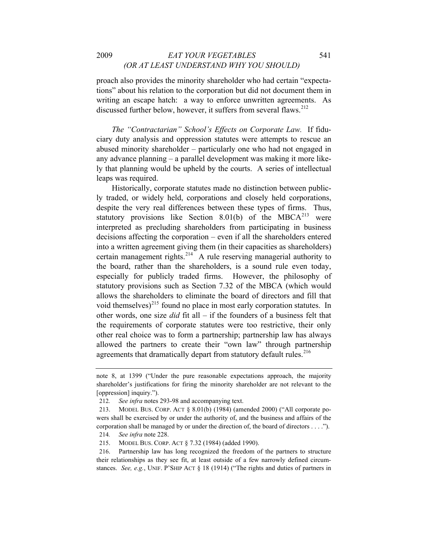proach also provides the minority shareholder who had certain "expectations" about his relation to the corporation but did not document them in writing an escape hatch: a way to enforce unwritten agreements. As discussed further below, however, it suffers from several flaws.<sup>[212](#page-51-0)</sup>

*The "Contractarian" School's Effects on Corporate Law.* If fiduciary duty analysis and oppression statutes were attempts to rescue an abused minority shareholder – particularly one who had not engaged in any advance planning – a parallel development was making it more likely that planning would be upheld by the courts. A series of intellectual leaps was required.

Historically, corporate statutes made no distinction between publicly traded, or widely held, corporations and closely held corporations, despite the very real differences between these types of firms. Thus, statutory provisions like Section 8.01(b) of the MBC $A^{213}$  $A^{213}$  $A^{213}$  were interpreted as precluding shareholders from participating in business decisions affecting the corporation – even if all the shareholders entered into a written agreement giving them (in their capacities as shareholders) certain management rights.<sup>[214](#page-51-2)</sup> A rule reserving managerial authority to the board, rather than the shareholders, is a sound rule even today, especially for publicly traded firms. However, the philosophy of statutory provisions such as Section 7.32 of the MBCA (which would allows the shareholders to eliminate the board of directors and fill that void themselves)<sup>[215](#page-51-3)</sup> found no place in most early corporation statutes. In other words, one size *did* fit all – if the founders of a business felt that the requirements of corporate statutes were too restrictive, their only other real choice was to form a partnership; partnership law has always allowed the partners to create their "own law" through partnership agreements that dramatically depart from statutory default rules.<sup>[216](#page-51-4)</sup>

note 8, at 1399 ("Under the pure reasonable expectations approach, the majority shareholder's justifications for firing the minority shareholder are not relevant to the [oppression] inquiry.").

<sup>212</sup>*. See infra* notes 293-98 and accompanying text.

<span id="page-51-1"></span><span id="page-51-0"></span><sup>213.</sup> MODEL BUS. CORP. ACT § 8.01(b) (1984) (amended 2000) ("All corporate powers shall be exercised by or under the authority of, and the business and affairs of the corporation shall be managed by or under the direction of, the board of directors . . . ."). 214*. See infra* note 228.

<sup>215.</sup> MODEL BUS. CORP. ACT § 7.32 (1984) (added 1990).

<span id="page-51-4"></span><span id="page-51-3"></span><span id="page-51-2"></span><sup>216.</sup> Partnership law has long recognized the freedom of the partners to structure their relationships as they see fit, at least outside of a few narrowly defined circumstances. *See, e.g.*, UNIF. P'SHIP ACT § 18 (1914) ("The rights and duties of partners in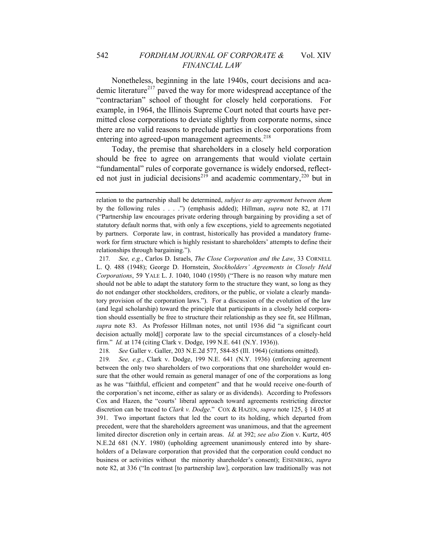Nonetheless, beginning in the late 1940s, court decisions and aca-demic literature<sup>[217](#page-52-0)</sup> paved the way for more widespread acceptance of the "contractarian" school of thought for closely held corporations. For example, in 1964, the Illinois Supreme Court noted that courts have permitted close corporations to deviate slightly from corporate norms, since there are no valid reasons to preclude parties in close corporations from entering into agreed-upon management agreements.<sup>[218](#page-52-1)</sup>

Today, the premise that shareholders in a closely held corporation should be free to agree on arrangements that would violate certain "fundamental" rules of corporate governance is widely endorsed, reflect-ed not just in judicial decisions<sup>[219](#page-52-2)</sup> and academic commentary,<sup>[220](#page-52-3)</sup> but in

218*. See* Galler v. Galler, 203 N.E.2d 577, 584-85 (Ill. 1964) (citations omitted).

<span id="page-52-2"></span><span id="page-52-1"></span>219*. See, e.g.*, Clark v. Dodge, 199 N.E. 641 (N.Y. 1936) (enforcing agreement between the only two shareholders of two corporations that one shareholder would ensure that the other would remain as general manager of one of the corporations as long as he was "faithful, efficient and competent" and that he would receive one-fourth of the corporation's net income, either as salary or as dividends). According to Professors Cox and Hazen, the "courts' liberal approach toward agreements restricting director discretion can be traced to *Clark v. Dodge*." COX & HAZEN, *supra* note 125, § 14.05 at 391. Two important factors that led the court to its holding, which departed from precedent, were that the shareholders agreement was unanimous, and that the agreement limited director discretion only in certain areas. *Id.* at 392; *see also* Zion v. Kurtz, 405 N.E.2d 681 (N.Y. 1980) (upholding agreement unanimously entered into by shareholders of a Delaware corporation that provided that the corporation could conduct no business or activities without the minority shareholder's consent); EISENBERG, *supra*  note 82, at 336 ("In contrast [to partnership law], corporation law traditionally was not

relation to the partnership shall be determined, *subject to any agreement between them* by the following rules . . . .") (emphasis added); Hillman, *supra* note 82, at 171 ("Partnership law encourages private ordering through bargaining by providing a set of statutory default norms that, with only a few exceptions, yield to agreements negotiated by partners. Corporate law, in contrast, historically has provided a mandatory framework for firm structure which is highly resistant to shareholders' attempts to define their relationships through bargaining.").

<span id="page-52-3"></span><span id="page-52-0"></span><sup>217</sup>*. See, e.g.*, Carlos D. Israels, *The Close Corporation and the Law*, 33 CORNELL L. Q. 488 (1948); George D. Hornstein, *Stockholders' Agreements in Closely Held Corporations*, 59 YALE L. J. 1040, 1040 (1950) ("There is no reason why mature men should not be able to adapt the statutory form to the structure they want, so long as they do not endanger other stockholders, creditors, or the public, or violate a clearly mandatory provision of the corporation laws."). For a discussion of the evolution of the law (and legal scholarship) toward the principle that participants in a closely held corporation should essentially be free to structure their relationship as they see fit, see Hillman, *supra* note 83. As Professor Hillman notes, not until 1936 did "a significant court decision actually mold[] corporate law to the special circumstances of a closely-held firm." *Id.* at 174 (citing Clark v. Dodge, 199 N.E. 641 (N.Y. 1936)).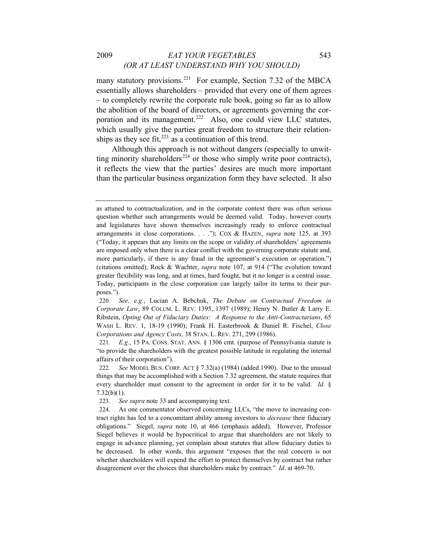#### 2009 *EAT YOUR VEGETABLES* 543 *(OR AT LEAST UNDERSTAND WHY YOU SHOULD)*

many statutory provisions.<sup>[221](#page-53-0)</sup> For example, Section 7.32 of the MBCA essentially allows shareholders – provided that every one of them agrees – to completely rewrite the corporate rule book, going so far as to allow the abolition of the board of directors, or agreements governing the cor-poration and its management.<sup>[222](#page-53-1)</sup> Also, one could view LLC statutes, which usually give the parties great freedom to structure their relationships as they see fit, $^{223}$  $^{223}$  $^{223}$  as a continuation of this trend.

Although this approach is not without dangers (especially to unwit-ting minority shareholders<sup>[224](#page-53-3)</sup> or those who simply write poor contracts), it reflects the view that the parties' desires are much more important than the particular business organization form they have selected. It also

as attuned to contractualization, and in the corporate context there was often serious question whether such arrangements would be deemed valid. Today, however courts and legislatures have shown themselves increasingly ready to enforce contractual arrangements in close corporations. . . ."); COX & HAZEN, *supra* note 125, at 393 ("Today, it appears that any limits on the scope or validity of shareholders' agreements are imposed only when there is a clear conflict with the governing corporate statute and, more particularly, if there is any fraud in the agreement's execution or operation.") (citations omitted); Rock & Wachter, *supra* note 107, at 914 ("The evolution toward greater flexibility was long, and at times, hard fought, but it no longer is a central issue. Today, participants in the close corporation can largely tailor its terms to their purposes.").

<sup>220</sup>*. See, e.g.*, Lucian A. Bebchuk, *The Debate on Contractual Freedom in Corporate Law*, 89 COLUM. L. REV. 1395, 1397 (1989); Henry N. Butler & Larry E. Ribstein, *Opting Out of Fiduciary Duties: A Response to the Anti-Contractarians*, 65 WASH L. REV. 1, 18-19 (1990); Frank H. Easterbrook & Daniel R. Fischel, *Close Corporations and Agency Costs*, 38 STAN. L. REV. 271, 299 (1986).

<span id="page-53-0"></span><sup>221</sup>*. E.g.*, 15 PA. CONS. STAT. ANN. § 1306 cmt. (purpose of Pennsylvania statute is "to provide the shareholders with the greatest possible latitude in regulating the internal affairs of their corporation").

<span id="page-53-1"></span><sup>222</sup>*. See* MODEL BUS. CORP. ACT § 7.32(a) (1984) (added 1990). Due to the unusual things that may be accomplished with a Section 7.32 agreement, the statute requires that every shareholder must consent to the agreement in order for it to be valid. *Id.* §  $7.32(b)(1)$ .

<sup>223</sup>*. See supra* note 33 and accompanying text.

<span id="page-53-3"></span><span id="page-53-2"></span><sup>224.</sup> As one commentator observed concerning LLCs, "the move to increasing contract rights has led to a concomitant ability among investors to *decrease* their fiduciary obligations." Siegel, *supra* note 10, at 466 (emphasis added). However, Professor Siegel believes it would be hypocritical to argue that shareholders are not likely to engage in advance planning, yet complain about statutes that allow fiduciary duties to be decreased. In other words, this argument "exposes that the real concern is not whether shareholders will expend the effort to protect themselves by contract but rather disagreement over the choices that shareholders make by contract." *Id*. at 469-70.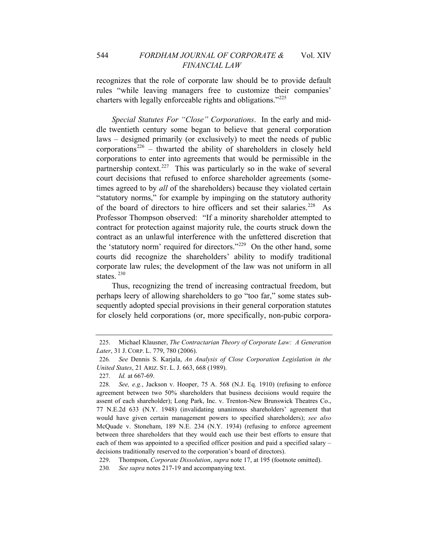### 544 *FORDHAM JOURNAL OF CORPORATE &* Vol. XIV *FINANCIAL LAW*

recognizes that the role of corporate law should be to provide default rules "while leaving managers free to customize their companies' charters with legally enforceable rights and obligations."[225](#page-54-0)

*Special Statutes For "Close" Corporations*. In the early and middle twentieth century some began to believe that general corporation laws – designed primarily (or exclusively) to meet the needs of public corporations<sup>[226](#page-54-1)</sup> – thwarted the ability of shareholders in closely held corporations to enter into agreements that would be permissible in the partnership context.<sup>[227](#page-54-2)</sup> This was particularly so in the wake of several court decisions that refused to enforce shareholder agreements (sometimes agreed to by *all* of the shareholders) because they violated certain "statutory norms," for example by impinging on the statutory authority of the board of directors to hire officers and set their salaries.<sup>[228](#page-54-3)</sup> As Professor Thompson observed: "If a minority shareholder attempted to contract for protection against majority rule, the courts struck down the contract as an unlawful interference with the unfettered discretion that the 'statutory norm' required for directors."[229](#page-54-4) On the other hand, some courts did recognize the shareholders' ability to modify traditional corporate law rules; the development of the law was not uniform in all states.<sup>[230](#page-54-5)</sup>

Thus, recognizing the trend of increasing contractual freedom, but perhaps leery of allowing shareholders to go "too far," some states subsequently adopted special provisions in their general corporation statutes for closely held corporations (or, more specifically, non-pubic corpora-

<span id="page-54-0"></span><sup>225.</sup> Michael Klausner, *The Contractarian Theory of Corporate Law: A Generation Later*, 31 J. CORP. L. 779, 780 (2006).

<span id="page-54-1"></span><sup>226</sup>*. See* Dennis S. Karjala, *An Analysis of Close Corporation Legislation in the United States*, 21 ARIZ. ST. L. J. 663, 668 (1989).

<sup>227</sup>*. Id.* at 667-69.

<span id="page-54-3"></span><span id="page-54-2"></span><sup>228</sup>*. See, e.g.*, Jackson v. Hooper, 75 A. 568 (N.J. Eq. 1910) (refusing to enforce agreement between two 50% shareholders that business decisions would require the assent of each shareholder); Long Park, Inc. v. Trenton-New Brunswick Theatres Co., 77 N.E.2d 633 (N.Y. 1948) (invalidating unanimous shareholders' agreement that would have given certain management powers to specified shareholders); *see also* McQuade v. Stoneham, 189 N.E. 234 (N.Y. 1934) (refusing to enforce agreement between three shareholders that they would each use their best efforts to ensure that each of them was appointed to a specified officer position and paid a specified salary – decisions traditionally reserved to the corporation's board of directors).

<span id="page-54-4"></span><sup>229.</sup> Thompson, *Corporate Dissolution*, *supra* note 17, at 195 (footnote omitted).

<span id="page-54-5"></span><sup>230</sup>*. See supra* notes 217-19 and accompanying text.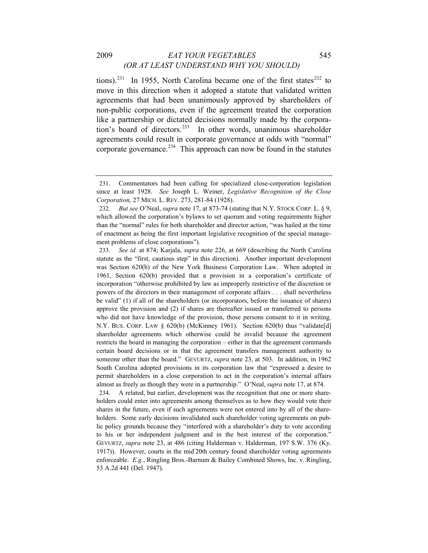# 2009 *EAT YOUR VEGETABLES* 545 *(OR AT LEAST UNDERSTAND WHY YOU SHOULD)*

tions).<sup>[231](#page-55-0)</sup> In 1955, North Carolina became one of the first states<sup>[232](#page-55-1)</sup> to move in this direction when it adopted a statute that validated written agreements that had been unanimously approved by shareholders of non-public corporations, even if the agreement treated the corporation like a partnership or dictated decisions normally made by the corpora-tion's board of directors.<sup>[233](#page-55-2)</sup> In other words, unanimous shareholder agreements could result in corporate governance at odds with "normal" corporate governance.<sup>[234](#page-55-3)</sup> This approach can now be found in the statutes

<span id="page-55-3"></span>234. A related, but earlier, development was the recognition that one or more shareholders could enter into agreements among themselves as to how they would vote their shares in the future, even if such agreements were not entered into by all of the shareholders. Some early decisions invalidated such shareholder voting agreements on public policy grounds because they "interfered with a shareholder's duty to vote according to his or her independent judgment and in the best interest of the corporation." GEVURTZ, *supra* note 23, at 486 (citing Halderman v. Halderman, 197 S.W. 376 (Ky. 1917)). However, courts in the mid-20th century found shareholder voting agreements enforceable. *E.g.*, Ringling Bros.-Barnum & Bailey Combined Shows, Inc. v. Ringling, 53 A.2d 441 (Del. 1947).

<span id="page-55-0"></span><sup>231.</sup> Commentators had been calling for specialized close-corporation legislation since at least 1928. *See* Joseph L. Weiner, *Legislative Recognition of the Close Corporation*, 27 MICH. L. REV. 273, 281-84 (1928).

<span id="page-55-1"></span><sup>232</sup>*. But see* O'Neal, *supra* note 17, at 873-74 (stating that N.Y. STOCK CORP. L. § 9, which allowed the corporation's bylaws to set quorum and voting requirements higher than the "normal" rules for both shareholder and director action, "was hailed at the time of enactment as being the first important legislative recognition of the special management problems of close corporations").

<span id="page-55-2"></span><sup>233</sup>*. See id.* at 874; Karjala, *supra* note 226, at 669 (describing the North Carolina statute as the "first, cautious step" in this direction). Another important development was Section 620(b) of the New York Business Corporation Law. When adopted in 1961, Section 620(b) provided that a provision in a corporation's certificate of incorporation "otherwise prohibited by law as improperly restrictive of the discretion or powers of the directors in their management of corporate affairs . . . shall nevertheless be valid" (1) if all of the shareholders (or incorporators, before the issuance of shares) approve the provision and (2) if shares are thereafter issued or transferred to persons who did not have knowledge of the provision, those persons consent to it in writing. N.Y. BUS. CORP. LAW § 620(b) (McKinney 1961). Section 620(b) thus "validate[d] shareholder agreements which otherwise could be invalid because the agreement restricts the board in managing the corporation – either in that the agreement commands certain board decisions or in that the agreement transfers management authority to someone other than the board." GEVURTZ, *supra* note 23, at 503. In addition, in 1962 South Carolina adopted provisions in its corporation law that "expressed a desire to permit shareholders in a close corporation to act in the corporation's internal affairs almost as freely as though they were in a partnership." O'Neal, *supra* note 17, at 874.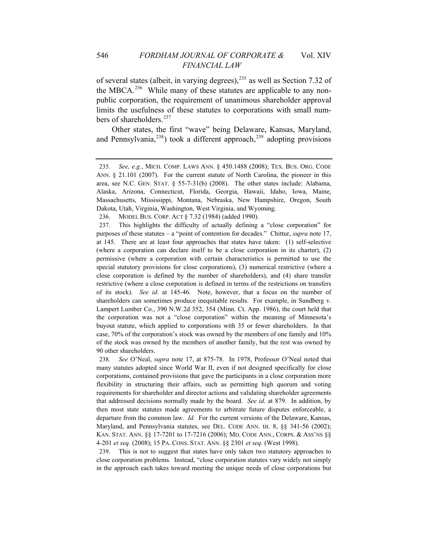of several states (albeit, in varying degrees), $^{235}$  $^{235}$  $^{235}$  as well as Section 7.32 of the MBCA.<sup>[236](#page-56-1)</sup> While many of these statutes are applicable to any nonpublic corporation, the requirement of unanimous shareholder approval limits the usefulness of these statutes to corporations with small num-bers of shareholders.<sup>[237](#page-56-2)</sup>

Other states, the first "wave" being Delaware, Kansas, Maryland, and Pennsylvania, $^{238}$  $^{238}$  $^{238}$ ) took a different approach, $^{239}$  $^{239}$  $^{239}$  adopting provisions

236. MODEL BUS. CORP. ACT § 7.32 (1984) (added 1990).

<span id="page-56-3"></span>238*. See* O'Neal, *supra* note 17, at 875-78. In 1978, Professor O'Neal noted that many statutes adopted since World War II, even if not designed specifically for close corporations, contained provisions that gave the participants in a close corporation more flexibility in structuring their affairs, such as permitting high quorum and voting requirements for shareholder and director actions and validating shareholder agreements that addressed decisions normally made by the board. *See id.* at 879. In addition, by then most state statutes made agreements to arbitrate future disputes enforceable, a departure from the common law. *Id.* For the current versions of the Delaware, Kansas, Maryland, and Pennsylvania statutes, see DEL. CODE ANN. tit. 8, §§ 341-56 (2002); KAN. STAT. ANN. §§ 17-7201 to 17-7216 (2006); MD. CODE ANN., CORPS. & ASS'NS §§ 4-201 *et seq.* (2008); 15 PA. CONS. STAT. ANN. §§ 2301 *et seq.* (West 1998).

<span id="page-56-4"></span>239. This is not to suggest that states have only taken two statutory approaches to close corporation problems. Instead, "close corporation statutes vary widely not simply in the approach each takes toward meeting the unique needs of close corporations but

<span id="page-56-0"></span><sup>235</sup>*. See, e.g.*, MICH. COMP. LAWS ANN. § 450.1488 (2008); TEX. BUS. ORG. CODE ANN. § 21.101 (2007). For the current statute of North Carolina, the pioneer in this area, see N.C. GEN. STAT. § 55-7-31(b) (2008). The other states include: Alabama, Alaska, Arizona, Connecticut, Florida, Georgia, Hawaii, Idaho, Iowa, Maine, Massachusetts, Mississippi, Montana, Nebraska, New Hampshire, Oregon, South Dakota, Utah, Virginia, Washington, West Virginia, and Wyoming.

<span id="page-56-2"></span><span id="page-56-1"></span><sup>237.</sup> This highlights the difficulty of actually defining a "close corporation" for purposes of these statutes – a "point of contention for decades." Chittur, *supra* note 17, at 145. There are at least four approaches that states have taken: (1) self-selective (where a corporation can declare itself to be a close corporation in its charter), (2) permissive (where a corporation with certain characteristics is permitted to use the special statutory provisions for close corporations), (3) numerical restrictive (where a close corporation is defined by the number of shareholders), and (4) share transfer restrictive (where a close corporation is defined in terms of the restrictions on transfers of its stock). *See id.* at 145-46. Note, however, that a focus on the number of shareholders can sometimes produce inequitable results. For example, in Sundberg v. Lampert Lumber Co., 390 N.W.2d 352, 354 (Minn. Ct. App. 1986), the court held that the corporation was not a "close corporation" within the meaning of Minnesota's buyout statute, which applied to corporations with 35 or fewer shareholders. In that case, 70% of the corporation's stock was owned by the members of one family and 10% of the stock was owned by the members of another family, but the rest was owned by 90 other shareholders.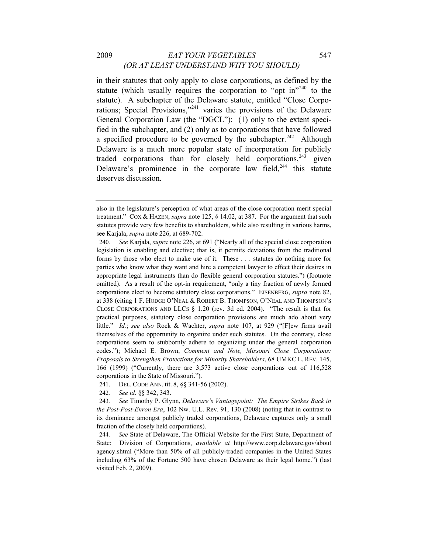### 2009 *EAT YOUR VEGETABLES* 547 *(OR AT LEAST UNDERSTAND WHY YOU SHOULD)*

in their statutes that only apply to close corporations, as defined by the statute (which usually requires the corporation to "opt in"<sup>[240](#page-57-0)</sup> to the statute). A subchapter of the Delaware statute, entitled "Close Corporations; Special Provisions,"[241](#page-57-1) varies the provisions of the Delaware General Corporation Law (the "DGCL"): (1) only to the extent specified in the subchapter, and (2) only as to corporations that have followed a specified procedure to be governed by the subchapter.<sup>[242](#page-57-2)</sup> Although Delaware is a much more popular state of incorporation for publicly traded corporations than for closely held corporations,  $243$  given Delaware's prominence in the corporate law field,  $244$  this statute deserves discussion.

- 241. DEL. CODE ANN. tit. 8, §§ 341-56 (2002).
- 242*. See id*. §§ 342, 343.

also in the legislature's perception of what areas of the close corporation merit special treatment." COX & HAZEN, *supra* note 125, § 14.02, at 387. For the argument that such statutes provide very few benefits to shareholders, while also resulting in various harms, see Karjala, *supra* note 226, at 689-702.

<span id="page-57-0"></span><sup>240</sup>*. See* Karjala, *supra* note 226, at 691 ("Nearly all of the special close corporation legislation is enabling and elective; that is, it permits deviations from the traditional forms by those who elect to make use of it. These . . . statutes do nothing more for parties who know what they want and hire a competent lawyer to effect their desires in appropriate legal instruments than do flexible general corporation statutes.") (footnote omitted). As a result of the opt-in requirement, "only a tiny fraction of newly formed corporations elect to become statutory close corporations." EISENBERG, *supra* note 82, at 338 (citing 1 F. HODGE O'NEAL & ROBERT B. THOMPSON, O'NEAL AND THOMPSON'S CLOSE CORPORATIONS AND LLCS § 1.20 (rev. 3d ed. 2004). "The result is that for practical purposes, statutory close corporation provisions are much ado about very little." *Id.*; *see also* Rock & Wachter, *supra* note 107, at 929 ("[F]ew firms avail themselves of the opportunity to organize under such statutes. On the contrary, close corporations seem to stubbornly adhere to organizing under the general corporation codes."); Michael E. Brown, *Comment and Note, Missouri Close Corporations: Proposals to Strengthen Protections for Minority Shareholders*, 68 UMKC L. REV. 145, 166 (1999) ("Currently, there are 3,573 active close corporations out of 116,528 corporations in the State of Missouri.").

<span id="page-57-3"></span><span id="page-57-2"></span><span id="page-57-1"></span><sup>243</sup>*. See* Timothy P. Glynn, *Delaware's Vantagepoint: The Empire Strikes Back in the Post-Post-Enron Era*, 102 Nw. U.L. Rev. 91, 130 (2008) (noting that in contrast to its dominance amongst publicly traded corporations, Delaware captures only a small fraction of the closely held corporations).

<span id="page-57-4"></span><sup>244</sup>*. See* State of Delaware, The Official Website for the First State, Department of State: Division of Corporations, *available at* http://www.corp.delaware.gov/about agency.shtml ("More than 50% of all publicly-traded companies in the United States including 63% of the Fortune 500 have chosen Delaware as their legal home.") (last visited Feb. 2, 2009).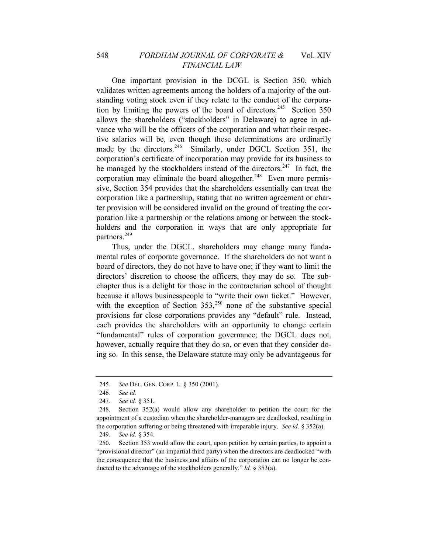One important provision in the DCGL is Section 350, which validates written agreements among the holders of a majority of the outstanding voting stock even if they relate to the conduct of the corpora-tion by limiting the powers of the board of directors.<sup>[245](#page-58-0)</sup> Section 350 allows the shareholders ("stockholders" in Delaware) to agree in advance who will be the officers of the corporation and what their respective salaries will be, even though these determinations are ordinarily made by the directors.<sup>[246](#page-58-1)</sup> Similarly, under DGCL Section 351, the corporation's certificate of incorporation may provide for its business to be managed by the stockholders instead of the directors.<sup>[247](#page-58-2)</sup> In fact, the corporation may eliminate the board altogether.<sup>[248](#page-58-3)</sup> Even more permissive, Section 354 provides that the shareholders essentially can treat the corporation like a partnership, stating that no written agreement or charter provision will be considered invalid on the ground of treating the corporation like a partnership or the relations among or between the stockholders and the corporation in ways that are only appropriate for partners.<sup>[249](#page-58-4)</sup>

Thus, under the DGCL, shareholders may change many fundamental rules of corporate governance. If the shareholders do not want a board of directors, they do not have to have one; if they want to limit the directors' discretion to choose the officers, they may do so. The subchapter thus is a delight for those in the contractarian school of thought because it allows businesspeople to "write their own ticket." However, with the exception of Section  $353$ ,  $250$  none of the substantive special provisions for close corporations provides any "default" rule. Instead, each provides the shareholders with an opportunity to change certain "fundamental" rules of corporation governance; the DGCL does not, however, actually require that they do so, or even that they consider doing so. In this sense, the Delaware statute may only be advantageous for

<span id="page-58-0"></span><sup>245</sup>*. See* DEL. GEN. CORP. L. § 350 (2001).

<sup>246</sup>*. See id.*

<sup>247</sup>*. See id.* § 351.

<span id="page-58-3"></span><span id="page-58-2"></span><span id="page-58-1"></span><sup>248.</sup> Section 352(a) would allow any shareholder to petition the court for the appointment of a custodian when the shareholder-managers are deadlocked, resulting in the corporation suffering or being threatened with irreparable injury. *See id.* § 352(a).

<sup>249</sup>*. See id.* § 354.

<span id="page-58-5"></span><span id="page-58-4"></span><sup>250.</sup> Section 353 would allow the court, upon petition by certain parties, to appoint a "provisional director" (an impartial third party) when the directors are deadlocked "with the consequence that the business and affairs of the corporation can no longer be conducted to the advantage of the stockholders generally." *Id.* § 353(a).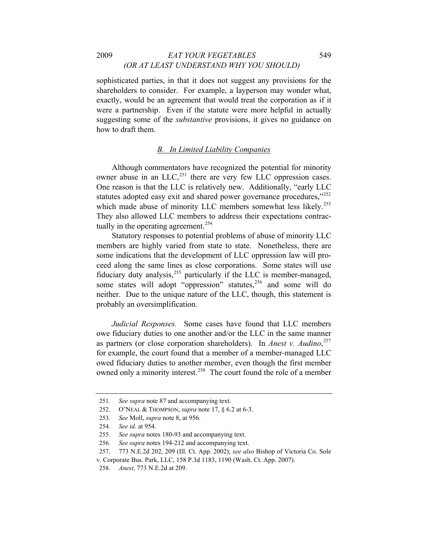#### 2009 *EAT YOUR VEGETABLES* 549 *(OR AT LEAST UNDERSTAND WHY YOU SHOULD)*

sophisticated parties, in that it does not suggest any provisions for the shareholders to consider. For example, a layperson may wonder what, exactly, would be an agreement that would treat the corporation as if it were a partnership. Even if the statute were more helpful in actually suggesting some of the *substantive* provisions, it gives no guidance on how to draft them.

#### *B. In Limited Liability Companies*

Although commentators have recognized the potential for minority owner abuse in an  $LLC<sub>1</sub><sup>251</sup>$  $LLC<sub>1</sub><sup>251</sup>$  $LLC<sub>1</sub><sup>251</sup>$  there are very few LLC oppression cases. One reason is that the LLC is relatively new. Additionally, "early LLC statutes adopted easy exit and shared power governance procedures,"[252](#page-59-1) which made abuse of minority LLC members somewhat less likely.<sup>[253](#page-59-2)</sup> They also allowed LLC members to address their expectations contrac-tually in the operating agreement.<sup>[254](#page-59-3)</sup>

Statutory responses to potential problems of abuse of minority LLC members are highly varied from state to state. Nonetheless, there are some indications that the development of LLC oppression law will proceed along the same lines as close corporations. Some states will use fiduciary duty analysis,[255](#page-59-4) particularly if the LLC is member-managed, some states will adopt "oppression" statutes,<sup>[256](#page-59-5)</sup> and some will do neither. Due to the unique nature of the LLC, though, this statement is probably an oversimplification.

*Judicial Responses.* Some cases have found that LLC members owe fiduciary duties to one another and/or the LLC in the same manner as partners (or close corporation shareholders). In *Anest v. Audino*, [257](#page-59-6) for example, the court found that a member of a member-managed LLC owed fiduciary duties to another member, even though the first member owned only a minority interest.<sup>[258](#page-59-7)</sup> The court found the role of a member

<span id="page-59-0"></span><sup>251</sup>*. See supra* note 87 and accompanying text.

<span id="page-59-1"></span><sup>252.</sup> O'NEAL & THOMPSON, *supra* note 17, § 6.2 at 6-3.

<span id="page-59-2"></span><sup>253</sup>*. See* Moll, *supra* note 8, at 956.

<span id="page-59-3"></span><sup>254</sup>*. See id.* at 954.

<sup>255</sup>*. See supra* notes 180-93 and accompanying text.

<sup>256</sup>*. See supra* notes 194-212 and accompanying text.

<span id="page-59-7"></span><span id="page-59-6"></span><span id="page-59-5"></span><span id="page-59-4"></span><sup>257. 773</sup> N.E.2d 202, 209 (Ill. Ct. App. 2002); *see also* Bishop of Victoria Co. Sole v. Corporate Bus. Park, LLC, 158 P.3d 1183, 1190 (Wash. Ct. App. 2007).

<sup>258</sup>*. Anest*, 773 N.E.2d at 209.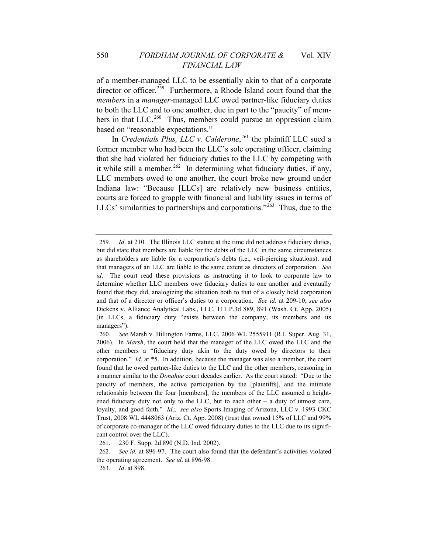of a member-managed LLC to be essentially akin to that of a corporate director or officer.<sup>[259](#page-60-0)</sup> Furthermore, a Rhode Island court found that the *members* in a *manager-*managed LLC owed partner-like fiduciary duties to both the LLC and to one another, due in part to the "paucity" of members in that  $LLC<sup>260</sup>$  $LLC<sup>260</sup>$  $LLC<sup>260</sup>$  Thus, members could pursue an oppression claim based on "reasonable expectations."

In *Credentials Plus, LLC v. Calderone*, [261](#page-60-2) the plaintiff LLC sued a former member who had been the LLC's sole operating officer, claiming that she had violated her fiduciary duties to the LLC by competing with it while still a member.<sup>[262](#page-60-3)</sup> In determining what fiduciary duties, if any, LLC members owed to one another, the court broke new ground under Indiana law: "Because [LLCs] are relatively new business entities, courts are forced to grapple with financial and liability issues in terms of LLCs' similarities to partnerships and corporations."[263](#page-60-4) Thus, due to the

<span id="page-60-0"></span><sup>259</sup>*. Id*. at 210. The Illinois LLC statute at the time did not address fiduciary duties, but did state that members are liable for the debts of the LLC in the same circumstances as shareholders are liable for a corporation's debts (i.e., veil-piercing situations), and that managers of an LLC are liable to the same extent as directors of corporation. *See id*. The court read these provisions as instructing it to look to corporate law to determine whether LLC members owe fiduciary duties to one another and eventually found that they did, analogizing the situation both to that of a closely held corporation and that of a director or officer's duties to a corporation. *See id.* at 209-10; *see also*  Dickens v. Alliance Analytical Labs., LLC, 111 P.3d 889, 891 (Wash. Ct. App. 2005) (in LLCs, a fiduciary duty "exists between the company, its members and its managers").

<span id="page-60-1"></span><sup>260</sup>*. See* Marsh v. Billington Farms, LLC, 2006 WL 2555911 (R.I. Super. Aug. 31, 2006). In *Marsh*, the court held that the manager of the LLC owed the LLC and the other members a "fiduciary duty akin to the duty owed by directors to their corporation." *Id*. at \*5. In addition, because the manager was also a member, the court found that he owed partner-like duties to the LLC and the other members, reasoning in a manner similar to the *Donahue* court decades earlier. As the court stated: "Due to the paucity of members, the active participation by the [plaintiffs], and the intimate relationship between the four [members], the members of the LLC assumed a heightened fiduciary duty not only to the LLC, but to each other  $-$  a duty of utmost care, loyalty, and good faith." *Id*.; *see also* Sports Imaging of Arizona, LLC v. 1993 CKC Trust, 2008 WL 4448063 (Ariz. Ct. App. 2008) (trust that owned 15% of LLC and 99% of corporate co-manager of the LLC owed fiduciary duties to the LLC due to its significant control over the LLC).

<sup>261. 230</sup> F. Supp. 2d 890 (N.D. Ind. 2002).

<span id="page-60-4"></span><span id="page-60-3"></span><span id="page-60-2"></span><sup>262</sup>*. See id.* at 896-97. The court also found that the defendant's activities violated the operating agreement. *See id*. at 896-98.

<sup>263</sup>*. Id*. at 898.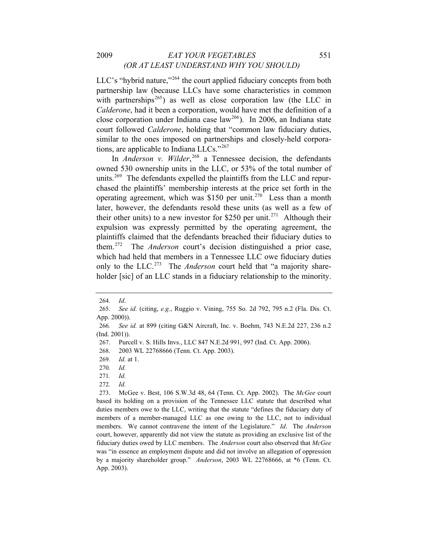### 2009 *EAT YOUR VEGETABLES* 551 *(OR AT LEAST UNDERSTAND WHY YOU SHOULD)*

LLC's "hybrid nature,"<sup>[264](#page-61-0)</sup> the court applied fiduciary concepts from both partnership law (because LLCs have some characteristics in common with partnerships<sup>[265](#page-61-1)</sup>) as well as close corporation law (the LLC in *Calderone*, had it been a corporation, would have met the definition of a close corporation under Indiana case law<sup>[266](#page-61-2)</sup>). In 2006, an Indiana state court followed *Calderone*, holding that "common law fiduciary duties, similar to the ones imposed on partnerships and closely-held corporations, are applicable to Indiana LLCs."[267](#page-61-3)

In *Anderson v. Wilder*<sup>[268](#page-61-4)</sup> a Tennessee decision, the defendants owned 530 ownership units in the LLC, or 53% of the total number of units.<sup>[269](#page-61-5)</sup> The defendants expelled the plaintiffs from the LLC and repurchased the plaintiffs' membership interests at the price set forth in the operating agreement, which was \$150 per unit.<sup>[270](#page-61-6)</sup> Less than a month later, however, the defendants resold these units (as well as a few of their other units) to a new investor for \$250 per unit.<sup>[271](#page-61-7)</sup> Although their expulsion was expressly permitted by the operating agreement, the plaintiffs claimed that the defendants breached their fiduciary duties to them.[272](#page-61-8) The *Anderson* court's decision distinguished a prior case, which had held that members in a Tennessee LLC owe fiduciary duties only to the LLC.<sup>[273](#page-61-9)</sup> The *Anderson* court held that "a majority shareholder [sic] of an LLC stands in a fiduciary relationship to the minority.

<sup>264</sup>*. Id*.

<span id="page-61-1"></span><span id="page-61-0"></span><sup>265</sup>*. See id.* (citing, *e.g.*, Ruggio v. Vining, 755 So. 2d 792, 795 n.2 (Fla. Dis. Ct. App. 2000)).

<span id="page-61-3"></span><span id="page-61-2"></span><sup>266</sup>*. See id.* at 899 (citing G&N Aircraft, Inc. v. Boehm, 743 N.E.2d 227, 236 n.2 (Ind. 2001)).

<sup>267.</sup> Purcell v. S. Hills Invs., LLC 847 N.E.2d 991, 997 (Ind. Ct. App. 2006).

<span id="page-61-4"></span><sup>268. 2003</sup> WL 22768666 (Tenn. Ct. App. 2003).

<span id="page-61-5"></span><sup>269</sup>*. Id.* at 1.

<span id="page-61-6"></span><sup>270</sup>*. Id.*

<sup>271</sup>*. Id.*

<sup>272</sup>*. Id.*

<span id="page-61-9"></span><span id="page-61-8"></span><span id="page-61-7"></span><sup>273.</sup> McGee v. Best, 106 S.W.3d 48, 64 (Tenn. Ct. App. 2002). The *McGee* court based its holding on a provision of the Tennessee LLC statute that described what duties members owe to the LLC, writing that the statute "defines the fiduciary duty of members of a member-managed LLC as one owing to the LLC, not to individual members. We cannot contravene the intent of the Legislature." *Id*. The *Anderson* court, however, apparently did not view the statute as providing an exclusive list of the fiduciary duties owed by LLC members. The *Anderson* court also observed that *McGee* was "in essence an employment dispute and did not involve an allegation of oppression by a majority shareholder group." *Anderson*, 2003 WL 22768666, at \*6 (Tenn. Ct. App. 2003).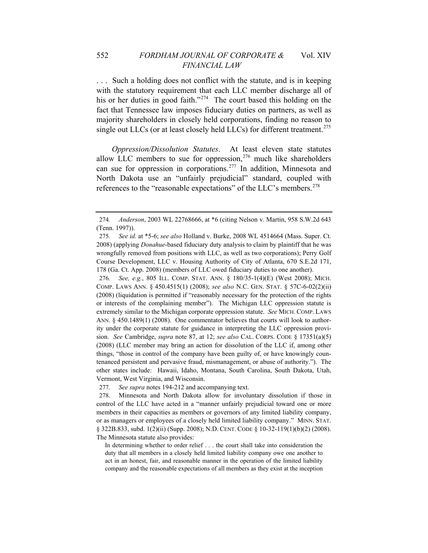. . . Such a holding does not conflict with the statute, and is in keeping with the statutory requirement that each LLC member discharge all of his or her duties in good faith."<sup>[274](#page-62-0)</sup> The court based this holding on the fact that Tennessee law imposes fiduciary duties on partners, as well as majority shareholders in closely held corporations, finding no reason to single out LLCs (or at least closely held LLCs) for different treatment.<sup>[275](#page-62-1)</sup>

references to the "reasonable expectations" of the LLC's members.<sup>278</sup> *Oppression/Dissolution Statutes*. At least eleven state statutes allow LLC members to sue for oppression, $276$  much like shareholders can sue for oppression in corporations.<sup>[277](#page-62-3)</sup> In addition, Minnesota and North Dakota use an "unfairly prejudicial" standard, coupled with

<span id="page-62-2"></span>276*. See, e.g.*, 805 ILL. COMP. STAT. ANN. § 180/35-1(4)(E) (West 2008); MICH. COMP. LAWS ANN. § 450.4515(1) (2008); *see also* N.C. GEN. STAT. § 57C-6-02(2)(ii) (2008) (liquidation is permitted if "reasonably necessary for the protection of the rights or interests of the complaining member"). The Michigan LLC oppression statute is extremely similar to the Michigan corporate oppression statute. *See* MICH. COMP. LAWS ANN. § 450.1489(1) (2008). One commentator believes that courts will look to authority under the corporate statute for guidance in interpreting the LLC oppression provision. *See* Cambridge, *supra* note 87, at 12; *see also* CAL. CORPS. CODE § 17351(a)(5) (2008) (LLC member may bring an action for dissolution of the LLC if, among other things, "those in control of the company have been guilty of, or have knowingly countenanced persistent and pervasive fraud, mismanagement, or abuse of authority."). The other states include: Hawaii, Idaho, Montana, South Carolina, South Dakota, Utah, Vermont, West Virginia, and Wisconsin.

<span id="page-62-0"></span><sup>274</sup>*. Anderson*, 2003 WL 22768666, at \*6 (citing Nelson v. Martin, 958 S.W.2d 643 (Tenn. 1997)).

<span id="page-62-1"></span><sup>275</sup>*. See id.* at \*5-6; *see also* Holland v. Burke, 2008 WL 4514664 (Mass. Super. Ct. 2008) (applying *Donahue*-based fiduciary duty analysis to claim by plaintiff that he was wrongfully removed from positions with LLC, as well as two corporations); Perry Golf Course Development, LLC v. Housing Authority of City of Atlanta, 670 S.E.2d 171, 178 (Ga. Ct. App. 2008) (members of LLC owed fiduciary duties to one another).

<sup>277</sup>*. See supra* notes 194-212 and accompanying text.

<span id="page-62-3"></span><sup>278.</sup> Minnesota and North Dakota allow for involuntary dissolution if those in control of the LLC have acted in a "manner unfairly prejudicial toward one or more members in their capacities as members or governors of any limited liability company, or as managers or employees of a closely held limited liability company." MINN. STAT. § 322B.833, subd. 1(2)(ii) (Supp. 2008); N.D. CENT. CODE § 10-32-119(1)(b)(2) (2008). The Minnesota statute also provides:

In determining whether to order relief . . . the court shall take into consideration the duty that all members in a closely held limited liability company owe one another to act in an honest, fair, and reasonable manner in the operation of the limited liability company and the reasonable expectations of all members as they exist at the inception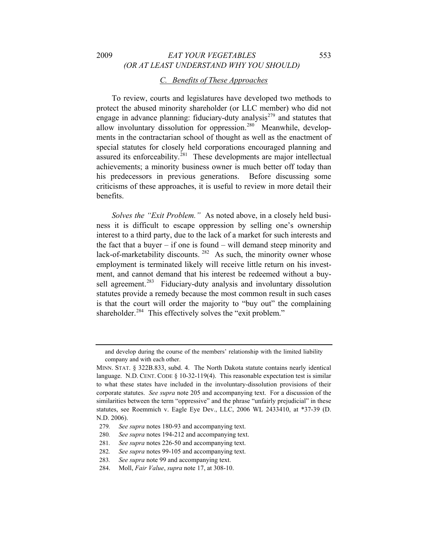# 2009 *EAT YOUR VEGETABLES* 553 *(OR AT LEAST UNDERSTAND WHY YOU SHOULD)*

## *C. Benefits of These Approaches*

To review, courts and legislatures have developed two methods to protect the abused minority shareholder (or LLC member) who did not engage in advance planning: fiduciary-duty analysis<sup> $279$ </sup> and statutes that allow involuntary dissolution for oppression.<sup>[280](#page-63-1)</sup> Meanwhile, developments in the contractarian school of thought as well as the enactment of special statutes for closely held corporations encouraged planning and assured its enforceability.<sup>[281](#page-63-2)</sup> These developments are major intellectual achievements; a minority business owner is much better off today than his predecessors in previous generations. Before discussing some criticisms of these approaches, it is useful to review in more detail their benefits.

*Solves the "Exit Problem."* As noted above, in a closely held business it is difficult to escape oppression by selling one's ownership interest to a third party, due to the lack of a market for such interests and the fact that a buyer – if one is found – will demand steep minority and lack-of-marketability discounts.  $282$  As such, the minority owner whose employment is terminated likely will receive little return on his investment, and cannot demand that his interest be redeemed without a buy-sell agreement.<sup>[283](#page-63-4)</sup> Fiduciary-duty analysis and involuntary dissolution statutes provide a remedy because the most common result in such cases is that the court will order the majority to "buy out" the complaining shareholder.<sup>[284](#page-63-5)</sup> This effectively solves the "exit problem."

and develop during the course of the members' relationship with the limited liability company and with each other.

MINN. STAT. § 322B.833, subd. 4. The North Dakota statute contains nearly identical language. N.D. CENT. CODE § 10-32-119(4). This reasonable expectation test is similar to what these states have included in the involuntary-dissolution provisions of their corporate statutes. *See supra* note 205 and accompanying text. For a discussion of the similarities between the term "oppressive" and the phrase "unfairly prejudicial" in these statutes, see Roemmich v. Eagle Eye Dev., LLC, 2006 WL 2433410, at \*37-39 (D. N.D. 2006).

<span id="page-63-0"></span><sup>279</sup>*. See supra* notes 180-93 and accompanying text.

<span id="page-63-1"></span><sup>280</sup>*. See supra* notes 194-212 and accompanying text.

<span id="page-63-2"></span><sup>281</sup>*. See supra* notes 226-50 and accompanying text.

<span id="page-63-3"></span><sup>282</sup>*. See supra* notes 99-105 and accompanying text.

<span id="page-63-5"></span><span id="page-63-4"></span><sup>283</sup>*. See supra* note 99 and accompanying text.

<sup>284.</sup> Moll, *Fair Value*, *supra* note 17, at 308-10.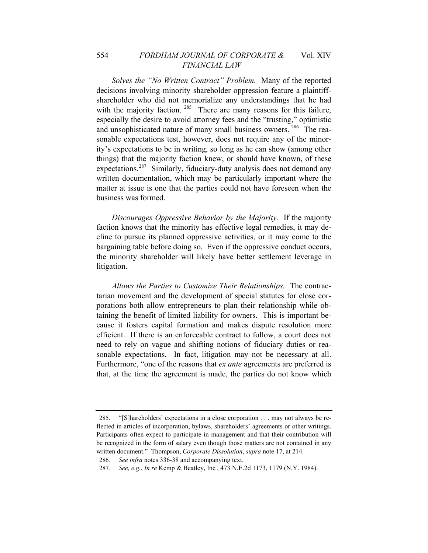### 554 *FORDHAM JOURNAL OF CORPORATE &* Vol. XIV *FINANCIAL LAW*

*Solves the "No Written Contract" Problem.* Many of the reported decisions involving minority shareholder oppression feature a plaintiffshareholder who did not memorialize any understandings that he had with the majority faction.  $285$  There are many reasons for this failure, especially the desire to avoid attorney fees and the "trusting," optimistic and unsophisticated nature of many small business owners.<sup>[286](#page-64-1)</sup> The reasonable expectations test, however, does not require any of the minority's expectations to be in writing, so long as he can show (among other things) that the majority faction knew, or should have known, of these expectations.<sup>[287](#page-64-2)</sup> Similarly, fiduciary-duty analysis does not demand any written documentation, which may be particularly important where the matter at issue is one that the parties could not have foreseen when the business was formed.

*Discourages Oppressive Behavior by the Majority.* If the majority faction knows that the minority has effective legal remedies, it may decline to pursue its planned oppressive activities, or it may come to the bargaining table before doing so. Even if the oppressive conduct occurs, the minority shareholder will likely have better settlement leverage in litigation.

*Allows the Parties to Customize Their Relationships.* The contractarian movement and the development of special statutes for close corporations both allow entrepreneurs to plan their relationship while obtaining the benefit of limited liability for owners. This is important because it fosters capital formation and makes dispute resolution more efficient. If there is an enforceable contract to follow, a court does not need to rely on vague and shifting notions of fiduciary duties or reasonable expectations. In fact, litigation may not be necessary at all. Furthermore, "one of the reasons that *ex ante* agreements are preferred is that, at the time the agreement is made, the parties do not know which

<span id="page-64-0"></span><sup>285. &</sup>quot;[S]hareholders' expectations in a close corporation . . . may not always be reflected in articles of incorporation, bylaws, shareholders' agreements or other writings. Participants often expect to participate in management and that their contribution will be recognized in the form of salary even though those matters are not contained in any written document." Thompson, *Corporate Dissolution*, *supra* note 17, at 214.

<span id="page-64-1"></span><sup>286</sup>*. See infra* notes 336-38 and accompanying text.

<span id="page-64-2"></span><sup>287</sup>*. See, e.g.*, *In re* Kemp & Beatley, Inc*.*, 473 N.E.2d 1173, 1179 (N.Y. 1984).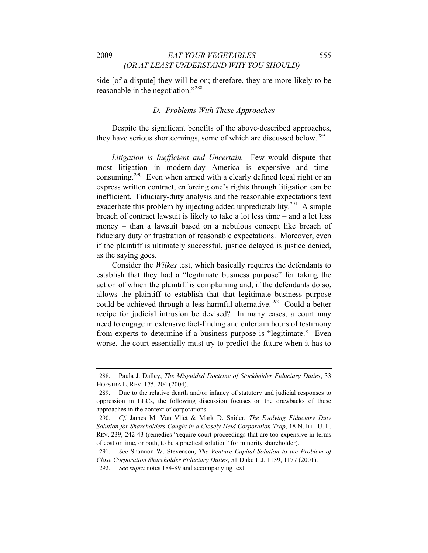side [of a dispute] they will be on; therefore, they are more likely to be reasonable in the negotiation."[288](#page-65-0)

#### *D. Problems With These Approaches*

Despite the significant benefits of the above-described approaches, they have serious shortcomings, some of which are discussed below.<sup>[289](#page-65-1)</sup>

*Litigation is Inefficient and Uncertain.* Few would dispute that most litigation in modern-day America is expensive and time-consuming.<sup>[290](#page-65-2)</sup> Even when armed with a clearly defined legal right or an express written contract, enforcing one's rights through litigation can be inefficient. Fiduciary-duty analysis and the reasonable expectations text exacerbate this problem by injecting added unpredictability.<sup>[291](#page-65-3)</sup> A simple breach of contract lawsuit is likely to take a lot less time – and a lot less money – than a lawsuit based on a nebulous concept like breach of fiduciary duty or frustration of reasonable expectations. Moreover, even if the plaintiff is ultimately successful, justice delayed is justice denied, as the saying goes.

Consider the *Wilkes* test, which basically requires the defendants to establish that they had a "legitimate business purpose" for taking the action of which the plaintiff is complaining and, if the defendants do so, allows the plaintiff to establish that that legitimate business purpose could be achieved through a less harmful alternative.<sup>[292](#page-65-4)</sup> Could a better recipe for judicial intrusion be devised? In many cases, a court may need to engage in extensive fact-finding and entertain hours of testimony from experts to determine if a business purpose is "legitimate." Even worse, the court essentially must try to predict the future when it has to

<span id="page-65-0"></span><sup>288.</sup> Paula J. Dalley, *The Misguided Doctrine of Stockholder Fiduciary Duties*, 33 HOFSTRA L. REV. 175, 204 (2004).

<span id="page-65-1"></span><sup>289.</sup> Due to the relative dearth and/or infancy of statutory and judicial responses to oppression in LLCs, the following discussion focuses on the drawbacks of these approaches in the context of corporations.

<span id="page-65-2"></span><sup>290</sup>*. Cf.* James M. Van Vliet & Mark D. Snider, *The Evolving Fiduciary Duty Solution for Shareholders Caught in a Closely Held Corporation Trap*, 18 N. ILL. U. L. REV. 239, 242-43 (remedies "require court proceedings that are too expensive in terms of cost or time, or both, to be a practical solution" for minority shareholder).

<span id="page-65-3"></span><sup>291</sup>*. See* Shannon W. Stevenson, *The Venture Capital Solution to the Problem of Close Corporation Shareholder Fiduciary Duties*, 51 Duke L.J. 1139, 1177 (2001).

<span id="page-65-4"></span><sup>292</sup>*. See supra* notes 184-89 and accompanying text.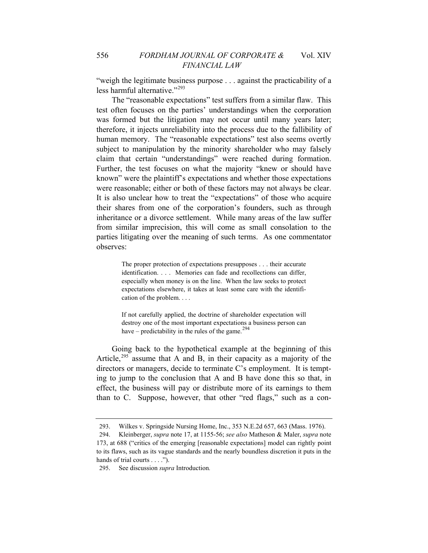"weigh the legitimate business purpose . . . against the practicability of a less harmful alternative."[293](#page-66-0)

The "reasonable expectations" test suffers from a similar flaw. This test often focuses on the parties' understandings when the corporation was formed but the litigation may not occur until many years later; therefore, it injects unreliability into the process due to the fallibility of human memory. The "reasonable expectations" test also seems overtly subject to manipulation by the minority shareholder who may falsely claim that certain "understandings" were reached during formation. Further, the test focuses on what the majority "knew or should have known" were the plaintiff's expectations and whether those expectations were reasonable; either or both of these factors may not always be clear. It is also unclear how to treat the "expectations" of those who acquire their shares from one of the corporation's founders, such as through inheritance or a divorce settlement. While many areas of the law suffer from similar imprecision, this will come as small consolation to the parties litigating over the meaning of such terms. As one commentator observes:

> The proper protection of expectations presupposes . . . their accurate identification. . . . Memories can fade and recollections can differ, especially when money is on the line. When the law seeks to protect expectations elsewhere, it takes at least some care with the identification of the problem. . . .

> If not carefully applied, the doctrine of shareholder expectation will destroy one of the most important expectations a business person can have – predictability in the rules of the game.<sup>[294](#page-66-1)</sup>

Going back to the hypothetical example at the beginning of this Article,<sup>[295](#page-66-2)</sup> assume that A and B, in their capacity as a majority of the directors or managers, decide to terminate C's employment. It is tempting to jump to the conclusion that A and B have done this so that, in effect, the business will pay or distribute more of its earnings to them than to C. Suppose, however, that other "red flags," such as a con-

<sup>293.</sup> Wilkes v. Springside Nursing Home, Inc., 353 N.E.2d 657, 663 (Mass. 1976).

<span id="page-66-1"></span><span id="page-66-0"></span><sup>294.</sup> Kleinberger, *supra* note 17, at 1155-56; *see also* Matheson & Maler, *supra* note 173, at 688 ("critics of the emerging [reasonable expectations] model can rightly point to its flaws, such as its vague standards and the nearly boundless discretion it puts in the hands of trial courts . . . .").

<span id="page-66-2"></span><sup>295.</sup> See discussion *supra* Introduction*.*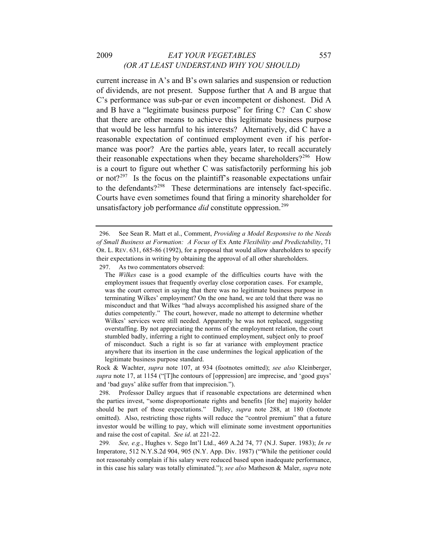## 2009 *EAT YOUR VEGETABLES* 557 *(OR AT LEAST UNDERSTAND WHY YOU SHOULD)*

current increase in A's and B's own salaries and suspension or reduction of dividends, are not present. Suppose further that A and B argue that C's performance was sub-par or even incompetent or dishonest. Did A and B have a "legitimate business purpose" for firing C? Can C show that there are other means to achieve this legitimate business purpose that would be less harmful to his interests? Alternatively, did C have a reasonable expectation of continued employment even if his performance was poor? Are the parties able, years later, to recall accurately their reasonable expectations when they became shareholders?<sup>[296](#page-67-0)</sup> How is a court to figure out whether C was satisfactorily performing his job or not?<sup>[297](#page-67-1)</sup> Is the focus on the plaintiff's reasonable expectations unfair to the defendants?<sup>[298](#page-67-2)</sup> These determinations are intensely fact-specific. Courts have even sometimes found that firing a minority shareholder for unsatisfactory job performance *did* constitute oppression.<sup>[299](#page-67-3)</sup>

<span id="page-67-1"></span>297. As two commentators observed:

Rock & Wachter, *supra* note 107, at 934 (footnotes omitted); *see also* Kleinberger, *supra* note 17, at 1154 ("[T]he contours of [oppression] are imprecise, and 'good guys' and 'bad guys' alike suffer from that imprecision.").

<span id="page-67-2"></span>298. Professor Dalley argues that if reasonable expectations are determined when the parties invest, "some disproportionate rights and benefits [for the] majority holder should be part of those expectations." Dalley, *supra* note 288, at 180 (footnote omitted). Also, restricting those rights will reduce the "control premium" that a future investor would be willing to pay, which will eliminate some investment opportunities and raise the cost of capital. *See id*. at 221-22.

<span id="page-67-3"></span>299*. See, e.g.*, Hughes v. Sego Int'l Ltd., 469 A.2d 74, 77 (N.J. Super. 1983); *In re* Imperatore, 512 N.Y.S.2d 904, 905 (N.Y. App. Div. 1987) ("While the petitioner could not reasonably complain if his salary were reduced based upon inadequate performance, in this case his salary was totally eliminated."); *see also* Matheson & Maler, *supra* note

<span id="page-67-0"></span><sup>296.</sup> See Sean R. Matt et al., Comment, *Providing a Model Responsive to the Needs of Small Business at Formation: A Focus of* Ex Ante *Flexibility and Predictability*, 71 OR. L. REV. 631, 685-86 (1992), for a proposal that would allow shareholders to specify their expectations in writing by obtaining the approval of all other shareholders.

The *Wilkes* case is a good example of the difficulties courts have with the employment issues that frequently overlay close corporation cases. For example, was the court correct in saying that there was no legitimate business purpose in terminating Wilkes' employment? On the one hand, we are told that there was no misconduct and that Wilkes "had always accomplished his assigned share of the duties competently." The court, however, made no attempt to determine whether Wilkes' services were still needed. Apparently he was not replaced, suggesting overstaffing. By not appreciating the norms of the employment relation, the court stumbled badly, inferring a right to continued employment, subject only to proof of misconduct. Such a right is so far at variance with employment practice anywhere that its insertion in the case undermines the logical application of the legitimate business purpose standard.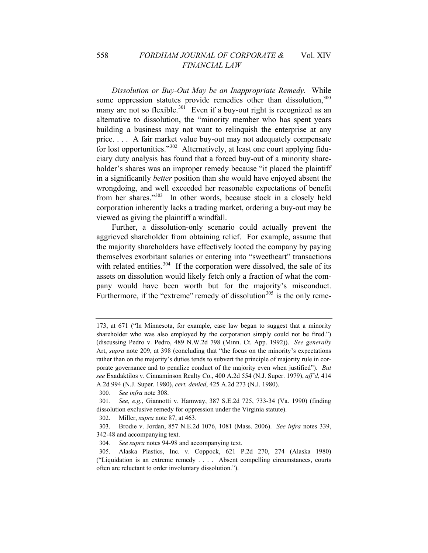#### 558 *FORDHAM JOURNAL OF CORPORATE &* Vol. XIV *FINANCIAL LAW*

*Dissolution or Buy-Out May be an Inappropriate Remedy.* While some oppression statutes provide remedies other than dissolution,  $300$ many are not so flexible.<sup>[301](#page-68-1)</sup> Even if a buy-out right is recognized as an alternative to dissolution, the "minority member who has spent years building a business may not want to relinquish the enterprise at any price. . . . A fair market value buy-out may not adequately compensate for lost opportunities."<sup>[302](#page-68-2)</sup> Alternatively, at least one court applying fiduciary duty analysis has found that a forced buy-out of a minority shareholder's shares was an improper remedy because "it placed the plaintiff in a significantly *better* position than she would have enjoyed absent the wrongdoing, and well exceeded her reasonable expectations of benefit from her shares."[303](#page-68-3) In other words, because stock in a closely held corporation inherently lacks a trading market, ordering a buy-out may be viewed as giving the plaintiff a windfall.

Further, a dissolution-only scenario could actually prevent the aggrieved shareholder from obtaining relief. For example, assume that the majority shareholders have effectively looted the company by paying themselves exorbitant salaries or entering into "sweetheart" transactions with related entities.<sup>[304](#page-68-4)</sup> If the corporation were dissolved, the sale of its assets on dissolution would likely fetch only a fraction of what the company would have been worth but for the majority's misconduct. Furthermore, if the "extreme" remedy of dissolution $305$  is the only reme-

<sup>173,</sup> at 671 ("In Minnesota, for example, case law began to suggest that a minority shareholder who was also employed by the corporation simply could not be fired.") (discussing Pedro v. Pedro, 489 N.W.2d 798 (Minn. Ct. App. 1992)). *See generally* Art, *supra* note 209, at 398 (concluding that "the focus on the minority's expectations rather than on the majority's duties tends to subvert the principle of majority rule in corporate governance and to penalize conduct of the majority even when justified"). *But see* Exadaktilos v. Cinnaminson Realty Co., 400 A.2d 554 (N.J. Super. 1979), *aff'd*, 414 A.2d 994 (N.J. Super. 1980), *cert. denied*, 425 A.2d 273 (N.J. 1980).

<sup>300</sup>*. See infra* note 308.

<span id="page-68-1"></span><span id="page-68-0"></span><sup>301</sup>*. See, e.g.*, Giannotti v. Hamway, 387 S.E.2d 725, 733-34 (Va. 1990) (finding dissolution exclusive remedy for oppression under the Virginia statute).

<sup>302.</sup> Miller, *supra* note 87, at 463.

<span id="page-68-3"></span><span id="page-68-2"></span><sup>303.</sup> Brodie v. Jordan, 857 N.E.2d 1076, 1081 (Mass. 2006). *See infra* notes 339, 342-48 and accompanying text.

<sup>304</sup>*. See supra* notes 94-98 and accompanying text.

<span id="page-68-5"></span><span id="page-68-4"></span><sup>305.</sup> Alaska Plastics, Inc. v. Coppock, 621 P.2d 270, 274 (Alaska 1980) ("Liquidation is an extreme remedy . . . . Absent compelling circumstances, courts often are reluctant to order involuntary dissolution.").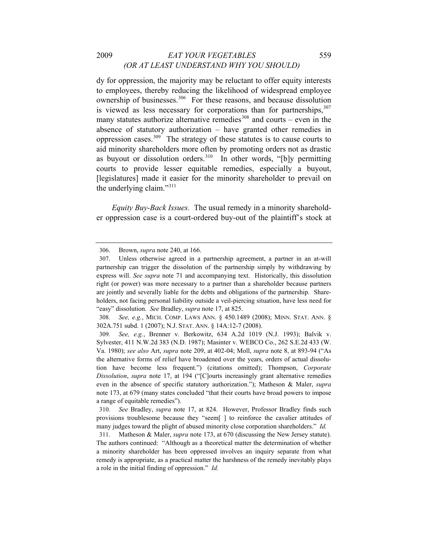#### 2009 *EAT YOUR VEGETABLES* 559 *(OR AT LEAST UNDERSTAND WHY YOU SHOULD)*

dy for oppression, the majority may be reluctant to offer equity interests to employees, thereby reducing the likelihood of widespread employee ownership of businesses.<sup>[306](#page-69-0)</sup> For these reasons, and because dissolution is viewed as less necessary for corporations than for partnerships,  $307$ many statutes authorize alternative remedies<sup>[308](#page-69-2)</sup> and courts – even in the absence of statutory authorization – have granted other remedies in oppression cases. $309$  The strategy of these statutes is to cause courts to aid minority shareholders more often by promoting orders not as drastic as buyout or dissolution orders.<sup>[310](#page-69-4)</sup> In other words, "[b]y permitting courts to provide lesser equitable remedies, especially a buyout, [legislatures] made it easier for the minority shareholder to prevail on the underlying claim."<sup>[311](#page-69-5)</sup>

*Equity Buy-Back Issues.* The usual remedy in a minority shareholder oppression case is a court-ordered buy-out of the plaintiff's stock at

<sup>306.</sup> Brown, *supra* note 240, at 166.

<span id="page-69-1"></span><span id="page-69-0"></span><sup>307.</sup> Unless otherwise agreed in a partnership agreement, a partner in an at-will partnership can trigger the dissolution of the partnership simply by withdrawing by express will. *See supra* note 71 and accompanying text. Historically, this dissolution right (or power) was more necessary to a partner than a shareholder because partners are jointly and severally liable for the debts and obligations of the partnership. Shareholders, not facing personal liability outside a veil-piercing situation, have less need for "easy" dissolution. *See* Bradley, *supra* note 17, at 825.

<span id="page-69-2"></span><sup>308</sup>*. See, e.g.*, MICH. COMP. LAWS ANN. § 450.1489 (2008); MINN. STAT. ANN. § 302A.751 subd. 1 (2007); N.J. STAT. ANN. § 14A:12-7 (2008).

<span id="page-69-3"></span><sup>309</sup>*. See, e.g.*, Brenner v. Berkowitz, 634 A.2d 1019 (N.J. 1993); Balvik v. Sylvester, 411 N.W.2d 383 (N.D. 1987); Masinter v. WEBCO Co., 262 S.E.2d 433 (W. Va. 1980); *see also* Art, *supra* note 209, at 402-04; Moll, *supra* note 8, at 893-94 ("As the alternative forms of relief have broadened over the years, orders of actual dissolution have become less frequent.") (citations omitted); Thompson, *Corporate Dissolution*, *supra* note 17, at 194 ("[C]ourts increasingly grant alternative remedies even in the absence of specific statutory authorization."); Matheson & Maler, *supra* note 173, at 679 (many states concluded "that their courts have broad powers to impose a range of equitable remedies").

<span id="page-69-4"></span><sup>310</sup>*. See* Bradley, *supra* note 17, at 824. However, Professor Bradley finds such provisions troublesome because they "seem[ ] to reinforce the cavalier attitudes of many judges toward the plight of abused minority close corporation shareholders." *Id.* 

<span id="page-69-5"></span><sup>311.</sup> Matheson & Maler, *supra* note 173, at 670 (discussing the New Jersey statute). The authors continued: "Although as a theoretical matter the determination of whether a minority shareholder has been oppressed involves an inquiry separate from what remedy is appropriate, as a practical matter the harshness of the remedy inevitably plays a role in the initial finding of oppression." *Id.*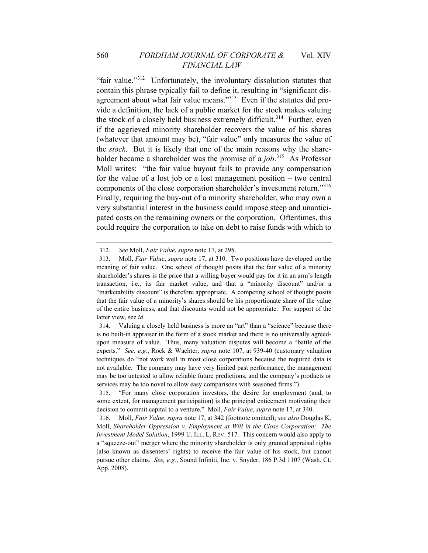"fair value."[312](#page-70-0) Unfortunately, the involuntary dissolution statutes that contain this phrase typically fail to define it, resulting in "significant dis-agreement about what fair value means."<sup>[313](#page-70-1)</sup> Even if the statutes did provide a definition, the lack of a public market for the stock makes valuing the stock of a closely held business extremely difficult.<sup>[314](#page-70-2)</sup> Further, even if the aggrieved minority shareholder recovers the value of his shares (whatever that amount may be), "fair value" only measures the value of the *stock*. But it is likely that one of the main reasons why the shareholder became a shareholder was the promise of a *job*. [315](#page-70-3) As Professor Moll writes: "the fair value buyout fails to provide any compensation for the value of a lost job or a lost management position – two central components of the close corporation shareholder's investment return."[316](#page-70-4) Finally, requiring the buy-out of a minority shareholder, who may own a very substantial interest in the business could impose steep and unanticipated costs on the remaining owners or the corporation. Oftentimes, this could require the corporation to take on debt to raise funds with which to

<sup>312</sup>*. See* Moll, *Fair Value*, *supra* note 17, at 295.

<span id="page-70-1"></span><span id="page-70-0"></span><sup>313.</sup> Moll, *Fair Value*, *supra* note 17, at 310. Two positions have developed on the meaning of fair value. One school of thought posits that the fair value of a minority shareholder's shares is the price that a willing buyer would pay for it in an arm's length transaction, i.e., its fair market value, and that a "minority discount" and/or a "marketability discount" is therefore appropriate. A competing school of thought posits that the fair value of a minority's shares should be his proportionate share of the value of the entire business, and that discounts would not be appropriate. For support of the latter view, see *id*.

<span id="page-70-2"></span><sup>314.</sup> Valuing a closely held business is more an "art" than a "science" because there is no built-in appraiser in the form of a stock market and there is no universally agreedupon measure of value. Thus, many valuation disputes will become a "battle of the experts." *See, e.g.*, Rock & Wachter, *supra* note 107, at 939-40 (customary valuation techniques do "not work well in most close corporations because the required data is not available. The company may have very limited past performance, the management may be too untested to allow reliable future predictions, and the company's products or services may be too novel to allow easy comparisons with seasoned firms.").

<span id="page-70-3"></span><sup>315. &</sup>quot;For many close corporation investors, the desire for employment (and, to some extent, for management participation) is the principal enticement motivating their decision to commit capital to a venture." Moll, *Fair Value*, *supra* note 17, at 340.

<span id="page-70-4"></span><sup>316.</sup> Moll, *Fair Value*, *supra* note 17, at 342 (footnote omitted); *see also* Douglas K. Moll, *Shareholder Oppression v. Employment at Will in the Close Corporation: The Investment Model Solution*, 1999 U. ILL. L. REV. 517. This concern would also apply to a "squeeze-out" merger where the minority shareholder is only granted appraisal rights (also known as dissenters' rights) to receive the fair value of his stock, but cannot pursue other claims. *See, e.g.*, Sound Infiniti, Inc. v. Snyder, 186 P.3d 1107 (Wash. Ct. App. 2008).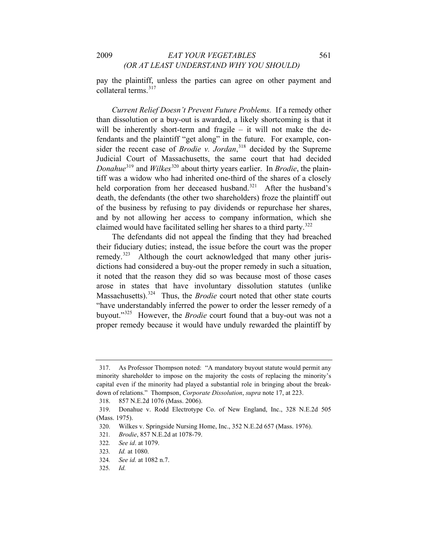pay the plaintiff, unless the parties can agree on other payment and collateral terms.[317](#page-71-0)

*Current Relief Doesn't Prevent Future Problems.* If a remedy other than dissolution or a buy-out is awarded, a likely shortcoming is that it will be inherently short-term and fragile  $-$  it will not make the defendants and the plaintiff "get along" in the future. For example, consider the recent case of *Brodie v. Jordan*, [318](#page-71-1) decided by the Supreme Judicial Court of Massachusetts, the same court that had decided *Donahue*<sup>[319](#page-71-2)</sup> and *Wilkes*<sup>[320](#page-71-3)</sup> about thirty years earlier. In *Brodie*, the plaintiff was a widow who had inherited one-third of the shares of a closely held corporation from her deceased husband.<sup>[321](#page-71-4)</sup> After the husband's death, the defendants (the other two shareholders) froze the plaintiff out of the business by refusing to pay dividends or repurchase her shares, and by not allowing her access to company information, which she claimed would have facilitated selling her shares to a third party.[322](#page-71-5)

The defendants did not appeal the finding that they had breached their fiduciary duties; instead, the issue before the court was the proper remedy.<sup>[323](#page-71-6)</sup> Although the court acknowledged that many other jurisdictions had considered a buy-out the proper remedy in such a situation, it noted that the reason they did so was because most of those cases arose in states that have involuntary dissolution statutes (unlike Massachusetts).<sup>[324](#page-71-7)</sup> Thus, the *Brodie* court noted that other state courts "have understandably inferred the power to order the lesser remedy of a buyout."[325](#page-71-8) However, the *Brodie* court found that a buy-out was not a proper remedy because it would have unduly rewarded the plaintiff by

<span id="page-71-0"></span><sup>317.</sup> As Professor Thompson noted: "A mandatory buyout statute would permit any minority shareholder to impose on the majority the costs of replacing the minority's capital even if the minority had played a substantial role in bringing about the breakdown of relations." Thompson, *Corporate Dissolution*, *supra* note 17, at 223.

<sup>318. 857</sup> N.E.2d 1076 (Mass. 2006).

<span id="page-71-3"></span><span id="page-71-2"></span><span id="page-71-1"></span><sup>319.</sup> Donahue v. Rodd Electrotype Co. of New England, Inc., 328 N.E.2d 505 (Mass. 1975).

<sup>320.</sup> Wilkes v. Springside Nursing Home, Inc., 352 N.E.2d 657 (Mass. 1976).

<span id="page-71-4"></span><sup>321</sup>*. Brodie*, 857 N.E.2d at 1078-79.

<span id="page-71-5"></span><sup>322</sup>*. See id*. at 1079.

<sup>323</sup>*. Id.* at 1080.

<span id="page-71-8"></span><span id="page-71-7"></span><span id="page-71-6"></span><sup>324</sup>*. See id.* at 1082 n.7.

<sup>325</sup>*. Id.*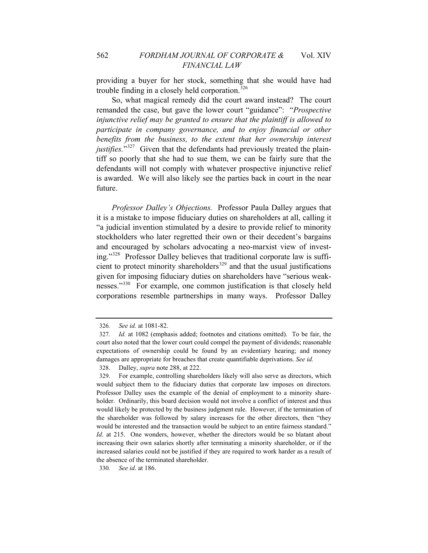providing a buyer for her stock, something that she would have had trouble finding in a closely held corporation.<sup>[326](#page-72-0)</sup>

So, what magical remedy did the court award instead? The court remanded the case, but gave the lower court "guidance": "*Prospective injunctive relief may be granted to ensure that the plaintiff is allowed to participate in company governance, and to enjoy financial or other benefits from the business, to the extent that her ownership interest justifies.*"<sup>[327](#page-72-1)</sup> Given that the defendants had previously treated the plaintiff so poorly that she had to sue them, we can be fairly sure that the defendants will not comply with whatever prospective injunctive relief is awarded. We will also likely see the parties back in court in the near future.

*Professor Dalley's Objections.* Professor Paula Dalley argues that it is a mistake to impose fiduciary duties on shareholders at all, calling it "a judicial invention stimulated by a desire to provide relief to minority stockholders who later regretted their own or their decedent's bargains and encouraged by scholars advocating a neo-marxist view of investing."[328](#page-72-2) Professor Dalley believes that traditional corporate law is sufficient to protect minority shareholders $329$  and that the usual justifications given for imposing fiduciary duties on shareholders have "serious weaknesses."[330](#page-72-4) For example, one common justification is that closely held corporations resemble partnerships in many ways. Professor Dalley

<span id="page-72-4"></span>330*. See id*. at 186.

<sup>326</sup>*. See id.* at 1081-82.

<span id="page-72-1"></span><span id="page-72-0"></span><sup>327</sup>*. Id.* at 1082 (emphasis added; footnotes and citations omitted). To be fair, the court also noted that the lower court could compel the payment of dividends; reasonable expectations of ownership could be found by an evidentiary hearing; and money damages are appropriate for breaches that create quantifiable deprivations. *See id.*

<sup>328.</sup> Dalley, *supra* note 288, at 222.

<span id="page-72-3"></span><span id="page-72-2"></span><sup>329.</sup> For example, controlling shareholders likely will also serve as directors, which would subject them to the fiduciary duties that corporate law imposes on directors. Professor Dalley uses the example of the denial of employment to a minority shareholder. Ordinarily, this board decision would not involve a conflict of interest and thus would likely be protected by the business judgment rule. However, if the termination of the shareholder was followed by salary increases for the other directors, then "they would be interested and the transaction would be subject to an entire fairness standard." *Id.* at 215. One wonders, however, whether the directors would be so blatant about increasing their own salaries shortly after terminating a minority shareholder, or if the increased salaries could not be justified if they are required to work harder as a result of the absence of the terminated shareholder.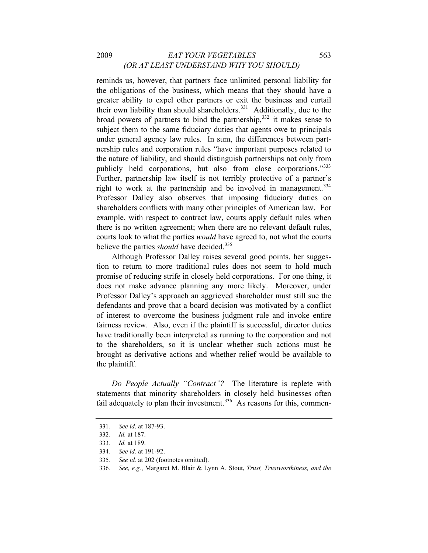# 2009 *EAT YOUR VEGETABLES* 563 *(OR AT LEAST UNDERSTAND WHY YOU SHOULD)*

believe the parties *should* have decided.<sup>335</sup> reminds us, however, that partners face unlimited personal liability for the obligations of the business, which means that they should have a greater ability to expel other partners or exit the business and curtail their own liability than should shareholders.<sup>[331](#page-73-0)</sup> Additionally, due to the broad powers of partners to bind the partnership, $332$  it makes sense to subject them to the same fiduciary duties that agents owe to principals under general agency law rules. In sum, the differences between partnership rules and corporation rules "have important purposes related to the nature of liability, and should distinguish partnerships not only from publicly held corporations, but also from close corporations."[333](#page-73-2) Further, partnership law itself is not terribly protective of a partner's right to work at the partnership and be involved in management.<sup>[334](#page-73-3)</sup> Professor Dalley also observes that imposing fiduciary duties on shareholders conflicts with many other principles of American law. For example, with respect to contract law, courts apply default rules when there is no written agreement; when there are no relevant default rules, courts look to what the parties *would* have agreed to, not what the courts

Although Professor Dalley raises several good points, her suggestion to return to more traditional rules does not seem to hold much promise of reducing strife in closely held corporations. For one thing, it does not make advance planning any more likely. Moreover, under Professor Dalley's approach an aggrieved shareholder must still sue the defendants and prove that a board decision was motivated by a conflict of interest to overcome the business judgment rule and invoke entire fairness review. Also, even if the plaintiff is successful, director duties have traditionally been interpreted as running to the corporation and not to the shareholders, so it is unclear whether such actions must be brought as derivative actions and whether relief would be available to the plaintiff.

*Do People Actually "Contract"?* The literature is replete with statements that minority shareholders in closely held businesses often fail adequately to plan their investment.<sup>[336](#page-73-4)</sup> As reasons for this, commen-

<span id="page-73-0"></span><sup>331</sup>*. See id*. at 187-93.

<sup>332</sup>*. Id.* at 187.

<span id="page-73-3"></span><span id="page-73-2"></span><span id="page-73-1"></span><sup>333</sup>*. Id.* at 189.

<sup>334</sup>*. See id.* at 191-92.

<sup>335</sup>*. See id.* at 202 (footnotes omitted).

<span id="page-73-4"></span><sup>336</sup>*. See, e.g.*, Margaret M. Blair & Lynn A. Stout, *Trust, Trustworthiness, and the*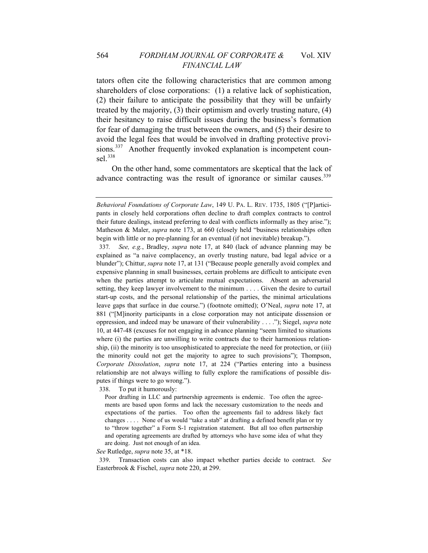tators often cite the following characteristics that are common among shareholders of close corporations: (1) a relative lack of sophistication, (2) their failure to anticipate the possibility that they will be unfairly treated by the majority, (3) their optimism and overly trusting nature, (4) their hesitancy to raise difficult issues during the business's formation for fear of damaging the trust between the owners, and (5) their desire to avoid the legal fees that would be involved in drafting protective provi-sions.<sup>[337](#page-74-0)</sup> Another frequently invoked explanation is incompetent coun-sel.<sup>[338](#page-74-1)</sup>

On the other hand, some commentators are skeptical that the lack of advance contracting was the result of ignorance or similar causes.<sup>[339](#page-74-2)</sup>

<span id="page-74-1"></span>338. To put it humorously:

Poor drafting in LLC and partnership agreements is endemic. Too often the agreements are based upon forms and lack the necessary customization to the needs and expectations of the parties. Too often the agreements fail to address likely fact changes . . . . None of us would "take a stab" at drafting a defined benefit plan or try to "throw together" a Form S-1 registration statement. But all too often partnership and operating agreements are drafted by attorneys who have some idea of what they are doing. Just not enough of an idea.

<span id="page-74-2"></span>*See* Rutledge, *supra* note 35, at \*18.

339. Transaction costs can also impact whether parties decide to contract. *See* Easterbrook & Fischel, *supra* note 220, at 299.

*Behavioral Foundations of Corporate Law*, 149 U. PA. L. REV. 1735, 1805 ("[P]articipants in closely held corporations often decline to draft complex contracts to control their future dealings, instead preferring to deal with conflicts informally as they arise."); Matheson & Maler, *supra* note 173, at 660 (closely held "business relationships often begin with little or no pre-planning for an eventual (if not inevitable) breakup.").

<span id="page-74-0"></span><sup>337</sup>*. See, e.g.*, Bradley, *supra* note 17, at 840 (lack of advance planning may be explained as "a naive complacency, an overly trusting nature, bad legal advice or a blunder"); Chittur, *supra* note 17, at 131 ("Because people generally avoid complex and expensive planning in small businesses, certain problems are difficult to anticipate even when the parties attempt to articulate mutual expectations. Absent an adversarial setting, they keep lawyer involvement to the minimum . . . . Given the desire to curtail start-up costs, and the personal relationship of the parties, the minimal articulations leave gaps that surface in due course.") (footnote omitted); O'Neal, *supra* note 17, at 881 ("[M]inority participants in a close corporation may not anticipate dissension or oppression, and indeed may be unaware of their vulnerability . . . ."); Siegel, *supra* note 10, at 447-48 (excuses for not engaging in advance planning "seem limited to situations where (i) the parties are unwilling to write contracts due to their harmonious relationship, (ii) the minority is too unsophisticated to appreciate the need for protection, or (iii) the minority could not get the majority to agree to such provisions"); Thompson, *Corporate Dissolution*, *supra* note 17, at 224 ("Parties entering into a business relationship are not always willing to fully explore the ramifications of possible disputes if things were to go wrong.").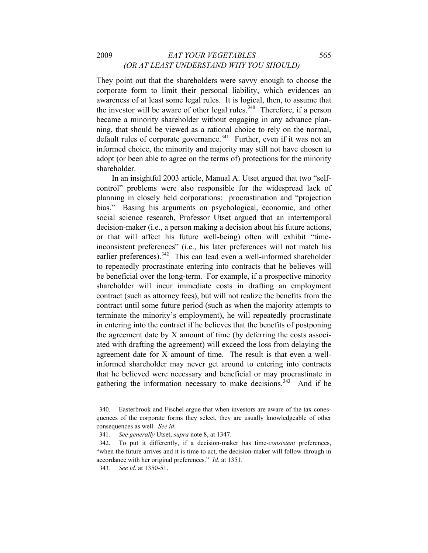# 2009 *EAT YOUR VEGETABLES* 565 *(OR AT LEAST UNDERSTAND WHY YOU SHOULD)*

They point out that the shareholders were savvy enough to choose the corporate form to limit their personal liability, which evidences an awareness of at least some legal rules. It is logical, then, to assume that the investor will be aware of other legal rules.<sup>[340](#page-75-0)</sup> Therefore, if a person became a minority shareholder without engaging in any advance planning, that should be viewed as a rational choice to rely on the normal, default rules of corporate governance.<sup>[341](#page-75-1)</sup> Further, even if it was not an informed choice, the minority and majority may still not have chosen to adopt (or been able to agree on the terms of) protections for the minority shareholder.

In an insightful 2003 article, Manual A. Utset argued that two "selfcontrol" problems were also responsible for the widespread lack of planning in closely held corporations: procrastination and "projection bias." Basing his arguments on psychological, economic, and other social science research, Professor Utset argued that an intertemporal decision-maker (i.e., a person making a decision about his future actions, or that will affect his future well-being) often will exhibit "timeinconsistent preferences" (i.e., his later preferences will not match his earlier preferences).<sup>[342](#page-75-2)</sup> This can lead even a well-informed shareholder to repeatedly procrastinate entering into contracts that he believes will be beneficial over the long-term. For example, if a prospective minority shareholder will incur immediate costs in drafting an employment contract (such as attorney fees), but will not realize the benefits from the contract until some future period (such as when the majority attempts to terminate the minority's employment), he will repeatedly procrastinate in entering into the contract if he believes that the benefits of postponing the agreement date by X amount of time (by deferring the costs associated with drafting the agreement) will exceed the loss from delaying the agreement date for X amount of time. The result is that even a wellinformed shareholder may never get around to entering into contracts that he believed were necessary and beneficial or may procrastinate in gathering the information necessary to make decisions.<sup>[343](#page-75-3)</sup> And if he

<span id="page-75-0"></span><sup>340.</sup> Easterbrook and Fischel argue that when investors are aware of the tax conesquences of the corporate forms they select, they are usually knowledgeable of other consequences as well. *See id.*

<sup>341</sup>*. See generally* Utset, *supra* note 8, at 1347.

<span id="page-75-2"></span><span id="page-75-1"></span><sup>342.</sup> To put it differently, if a decision-maker has time-*consistent* preferences, "when the future arrives and it is time to act, the decision-maker will follow through in accordance with her original preferences." *Id*. at 1351.

<span id="page-75-3"></span><sup>343</sup>*. See id*. at 1350-51.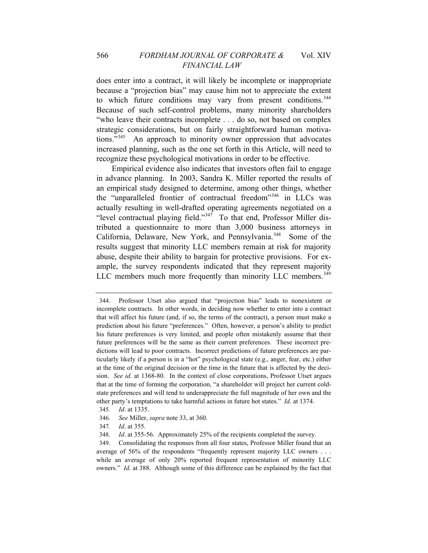does enter into a contract, it will likely be incomplete or inappropriate because a "projection bias" may cause him not to appreciate the extent to which future conditions may vary from present conditions.<sup>[344](#page-76-0)</sup> Because of such self-control problems, many minority shareholders "who leave their contracts incomplete . . . do so, not based on complex strategic considerations, but on fairly straightforward human motivations."[345](#page-76-1) An approach to minority owner oppression that advocates increased planning, such as the one set forth in this Article, will need to recognize these psychological motivations in order to be effective.

Empirical evidence also indicates that investors often fail to engage in advance planning. In 2003, Sandra K. Miller reported the results of an empirical study designed to determine, among other things, whether the "unparalleled frontier of contractual freedom"[346](#page-76-2) in LLCs was actually resulting in well-drafted operating agreements negotiated on a "level contractual playing field."[347](#page-76-3) To that end, Professor Miller distributed a questionnaire to more than 3,000 business attorneys in California, Delaware, New York, and Pennsylvania.<sup>[348](#page-76-4)</sup> Some of the results suggest that minority LLC members remain at risk for majority abuse, despite their ability to bargain for protective provisions. For example, the survey respondents indicated that they represent majority LLC members much more frequently than minority LLC members.<sup>[349](#page-76-5)</sup>

- <span id="page-76-2"></span><span id="page-76-1"></span>346*. See* Miller, *supra* note 33, at 360.
- 347*. Id*. at 355.

<span id="page-76-0"></span><sup>344.</sup> Professor Utset also argued that "projection bias" leads to nonexistent or incomplete contracts. In other words, in deciding now whether to enter into a contract that will affect his future (and, if so, the terms of the contract), a person must make a prediction about his future "preferences." Often, however, a person's ability to predict his future preferences is very limited, and people often mistakenly assume that their future preferences will be the same as their current preferences. These incorrect predictions will lead to poor contracts. Incorrect predictions of future preferences are particularly likely if a person is in a "hot" psychological state (e.g., anger, fear, etc.) either at the time of the original decision or the time in the future that is affected by the decision. *See id*. at 1368-80. In the context of close corporations, Professor Utset argues that at the time of forming the corporation, "a shareholder will project her current coldstate preferences and will tend to underappreciate the full magnitude of her own and the other party's temptations to take harmful actions in future hot states." *Id*. at 1374.

<sup>345</sup>*. Id*. at 1335.

<sup>348</sup>*. Id*. at 355-56. Approximately 25% of the recipients completed the survey.

<span id="page-76-5"></span><span id="page-76-4"></span><span id="page-76-3"></span><sup>349.</sup> Consolidating the responses from all four states, Professor Miller found that an average of 56% of the respondents "frequently represent majority LLC owners . . . while an average of only 20% reported frequent representation of minority LLC owners." *Id*. at 388. Although some of this difference can be explained by the fact that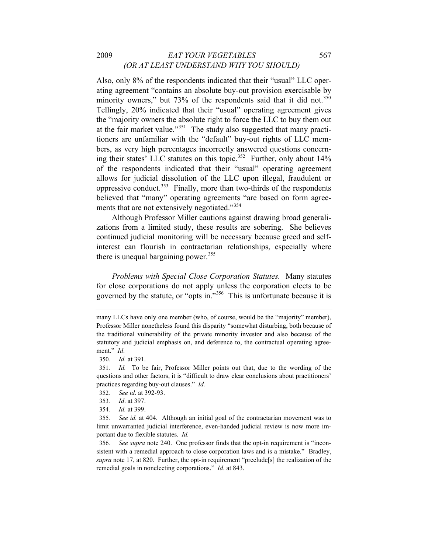### 2009 *EAT YOUR VEGETABLES* 567 *(OR AT LEAST UNDERSTAND WHY YOU SHOULD)*

Also, only 8% of the respondents indicated that their "usual" LLC operating agreement "contains an absolute buy-out provision exercisable by minority owners," but  $73\%$  of the respondents said that it did not.<sup>[350](#page-77-0)</sup> Tellingly, 20% indicated that their "usual" operating agreement gives the "majority owners the absolute right to force the LLC to buy them out at the fair market value."[351](#page-77-1) The study also suggested that many practitioners are unfamiliar with the "default" buy-out rights of LLC members, as very high percentages incorrectly answered questions concern-ing their states' LLC statutes on this topic.<sup>[352](#page-77-2)</sup> Further, only about  $14\%$ of the respondents indicated that their "usual" operating agreement allows for judicial dissolution of the LLC upon illegal, fraudulent or oppressive conduct.<sup>[353](#page-77-3)</sup> Finally, more than two-thirds of the respondents believed that "many" operating agreements "are based on form agreements that are not extensively negotiated."[354](#page-77-4)

Although Professor Miller cautions against drawing broad generalizations from a limited study, these results are sobering. She believes continued judicial monitoring will be necessary because greed and selfinterest can flourish in contractarian relationships, especially where there is unequal bargaining power.<sup>[355](#page-77-5)</sup>

*Problems with Special Close Corporation Statutes.* Many statutes for close corporations do not apply unless the corporation elects to be governed by the statute, or "opts in."[356](#page-77-6)This is unfortunate because it is

many LLCs have only one member (who, of course, would be the "majority" member), Professor Miller nonetheless found this disparity "somewhat disturbing, both because of the traditional vulnerability of the private minority investor and also because of the statutory and judicial emphasis on, and deference to, the contractual operating agreement." *Id*.

<sup>350</sup>*. Id.* at 391.

<span id="page-77-1"></span><span id="page-77-0"></span><sup>351</sup>*. Id.* To be fair, Professor Miller points out that, due to the wording of the questions and other factors, it is "difficult to draw clear conclusions about practitioners' practices regarding buy-out clauses." *Id.*

<span id="page-77-2"></span><sup>352</sup>*. See id*. at 392-93.

<sup>353</sup>*. Id*. at 397.

<sup>354</sup>*. Id.* at 399.

<span id="page-77-5"></span><span id="page-77-4"></span><span id="page-77-3"></span><sup>355</sup>*. See id.* at 404. Although an initial goal of the contractarian movement was to limit unwarranted judicial interference, even-handed judicial review is now more important due to flexible statutes. *Id.*

<span id="page-77-6"></span><sup>356</sup>*. See supra* note 240. One professor finds that the opt-in requirement is "inconsistent with a remedial approach to close corporation laws and is a mistake." Bradley, *supra* note 17, at 820. Further, the opt-in requirement "preclude[s] the realization of the remedial goals in nonelecting corporations." *Id*. at 843.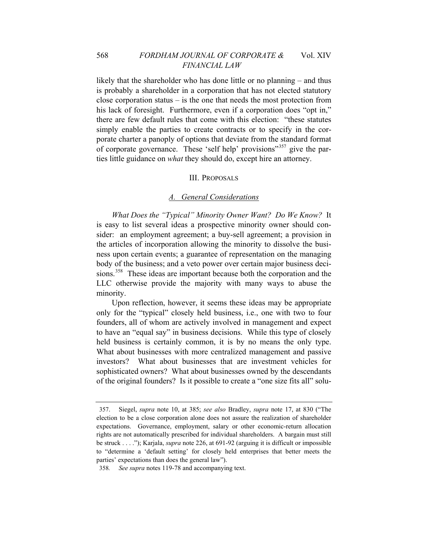### 568 *FORDHAM JOURNAL OF CORPORATE &* Vol. XIV *FINANCIAL LAW*

likely that the shareholder who has done little or no planning – and thus is probably a shareholder in a corporation that has not elected statutory close corporation status – is the one that needs the most protection from his lack of foresight. Furthermore, even if a corporation does "opt in," there are few default rules that come with this election: "these statutes simply enable the parties to create contracts or to specify in the corporate charter a panoply of options that deviate from the standard format of corporate governance. These 'self help' provisions"<sup>[357](#page-78-0)</sup> give the parties little guidance on *what* they should do, except hire an attorney.

#### III. PROPOSALS

#### *A. General Considerations*

*What Does the "Typical" Minority Owner Want? Do We Know?* It is easy to list several ideas a prospective minority owner should consider: an employment agreement; a buy-sell agreement; a provision in the articles of incorporation allowing the minority to dissolve the business upon certain events; a guarantee of representation on the managing body of the business; and a veto power over certain major business deci-sions.<sup>[358](#page-78-1)</sup> These ideas are important because both the corporation and the LLC otherwise provide the majority with many ways to abuse the minority.

Upon reflection, however, it seems these ideas may be appropriate only for the "typical" closely held business, i.e., one with two to four founders, all of whom are actively involved in management and expect to have an "equal say" in business decisions. While this type of closely held business is certainly common, it is by no means the only type. What about businesses with more centralized management and passive investors? What about businesses that are investment vehicles for sophisticated owners? What about businesses owned by the descendants of the original founders? Is it possible to create a "one size fits all" solu-

<span id="page-78-0"></span><sup>357.</sup> Siegel, *supra* note 10, at 385; *see also* Bradley, *supra* note 17, at 830 ("The election to be a close corporation alone does not assure the realization of shareholder expectations. Governance, employment, salary or other economic-return allocation rights are not automatically prescribed for individual shareholders. A bargain must still be struck . . . ."); Karjala, *supra* note 226, at 691-92 (arguing it is difficult or impossible to "determine a 'default setting' for closely held enterprises that better meets the parties' expectations than does the general law").

<span id="page-78-1"></span><sup>358</sup>*. See supra* notes 119-78 and accompanying text.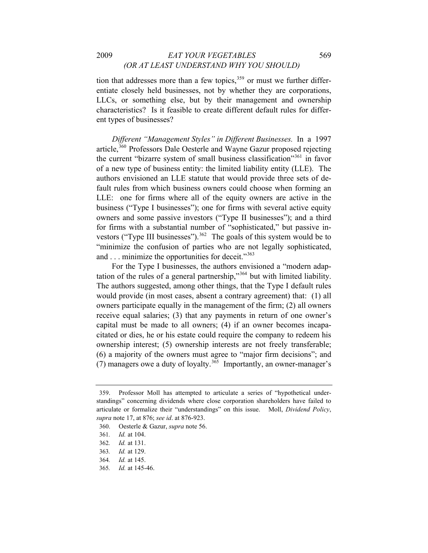tion that addresses more than a few topics, $359$  or must we further differentiate closely held businesses, not by whether they are corporations, LLCs, or something else, but by their management and ownership characteristics? Is it feasible to create different default rules for different types of businesses?

*Different "Management Styles" in Different Businesses.* In a 1997 article,<sup>[360](#page-79-1)</sup> Professors Dale Oesterle and Wayne Gazur proposed rejecting the current "bizarre system of small business classification"<sup>[361](#page-79-2)</sup> in favor of a new type of business entity: the limited liability entity (LLE). The authors envisioned an LLE statute that would provide three sets of default rules from which business owners could choose when forming an LLE: one for firms where all of the equity owners are active in the business ("Type I businesses"); one for firms with several active equity owners and some passive investors ("Type II businesses"); and a third for firms with a substantial number of "sophisticated," but passive in-vestors ("Type III businesses").<sup>[362](#page-79-3)</sup> The goals of this system would be to "minimize the confusion of parties who are not legally sophisticated, and . . . minimize the opportunities for deceit."<sup>[363](#page-79-4)</sup>

For the Type I businesses, the authors envisioned a "modern adaptation of the rules of a general partnership,"[364](#page-79-5) but with limited liability. The authors suggested, among other things, that the Type I default rules would provide (in most cases, absent a contrary agreement) that: (1) all owners participate equally in the management of the firm; (2) all owners receive equal salaries; (3) that any payments in return of one owner's capital must be made to all owners; (4) if an owner becomes incapacitated or dies, he or his estate could require the company to redeem his ownership interest; (5) ownership interests are not freely transferable; (6) a majority of the owners must agree to "major firm decisions"; and (7) managers owe a duty of loyalty.<sup>[365](#page-79-6)</sup> Importantly, an owner-manager's

<span id="page-79-0"></span><sup>359.</sup> Professor Moll has attempted to articulate a series of "hypothetical understandings" concerning dividends where close corporation shareholders have failed to articulate or formalize their "understandings" on this issue. Moll, *Dividend Policy*, *supra* note 17, at 876; *see id*. at 876-923.

<span id="page-79-1"></span><sup>360.</sup> Oesterle & Gazur, *supra* note 56.

<span id="page-79-2"></span><sup>361</sup>*. Id.* at 104.

<span id="page-79-4"></span><span id="page-79-3"></span><sup>362</sup>*. Id.* at 131.

<sup>363</sup>*. Id.* at 129.

<span id="page-79-5"></span><sup>364</sup>*. Id.* at 145.

<span id="page-79-6"></span><sup>365</sup>*. Id.* at 145-46.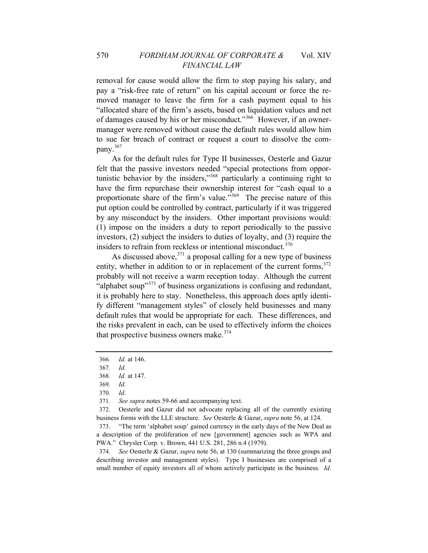removal for cause would allow the firm to stop paying his salary, and pay a "risk-free rate of return" on his capital account or force the removed manager to leave the firm for a cash payment equal to his "allocated share of the firm's assets, based on liquidation values and net of damages caused by his or her misconduct."[366](#page-80-0) However, if an ownermanager were removed without cause the default rules would allow him to sue for breach of contract or request a court to dissolve the company.[367](#page-80-1)

As for the default rules for Type II businesses, Oesterle and Gazur felt that the passive investors needed "special protections from opportunistic behavior by the insiders,"[368](#page-80-2) particularly a continuing right to have the firm repurchase their ownership interest for "cash equal to a proportionate share of the firm's value."[369](#page-80-3) The precise nature of this put option could be controlled by contract, particularly if it was triggered by any misconduct by the insiders. Other important provisions would: (1) impose on the insiders a duty to report periodically to the passive investors, (2) subject the insiders to duties of loyalty, and (3) require the insiders to refrain from reckless or intentional misconduct.<sup>[370](#page-80-4)</sup>

As discussed above,  $371$  a proposal calling for a new type of business entity, whether in addition to or in replacement of the current forms,  $372$ probably will not receive a warm reception today. Although the current "alphabet soup"<sup>[373](#page-80-7)</sup> of business organizations is confusing and redundant, it is probably here to stay. Nonetheless, this approach does aptly identify different "management styles" of closely held businesses and many default rules that would be appropriate for each. These differences, and the risks prevalent in each, can be used to effectively inform the choices that prospective business owners make. $374$ 

371*. See supra* notes 59-66 and accompanying text.

<span id="page-80-6"></span><span id="page-80-5"></span><span id="page-80-4"></span>372. Oesterle and Gazur did not advocate replacing all of the currently existing business forms with the LLE structure. *See* Oesterle & Gazur, *supra* note 56, at 124.

<span id="page-80-8"></span>374*. See* Oesterle & Gazur, *supra* note 56, at 130 (summarizing the three groups and describing investor and management styles). Type I businesses are comprised of a small number of equity investors all of whom actively participate in the business. *Id.*

<span id="page-80-0"></span><sup>366</sup>*. Id.* at 146.

<span id="page-80-2"></span><span id="page-80-1"></span><sup>367</sup>*. Id.*

<sup>368</sup>*. Id.* at 147.

<span id="page-80-3"></span><sup>369</sup>*. Id.*

<sup>370</sup>*. Id.*

<span id="page-80-7"></span><sup>373. &</sup>quot;The term 'alphabet soup' gained currency in the early days of the New Deal as a description of the proliferation of new [government] agencies such as WPA and PWA." Chrysler Corp. v. Brown, 441 U.S. 281, 286 n.4 (1979).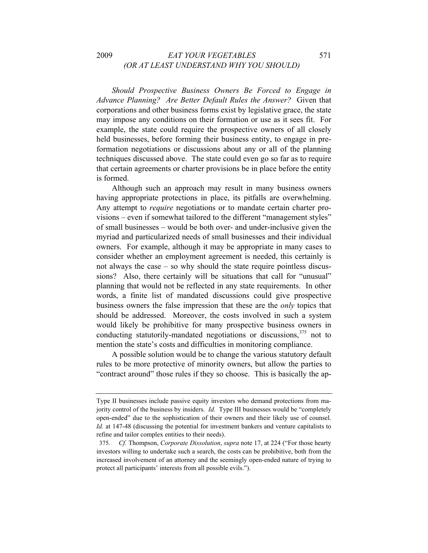# 2009 *EAT YOUR VEGETABLES* 571 *(OR AT LEAST UNDERSTAND WHY YOU SHOULD)*

*Should Prospective Business Owners Be Forced to Engage in Advance Planning? Are Better Default Rules the Answer?* Given that corporations and other business forms exist by legislative grace, the state may impose any conditions on their formation or use as it sees fit. For example, the state could require the prospective owners of all closely held businesses, before forming their business entity, to engage in preformation negotiations or discussions about any or all of the planning techniques discussed above. The state could even go so far as to require that certain agreements or charter provisions be in place before the entity is formed.

Although such an approach may result in many business owners having appropriate protections in place, its pitfalls are overwhelming. Any attempt to *require* negotiations or to mandate certain charter provisions – even if somewhat tailored to the different "management styles" of small businesses – would be both over- and under-inclusive given the myriad and particularized needs of small businesses and their individual owners. For example, although it may be appropriate in many cases to consider whether an employment agreement is needed, this certainly is not always the case – so why should the state require pointless discussions? Also, there certainly will be situations that call for "unusual" planning that would not be reflected in any state requirements. In other words, a finite list of mandated discussions could give prospective business owners the false impression that these are the *only* topics that should be addressed. Moreover, the costs involved in such a system would likely be prohibitive for many prospective business owners in conducting statutorily-mandated negotiations or discussions,  $375$  not to mention the state's costs and difficulties in monitoring compliance.

A possible solution would be to change the various statutory default rules to be more protective of minority owners, but allow the parties to "contract around" those rules if they so choose. This is basically the ap-

Type II businesses include passive equity investors who demand protections from majority control of the business by insiders. *Id.* Type III businesses would be "completely open-ended" due to the sophistication of their owners and their likely use of counsel. *Id.* at 147-48 (discussing the potential for investment bankers and venture capitalists to refine and tailor complex entities to their needs).

<span id="page-81-0"></span><sup>375</sup>*. Cf.* Thompson, *Corporate Dissolution*, *supra* note 17, at 224 ("For those hearty investors willing to undertake such a search, the costs can be prohibitive, both from the increased involvement of an attorney and the seemingly open-ended nature of trying to protect all participants' interests from all possible evils.").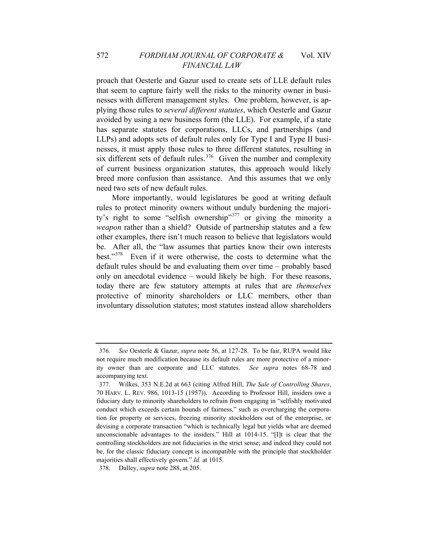proach that Oesterle and Gazur used to create sets of LLE default rules that seem to capture fairly well the risks to the minority owner in businesses with different management styles. One problem, however, is applying those rules to *several different statutes*, which Oesterle and Gazur avoided by using a new business form (the LLE). For example, if a state has separate statutes for corporations, LLCs, and partnerships (and LLPs) and adopts sets of default rules only for Type I and Type II businesses, it must apply those rules to three different statutes, resulting in six different sets of default rules.<sup>[376](#page-82-0)</sup> Given the number and complexity of current business organization statutes, this approach would likely breed more confusion than assistance. And this assumes that we only need two sets of new default rules.

More importantly, would legislatures be good at writing default rules to protect minority owners without unduly burdening the majority's right to some "selfish ownership"[377](#page-82-1) or giving the minority a *weapon* rather than a shield? Outside of partnership statutes and a few other examples, there isn't much reason to believe that legislators would be. After all, the "law assumes that parties know their own interests best."[378](#page-82-2) Even if it were otherwise, the costs to determine what the default rules should be and evaluating them over time – probably based only on anecdotal evidence – would likely be high. For these reasons, today there are few statutory attempts at rules that are *themselves* protective of minority shareholders or LLC members, other than involuntary dissolution statutes; most statutes instead allow shareholders

<span id="page-82-0"></span><sup>376</sup>*. See* Oesterle & Gazur, *supra* note 56, at 127-28. To be fair, RUPA would like not require much modification because its default rules are more protective of a minority owner than are corporate and LLC statutes. *See supra* notes 68-78 and accompanying text.

<span id="page-82-1"></span>be, for the classic fiduciary concept is incompatible with the principle that stockholder majorities shall effectively govern." *Id.* at 1015. 377. Wilkes, 353 N.E.2d at 663 (citing Alfred Hill, *The Sale of Controlling Shares*, 70 HARV. L. REV. 986, 1013-15 (1957)). According to Professor Hill, insiders owe a fiduciary duty to minority shareholders to refrain from engaging in "selfishly motivated conduct which exceeds certain bounds of fairness," such as overcharging the corporation for property or services, freezing minority stockholders out of the enterprise, or devising a corporate transaction "which is technically legal but yields what are deemed unconscionable advantages to the insiders." Hill at 1014-15. "[I]t is clear that the controlling stockholders are not fiduciaries in the strict sense; and indeed they could not

<span id="page-82-2"></span><sup>378.</sup> Dalley, *supra* note 288, at 205.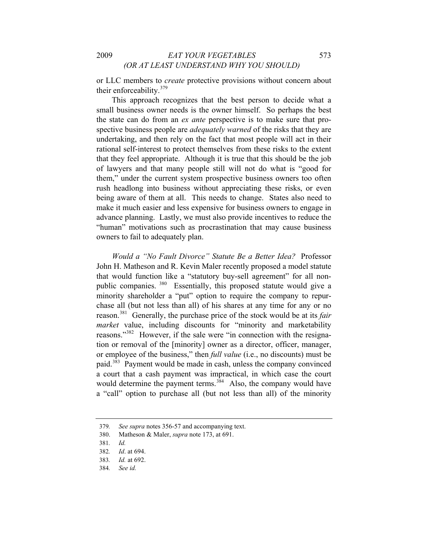or L LC members to *create* protective provisions without concern about their enforceability.<sup>379</sup>

"human" motivations such as procrastination that may cause business own ers to fail to adequately plan. This approach recognizes that the best person to decide what a small business owner needs is the owner himself. So perhaps the best the state can do from an *ex ante* perspective is to make sure that prospective business people are *adequately warned* of the risks that they are undertaking, and then rely on the fact that most people will act in their rational self-interest to protect themselves from these risks to the extent that they feel appropriate. Although it is true that this should be the job of lawyers and that many people still will not do what is "good for them," under the current system prospective business owners too often rush headlong into business without appreciating these risks, or even being aware of them at all. This needs to change. States also need to make it much easier and less expensive for business owners to engage in advance planning. Lastly, we must also provide incentives to reduce the

*Would a "No Fault Divorce" Statute Be a Better Idea?* Professor John H. Matheson and R. Kevin Maler recently proposed a model statute that would function like a "statutory buy-sell agreement" for all nonpublic companies. [380](#page-83-0) Essentially, this proposed statute would give a minority shareholder a "put" option to require the company to repurchase all (but not less than all) of his shares at any time for any or no reason.[381](#page-83-1) Generally, the purchase price of the stock would be at its *fair market* value, including discounts for "minority and marketability reasons."[382](#page-83-2) However, if the sale were "in connection with the resignation or removal of the [minority] owner as a director, officer, manager, or employee of the business," then *full value* (i.e., no discounts) must be paid.<sup>[383](#page-83-3)</sup> Payment would be made in cash, unless the company convinced a court that a cash payment was impractical, in which case the court would determine the payment terms.<sup>[384](#page-83-4)</sup> Also, the company would have a "call" option to purchase all (but not less than all) of the minority

<span id="page-83-0"></span><sup>379</sup>*. See supra* notes 356-57 and accompanying text.

<sup>380.</sup> Matheson & Maler, *supra* note 173, at 691.

<sup>381</sup>*. Id.*

<span id="page-83-2"></span><span id="page-83-1"></span><sup>382</sup>*. Id*. at 694.

<span id="page-83-3"></span><sup>383.</sup> *Id.* at 692.

<span id="page-83-4"></span>*id.* 384*. See*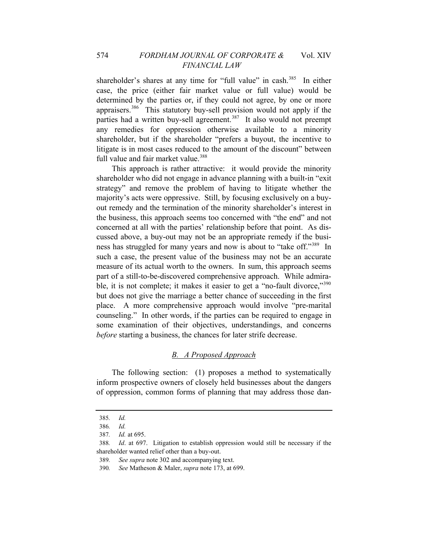shareholder, but if the shareholder "prefers a buyout, the incentive to litiga te is in most cases reduced to the amount of the discount" between shareholder's shares at any time for "full value" in cash.<sup>[385](#page-84-0)</sup> In either case, the price (either fair market value or full value) would be determined by the parties or, if they could not agree, by one or more appraisers.[386](#page-84-1) This statutory buy-sell provision would not apply if the parties had a written buy-sell agreement.<sup>[387](#page-84-2)</sup> It also would not preempt any remedies for oppression otherwise available to a minority full value and fair market value.<sup>[388](#page-84-3)</sup>

[counseling." In other words, if the parties can be required to e](#page-84-4)ngage in some examination of their objectives, understandings, and concerns before starting a business, the chances for later strife decrease. [This approach is rather attractive: it would provide the minority](#page-84-3)  [shareholder who did not engage in advance planning with a built-in "exit](#page-84-3)  [strategy" and remove the problem of having to litigate whether the](#page-84-3)  [majority's acts were oppressive. Still, by focusing exclusively on a buy](#page-84-3)[out remedy and the termination of the minority shareholder's interest in](#page-84-3)  [the business, this approach seems too concerned with "the end" and not](#page-84-3)  [concerned at all with the parties' relationship before that point. As dis](#page-84-3)[cussed above, a buy-out may not be an appropriate remedy if the busi](#page-84-3)[ness has struggled for many years and now is about to "take off."](#page-84-3)<sup>389</sup> In [such a case, the present value of the business may not be an accurate](#page-84-4)  [measure of its actual worth to the owners. In sum, this approach seems](#page-84-4)  [part of a still-to-be-discovered comprehensive approach. While admira](#page-84-4)[ble, it is not complete; it makes it easier to get a "no-fault divorce,"](#page-84-4)<sup>390</sup> [but does not give the marriage a better chance of succeeding in the first](#page-84-4)  [place. A more comprehensive approach would involve "pre-marital](#page-84-4) 

# *B. A Proposed Approach*

The following section: (1) proposes a method to systematically inform prospective owners of closely held businesses about the dangers of oppression, common forms of planning that may address those dan-

<sup>385</sup>*. Id.*

<span id="page-84-0"></span><sup>386</sup>*. Id.*

<sup>387</sup>*. Id.* at 695.

<span id="page-84-3"></span><span id="page-84-2"></span><span id="page-84-1"></span><sup>388</sup>*. Id*. at 697. Litigation to establish oppression would still be necessary if the shareholder wanted relief other than a buy-out.

<sup>389</sup>*. See supra* note 302 and accompanying text.

<span id="page-84-4"></span><sup>390</sup>*. See* Matheson & Maler, *supra* note 173, at 699.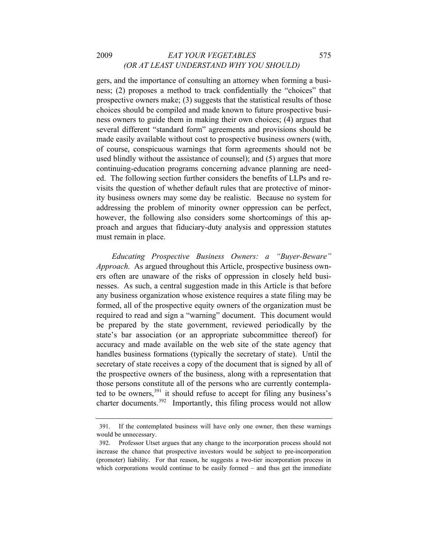# 2009 *EAT YOUR VEGETABLES* 575 *(OR AT LEAST UNDERSTAND WHY YOU SHOULD)*

addressing the problem of minority owner oppression can be perfect, however, the following also considers some shortcomings of this approa ch and argues that fiduciary-duty analysis and oppression statutes gers, and the importance of consulting an attorney when forming a business; (2) proposes a method to track confidentially the "choices" that prospective owners make; (3) suggests that the statistical results of those choices should be compiled and made known to future prospective business owners to guide them in making their own choices; (4) argues that several different "standard form" agreements and provisions should be made easily available without cost to prospective business owners (with, of course, conspicuous warnings that form agreements should not be used blindly without the assistance of counsel); and (5) argues that more continuing-education programs concerning advance planning are needed. The following section further considers the benefits of LLPs and revisits the question of whether default rules that are protective of minority business owners may some day be realistic. Because no system for must remain in place.

those persons constitute all of the persons who are currently contemplated to be owners,  $391$  it should refuse to accept for filing any business's *Educating Prospective Business Owners: a "Buyer-Beware" Approach.* As argued throughout this Article, prospective business owners often are unaware of the risks of oppression in closely held businesses. As such, a central suggestion made in this Article is that before any business organization whose existence requires a state filing may be formed, all of the prospective equity owners of the organization must be required to read and sign a "warning" document. This document would be prepared by the state government, reviewed periodically by the state's bar association (or an appropriate subcommittee thereof) for accuracy and made available on the web site of the state agency that handles business formations (typically the secretary of state). Until the secretary of state receives a copy of the document that is signed by all of the prospective owners of the business, along with a representation that charter documents.<sup>392</sup> Importantly, this filing process would not allow

<sup>391.</sup> If the contemplated business will have only one owner, then these warnings would be unnecessary.

<sup>392.</sup> Professor Utset argues that any change to the incorporation process should not increase the chance that prospective investors would be subject to pre-incorporation (promoter) liability. For that reason, he suggests a two-tier incorporation process in which corporations would continue to be easily formed – and thus get the immediate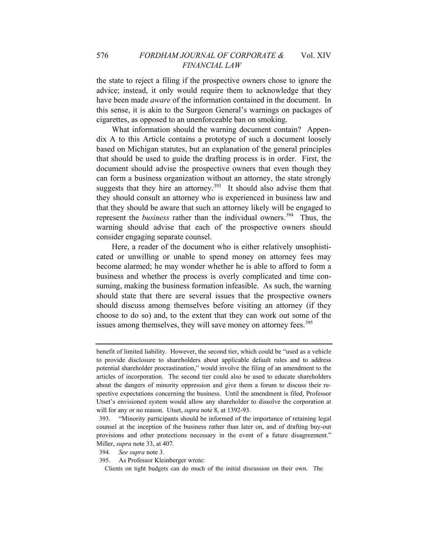the state to reject a filing if the prospective owners chose to ignore the advice; instead, it only would require them to acknowledge that they have been made *aware* of the information contained in the document. In this sense, it is akin to the Surgeon General's warnings on packages of cigarettes, as opposed to an unenforceable ban on smoking.

What information should the warning document contain? Appendix A to this Article contains a prototype of such a document loosely based on Michigan statutes, but an explanation of the general principles that should be used to guide the drafting process is in order. First, the document should advise the prospective owners that even though they can form a business organization without an attorney, the state strongly suggests that they hire an attorney.<sup>[393](#page-86-0)</sup> It should also advise them that they should consult an attorney who is experienced in business law and that they should be aware that such an attorney likely will be engaged to represent the *business* rather than the individual owners.<sup>[394](#page-86-1)</sup> Thus, the warning should advise that each of the prospective owners should consider engaging separate counsel.

Here, a reader of the document who is either relatively unsophisticated or unwilling or unable to spend money on attorney fees may become alarmed; he may wonder whether he is able to afford to form a business and whether the process is overly complicated and time consuming, making the business formation infeasible. As such, the warning should state that there are several issues that the prospective owners should discuss among themselves before visiting an attorney (if they choose to do so) and, to the extent that they can work out some of the issues among themselves, they will save money on attorney fees.<sup>[395](#page-86-2)</sup>

Clients on tight budgets can do much of the initial discussion on their own. The

benefit of limited liability. However, the second tier, which could be "used as a vehicle to provide disclosure to shareholders about applicable default rules and to address potential shareholder procrastination," would involve the filing of an amendment to the articles of incorporation. The second tier could also be used to educate shareholders about the dangers of minority oppression and give them a forum to discuss their respective expectations concerning the business. Until the amendment is filed, Professor Utset's envisioned system would allow any shareholder to dissolve the corporation at will for any or no reason. Utset, *supra* note 8, at 1392-93.

<span id="page-86-0"></span><sup>393. &</sup>quot;Minority participants should be informed of the importance of retaining legal counsel at the inception of the business rather than later on, and of drafting buy-out provisions and other protections necessary in the event of a future disagreement." Mi ller, *supra* note 33, at 407*.*

<span id="page-86-1"></span><sup>394.</sup> 4*. See supra* note 3.

<span id="page-86-2"></span><sup>395.</sup> 5. As Professor Kleinberger wrote: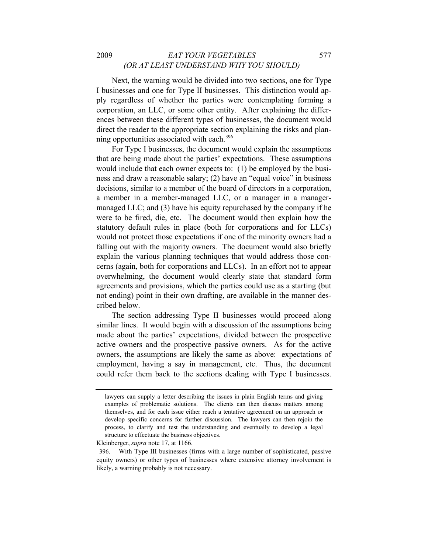### 2009 *EAT YOUR VEGETABLES* 577 *(OR AT LEAST UNDERSTAND WHY YOU SHOULD)*

Next, the warning would be divided into two sections, one for Type I businesses and one for Type II businesses. This distinction would apply regardless of whether the parties were contemplating forming a corporation, an LLC, or some other entity. After explaining the differences between these different types of businesses, the document would direct the reader to the appropriate section explaining the risks and plan-ning opportunities associated with each.<sup>[396](#page-87-0)</sup>

For Type I businesses, the document would explain the assumptions that are being made about the parties' expectations. These assumptions would include that each owner expects to: (1) be employed by the business and draw a reasonable salary; (2) have an "equal voice" in business decisions, similar to a member of the board of directors in a corporation, a member in a member-managed LLC, or a manager in a managermanaged LLC; and (3) have his equity repurchased by the company if he were to be fired, die, etc. The document would then explain how the statutory default rules in place (both for corporations and for LLCs) would not protect those expectations if one of the minority owners had a falling out with the majority owners. The document would also briefly explain the various planning techniques that would address those concerns (again, both for corporations and LLCs). In an effort not to appear overwhelming, the document would clearly state that standard form agreements and provisions, which the parties could use as a starting (but not ending) point in their own drafting, are available in the manner described below.

The section addressing Type II businesses would proceed along similar lines. It would begin with a discussion of the assumptions being made about the parties' expectations, divided between the prospective active owners and the prospective passive owners. As for the active owners, the assumptions are likely the same as above: expectations of employment, having a say in management, etc. Thus, the document could refer them back to the sections dealing with Type I businesses.

lawyers can supply a letter describing the issues in plain English terms and giving examples of problematic solutions. The clients can then discuss matters among themselves, and for each issue either reach a tentative agreement on an approach or develop specific concerns for further discussion. The lawyers can then rejoin the process, to clarify and test the understanding and eventually to develop a legal structure to effectuate the business objectives.

Kleinberger, *supra* note 17, at 1166.

<span id="page-87-0"></span><sup>396.</sup> With Type III businesses (firms with a large number of sophisticated, passive equity owners) or other types of businesses where extensive attorney involvement is likely, a warning probably is not necessary.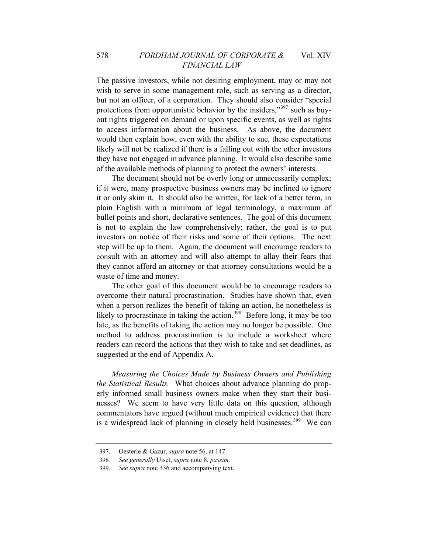would then explain how, even with the ability to sue, these expectations likel y will not be realized if there is a falling out with the other investors The passive investors, while not desiring employment, may or may not wish to serve in some management role, such as serving as a director, but not an officer, of a corporation. They should also consider "special protections from opportunistic behavior by the insiders,"[397](#page-88-0) such as buyout rights triggered on demand or upon specific events, as well as rights to access information about the business. As above, the document they have not engaged in advance planning. It would also describe some of the available methods of planning to protect the owners' interests.

step will be up to them. Again, the document will encourage readers to cons ult with an attorney and will also attempt to allay their fears that The document should not be overly long or unnecessarily complex; if it were, many prospective business owners may be inclined to ignore it or only skim it. It should also be written, for lack of a better term, in plain English with a minimum of legal terminology, a maximum of bullet points and short, declarative sentences. The goal of this document is not to explain the law comprehensively; rather, the goal is to put investors on notice of their risks and some of their options. The next they cannot afford an attorney or that attorney consultations would be a waste of time and money.

late, as the benefits of taking the action may no longer be possible. One method to address procrastination is to include a worksheet where read ers can record the actions that they wish to take and set deadlines, as The other goal of this document would be to encourage readers to overcome their natural procrastination. Studies have shown that, even when a person realizes the benefit of taking an action, he nonetheless is likely to procrastinate in taking the action.<sup>[398](#page-88-1)</sup> Before long, it may be too suggested at the end of Appendix A.

*Measuring the Choices Made by Business Owners and Publishing the Statistical Results.* What choices about advance planning do properly informed small business owners make when they start their businesses? We seem to have very little data on this question, although commentators have argued (without much empirical evidence) that there is a widespread lack of planning in closely held businesses.<sup>[399](#page-88-2)</sup> We can

<sup>397.</sup> Oesterle & Gazur, *supra* note 56, at 147.

<span id="page-88-2"></span><span id="page-88-1"></span><span id="page-88-0"></span><sup>398</sup>*. See generally* Utset, *supra* note 8, *passim.*

<sup>399</sup>*. See supra* note 336 and accompanying text.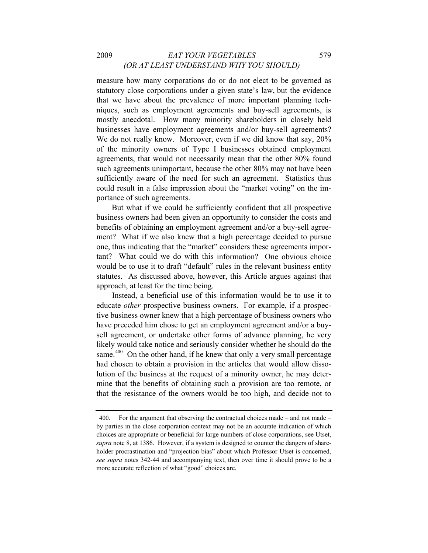# 2009 *EAT YOUR VEGETABLES* 579 *(OR AT LEAST UNDERSTAND WHY YOU SHOULD)*

such agreements unimportant, because the other 80% may not have been sufficiently aware of the need for such an agreement. Statistics thus measure how many corporations do or do not elect to be governed as statutory close corporations under a given state's law, but the evidence that we have about the prevalence of more important planning techniques, such as employment agreements and buy-sell agreements, is mostly anecdotal. How many minority shareholders in closely held businesses have employment agreements and/or buy-sell agreements? We do not really know. Moreover, even if we did know that say,  $20\%$ of the minority owners of Type I businesses obtained employment agreements, that would not necessarily mean that the other 80% found could result in a false impression about the "market voting" on the importance of such agreements.

tant? What could we do with this information? One obvious choice wou ld be to use it to draft "default" rules in the relevant business entity But what if we could be sufficiently confident that all prospective business owners had been given an opportunity to consider the costs and benefits of obtaining an employment agreement and/or a buy-sell agreement? What if we also knew that a high percentage decided to pursue one, thus indicating that the "market" considers these agreements imporstatutes. As discussed above, however, this Article argues against that approach, at least for the time being.

that the resistance of the owners would be too high, and decide not to Instead, a beneficial use of this information would be to use it to educate *other* prospective business owners. For example, if a prospective business owner knew that a high percentage of business owners who have preceded him chose to get an employment agreement and/or a buysell agreement, or undertake other forms of advance planning, he very likely would take notice and seriously consider whether he should do the same. $400$  On the other hand, if he knew that only a very small percentage had chosen to obtain a provision in the articles that would allow dissolution of the business at the request of a minority owner, he may determine that the benefits of obtaining such a provision are too remote, or

<span id="page-89-0"></span><sup>400.</sup> For the argument that observing the contractual choices made – and not made – by parties in the close corporation context may not be an accurate indication of which choices are appropriate or beneficial for large numbers of close corporations, see Utset, *supra* note 8, at 1386. However, if a system is designed to counter the dangers of shareholder procrastination and "projection bias" about which Professor Utset is concerned, *see supra* notes 342-44 and accompanying text, then over time it should prove to be a more accurate reflection of what "good" choices are.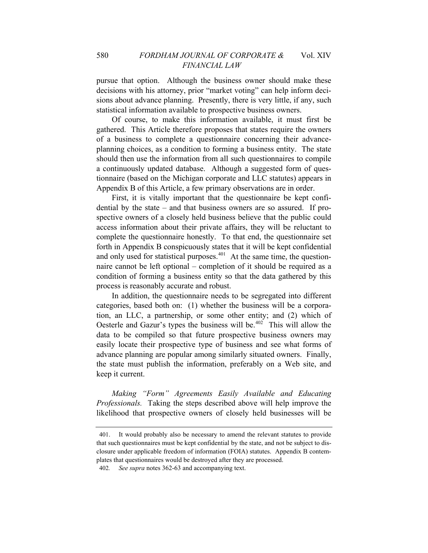decisions with his attorney, prior "market voting" can help inform decision s about advance planning. Presently, there is very little, if any, such pursue that option. Although the business owner should make these statistical information available to prospective business owners.

a continuously updated database. Although a suggested form of questionnaire (based on the Michigan corporate and LLC statutes) appears in Of course, to make this information available, it must first be gathered. This Article therefore proposes that states require the owners of a business to complete a questionnaire concerning their advanceplanning choices, as a condition to forming a business entity. The state should then use the information from all such questionnaires to compile Appendix B of this Article, a few primary observations are in order.

naire cannot be left optional – completion of it should be required as a cond ition of forming a business entity so that the data gathered by this First, it is vitally important that the questionnaire be kept confidential by the state – and that business owners are so assured. If prospective owners of a closely held business believe that the public could access information about their private affairs, they will be reluctant to complete the questionnaire honestly. To that end, the questionnaire set forth in Appendix B conspicuously states that it will be kept confidential and only used for statistical purposes. $401$  At the same time, the questionprocess is reasonably accurate and robust.

advance planning are popular among similarly situated owners. Finally, the state must publish the information, preferably on a Web site, and keep it current. In addition, the questionnaire needs to be segregated into different categories, based both on: (1) whether the business will be a corporation, an LLC, a partnership, or some other entity; and (2) which of Oesterle and Gazur's types the business will be. $402$  This will allow the data to be compiled so that future prospective business owners may easily locate their prospective type of business and see what forms of

*Making "Form" Agreements Easily Available and Educating Professionals.* Taking the steps described above will help improve the likelihood that prospective owners of closely held businesses will be

<span id="page-90-1"></span><span id="page-90-0"></span><sup>401.</sup> It would probably also be necessary to amend the relevant statutes to provide that such questionnaires must be kept confidential by the state, and not be subject to disclosure under applicable freedom of information (FOIA) statutes. Appendix B contemplates that questionnaires would be destroyed after they are processed. 402*. See supra* notes 362-63 and accompanying text.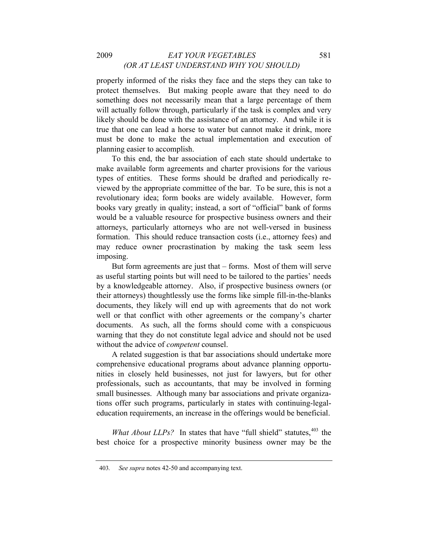true that one can lead a horse to water but cannot make it drink, more mus t be done to make the actual implementation and execution of properly informed of the risks they face and the steps they can take to protect themselves. But making people aware that they need to do something does not necessarily mean that a large percentage of them will actually follow through, particularly if the task is complex and very likely should be done with the assistance of an attorney. And while it is planning easier to accomplish.

formation. This should reduce transaction costs (i.e., attorney fees) and may reduce owner procrastination by making the task seem less To this end, the bar association of each state should undertake to make available form agreements and charter provisions for the various types of entities. These forms should be drafted and periodically reviewed by the appropriate committee of the bar. To be sure, this is not a revolutionary idea; form books are widely available. However, form books vary greatly in quality; instead, a sort of "official" bank of forms would be a valuable resource for prospective business owners and their attorneys, particularly attorneys who are not well-versed in business imposing.

documents. As such, all the forms should come with a conspicuous warn ing that they do not constitute legal advice and should not be used But form agreements are just that – forms. Most of them will serve as useful starting points but will need to be tailored to the parties' needs by a knowledgeable attorney. Also, if prospective business owners (or their attorneys) thoughtlessly use the forms like simple fill-in-the-blanks documents, they likely will end up with agreements that do not work well or that conflict with other agreements or the company's charter without the advice of *competent* counsel.

tions offer such programs, particularly in states with continuing-legaleduc ation requirements, an increase in the offerings would be beneficial. A related suggestion is that bar associations should undertake more comprehensive educational programs about advance planning opportunities in closely held businesses, not just for lawyers, but for other professionals, such as accountants, that may be involved in forming small businesses. Although many bar associations and private organiza-

best choice for a prospective minority business owner may be the *What About LLPs?* In states that have "full shield" statutes, <sup>[403](#page-91-0)</sup> the

<span id="page-91-0"></span><sup>403</sup>*. See supra* notes 42-50 and accompanying text.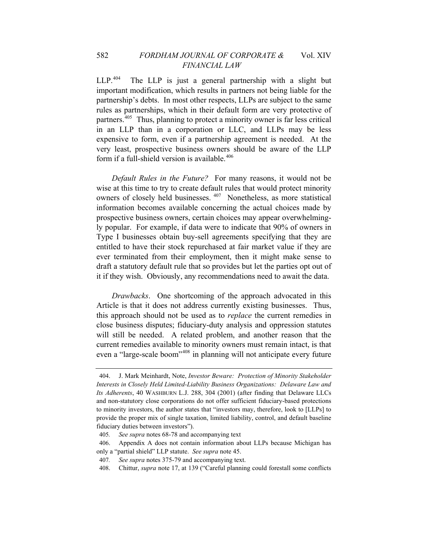very least, prospective business owners should be aware of the LLP form if a full-shield version is available. $406$ LLP.<sup>[404](#page-92-0)</sup> The LLP is just a general partnership with a slight but important modification, which results in partners not being liable for the partnership's debts. In most other respects, LLPs are subject to the same rules as partnerships, which in their default form are very protective of partners.<sup>[405](#page-92-1)</sup> Thus, planning to protect a minority owner is far less critical in an LLP than in a corporation or LLC, and LLPs may be less expensive to form, even if a partnership agreement is needed. At the

it if they wish. Obviously, any recommendations need to await the data. *Default Rules in the Future?* For many reasons, it would not be wise at this time to try to create default rules that would protect minority owners of closely held businesses. [407](#page-92-2) Nonetheless, as more statistical information becomes available concerning the actual choices made by prospective business owners, certain choices may appear overwhelmingly popular. For example, if data were to indicate that 90% of owners in Type I businesses obtain buy-sell agreements specifying that they are entitled to have their stock repurchased at fair market value if they are ever terminated from their employment, then it might make sense to draft a statutory default rule that so provides but let the parties opt out of

even a "large-scale boom"408 in planning will not anticipate every future *Drawbacks*. One shortcoming of the approach advocated in this Article is that it does not address currently existing businesses. Thus, this approach should not be used as to *replace* the current remedies in close business disputes; fiduciary-duty analysis and oppression statutes will still be needed. A related problem, and another reason that the current remedies available to minority owners must remain intact, is that

<span id="page-92-0"></span><sup>404.</sup> J. Mark Meinhardt, Note, *Investor Beware: Protection of Minority Stakeholder Interests in Closely Held Limited-Liability Business Organizations: Delaware Law and Its Adherents*, 40 WASHBURN L.J. 288, 304 (2001) (after finding that Delaware LLCs and non-statutory close corporations do not offer sufficient fiduciary-based protections to minority investors, the author states that "investors may, therefore, look to [LLPs] to provide the proper mix of single taxation, limited liability, control, and default baseline fiduciary duties between investors").

<sup>405</sup>*. See supra* notes 68-78 and accompanying text

<span id="page-92-2"></span><span id="page-92-1"></span><sup>406.</sup> Appendix A does not contain information about LLPs because Michigan has only a "partial shield" LLP statute. *See supra* note 45.

<sup>407</sup>*. See supra* notes 375-79 and accompanying text.

<span id="page-92-3"></span><sup>408.</sup> Chittur, *supra* note 17, at 139 ("Careful planning could forestall some conflicts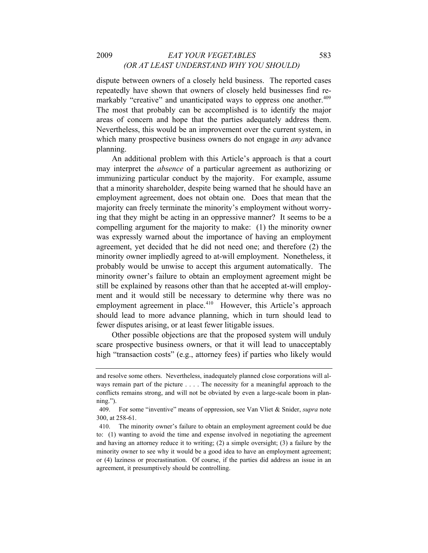# 2009 *EAT YOUR VEGETABLES* 583 *(OR AT LEAST UNDERSTAND WHY YOU SHOULD)*

dispute between owners of a closely held business. The reported cases repeatedly have shown that owners of closely held businesses find re-markably "creative" and unanticipated ways to oppress one another.<sup>[409](#page-92-3)</sup> The most that probably can be accomplished is to identify the major areas of concern and hope that the parties adequately address them. Nevertheless, this would be an improvement over the current system, in which many prospective business owners do not engage in *any* advance planning.

An additional problem with this Article's approach is that a court may interpret the *absence* of a particular agreement as authorizing or immunizing particular conduct by the majority. For example, assume that a minority shareholder, despite being warned that he should have an employment agreement, does not obtain one. Does that mean that the majority can freely terminate the minority's employment without worrying that they might be acting in an oppressive manner? It seems to be a compelling argument for the majority to make: (1) the minority owner was expressly warned about the importance of having an employment agreement, yet decided that he did not need one; and therefore (2) the minority owner impliedly agreed to at-will employment. Nonetheless, it probably would be unwise to accept this argument automatically. The minority owner's failure to obtain an employment agreement might be still be explained by reasons other than that he accepted at-will employment and it would still be necessary to determine why there was no employment agreement in place.<sup>[410](#page-93-0)</sup> However, this Article's approach should lead to more advance planning, which in turn should lead to fewer disputes arising, or at least fewer litigable issues.

Other possible objections are that the proposed system will unduly scare prospective business owners, or that it will lead to unacceptably high "transaction costs" (e.g., attorney fees) if parties who likely would

and resolve some others. Nevertheless, inadequately planned close corporations will always remain part of the picture . . . . The necessity for a meaningful approach to the conflicts remains strong, and will not be obviated by even a large-scale boom in planning.").

<sup>409.</sup> For some "inventive" means of oppression, see Van Vliet & Snider, *supra* note 300, at 258-61.

<span id="page-93-0"></span><sup>410.</sup> The minority owner's failure to obtain an employment agreement could be due to: (1) wanting to avoid the time and expense involved in negotiating the agreement and having an attorney reduce it to writing; (2) a simple oversight; (3) a failure by the minority owner to see why it would be a good idea to have an employment agreement; or (4) laziness or procrastination. Of course, if the parties did address an issue in an agreement, it presumptively should be controlling.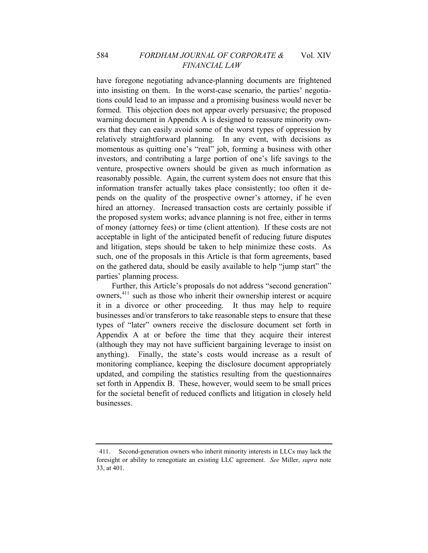on the gathered data, should be easily available to help "jump start" the parti es' planning process. have foregone negotiating advance-planning documents are frightened into insisting on them. In the worst-case scenario, the parties' negotiations could lead to an impasse and a promising business would never be formed. This objection does not appear overly persuasive; the proposed warning document in Appendix A is designed to reassure minority owners that they can easily avoid some of the worst types of oppression by relatively straightforward planning. In any event, with decisions as momentous as quitting one's "real" job, forming a business with other investors, and contributing a large portion of one's life savings to the venture, prospective owners should be given as much information as reasonably possible. Again, the current system does not ensure that this information transfer actually takes place consistently; too often it depends on the quality of the prospective owner's attorney, if he even hired an attorney. Increased transaction costs are certainly possible if the proposed system works; advance planning is not free, either in terms of money (attorney fees) or time (client attention). If these costs are not acceptable in light of the anticipated benefit of reducing future disputes and litigation, steps should be taken to help minimize these costs. As such, one of the proposals in this Article is that form agreements, based

set forth in Appendix B. These, however, would seem to be small prices for the societal benefit of reduced conflicts and litigation in closely held businesses. Further, this Article's proposals do not address "second generation" owners,[411](#page-94-0) such as those who inherit their ownership interest or acquire it in a divorce or other proceeding. It thus may help to require businesses and/or transferors to take reasonable steps to ensure that these types of "later" owners receive the disclosure document set forth in Appendix A at or before the time that they acquire their interest (although they may not have sufficient bargaining leverage to insist on anything). Finally, the state's costs would increase as a result of monitoring compliance, keeping the disclosure document appropriately updated, and compiling the statistics resulting from the questionnaires

<span id="page-94-0"></span><sup>411.</sup> Second-generation owners who inherit minority interests in LLCs may lack the foresight or ability to renegotiate an existing LLC agreement. *See* Miller, *supra* note 33, at 401.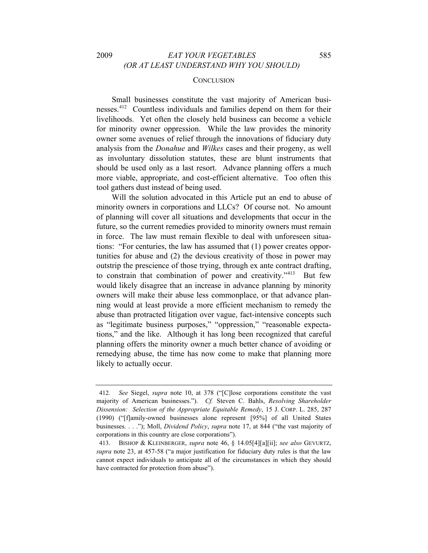#### **CONCLUSION**

Small businesses constitute the vast majority of American businesses.[412](#page-95-0) Countless individuals and families depend on them for their livelihoods. Yet often the closely held business can become a vehicle for minority owner oppression. While the law provides the minority owner some avenues of relief through the innovations of fiduciary duty analysis from the *Donahue* and *Wilkes* cases and their progeny, as well as involuntary dissolution statutes, these are blunt instruments that should be used only as a last resort. Advance planning offers a much more viable, appropriate, and cost-efficient alternative. Too often this tool gathers dust instead of being used.

Will the solution advocated in this Article put an end to abuse of minority owners in corporations and LLCs? Of course not. No amount of planning will cover all situations and developments that occur in the future, so the current remedies provided to minority owners must remain in force. The law must remain flexible to deal with unforeseen situations: "For centuries, the law has assumed that (1) power creates opportunities for abuse and (2) the devious creativity of those in power may outstrip the prescience of those trying, through ex ante contract drafting, to constrain that combination of power and creativity."<sup>[413](#page-95-1)</sup> But few would likely disagree that an increase in advance planning by minority owners will make their abuse less commonplace, or that advance planning would at least provide a more efficient mechanism to remedy the abuse than protracted litigation over vague, fact-intensive concepts such as "legitimate business purposes," "oppression," "reasonable expectations," and the like. Although it has long been recognized that careful planning offers the minority owner a much better chance of avoiding or remedying abuse, the time has now come to make that planning more likely to actually occur.

<span id="page-95-0"></span><sup>412</sup>*. See* Siegel, *supra* note 10, at 378 ("[C]lose corporations constitute the vast majority of American businesses."). *Cf.* Steven C. Bahls, *Resolving Shareholder Dissension: Selection of the Appropriate Equitable Remedy*, 15 J. CORP. L. 285, 287 (1990) ("[f]amily-owned businesses alone represent [95%] of all United States businesses. . . ."); Moll, *Dividend Policy*, *supra* note 17, at 844 ("the vast majority of corporations in this country are close corporations").

<span id="page-95-1"></span><sup>413.</sup> BISHOP & KLEINBERGER, *supra* note 46, § 14.05[4][a][ii]; *see also* GEVURTZ, *supra* note 23, at 457-58 ("a major justification for fiduciary duty rules is that the law cannot expect individuals to anticipate all of the circumstances in which they should have contracted for protection from abuse").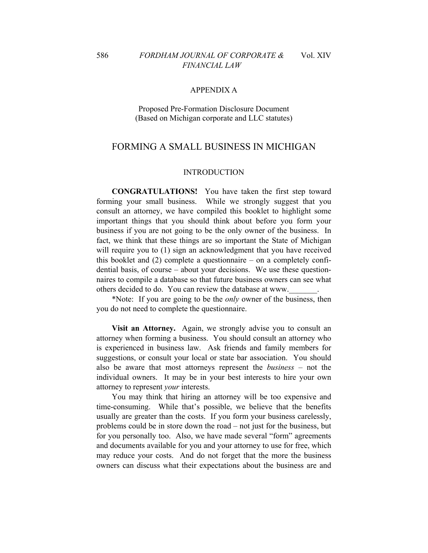### 586 *FORDHAM JOURNAL OF CORPORATE &* Vol. XIV *FINANCIAL LAW*

#### APPENDIX A

### Proposed Pre-Formation Disclosure Document (Based on Michigan corporate and LLC statutes)

# FORMING A SMALL BUSINESS IN MICHIGAN

#### INTRODUCTION

**CONGRATULATIONS!** You have taken the first step toward forming your small business. While we strongly suggest that you consult an attorney, we have compiled this booklet to highlight some important things that you should think about before you form your business if you are not going to be the only owner of the business. In fact, we think that these things are so important the State of Michigan will require you to (1) sign an acknowledgment that you have received this booklet and (2) complete a questionnaire – on a completely confidential basis, of course – about your decisions. We use these questionnaires to compile a database so that future business owners can see what others decided to do. You can review the database at www.

\*Note: If you are going to be the *only* owner of the business, then you do not need to complete the questionnaire.

**Visit an Attorney.** Again, we strongly advise you to consult an attorney when forming a business. You should consult an attorney who is experienced in business law. Ask friends and family members for suggestions, or consult your local or state bar association. You should also be aware that most attorneys represent the *business* – not the individual owners. It may be in your best interests to hire your own attorney to represent *your* interests.

You may think that hiring an attorney will be too expensive and time-consuming. While that's possible, we believe that the benefits usually are greater than the costs. If you form your business carelessly, problems could be in store down the road – not just for the business, but for you personally too. Also, we have made several "form" agreements and documents available for you and your attorney to use for free, which may reduce your costs. And do not forget that the more the business owners can discuss what their expectations about the business are and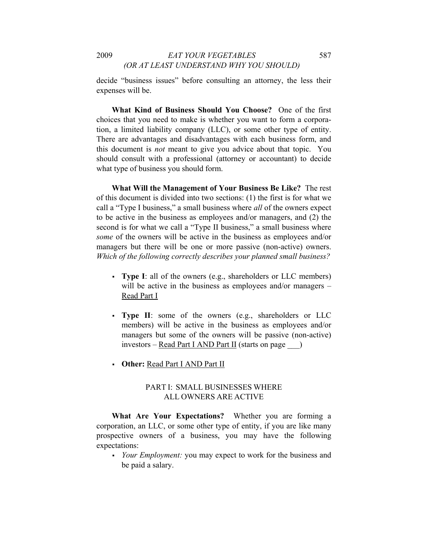decide "business issues" before consulting an attorney, the less their expenses will be.

**What Kind of Business Should You Choose?** One of the first choices that you need to make is whether you want to form a corporation, a limited liability company (LLC), or some other type of entity. There are advantages and disadvantages with each business form, and this document is *not* meant to give you advice about that topic. You should consult with a professional (attorney or accountant) to decide what type of business you should form.

**What Will the Management of Your Business Be Like?** The rest of this document is divided into two sections: (1) the first is for what we call a "Type I business," a small business where *all* of the owners expect to be active in the business as employees and/or managers, and (2) the second is for what we call a "Type II business," a small business where *some* of the owners will be active in the business as employees and/or managers but there will be one or more passive (non-active) owners. *Which of the following correctly describes your planned small business?* 

- **Type I**: all of the owners (e.g., shareholders or LLC members) will be active in the business as employees and/or managers – Read Part I
- **Type II**: some of the owners (e.g., shareholders or LLC members) will be active in the business as employees and/or managers but some of the owners will be passive (non-active) investors – Read Part I AND Part II (starts on page \_\_\_)
- **Other:** Read Part I AND Part II

# PART I: SMALL BUSINESSES WHERE ALL OWNERS ARE ACTIVE

**What Are Your Expectations?** Whether you are forming a corporation, an LLC, or some other type of entity, if you are like many prospective owners of a business, you may have the following expectations:

 *Your Employment:* you may expect to work for the business and be paid a salary.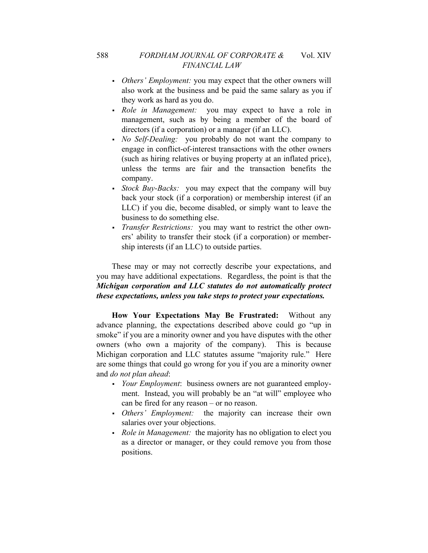- *Others' Employment:* you may expect that the other owners will also work at the business and be paid the same salary as you if they work as hard as you do.
- *Role in Management:* you may expect to have a role in management, such as by being a member of the board of directors (if a corporation) or a manager (if an LLC).
- *No Self-Dealing:* you probably do not want the company to engage in conflict-of-interest transactions with the other owners (such as hiring relatives or buying property at an inflated price), unless the terms are fair and the transaction benefits the company.
- *Stock Buy-Backs:* you may expect that the company will buy back your stock (if a corporation) or membership interest (if an LLC) if you die, become disabled, or simply want to leave the business to do something else.
- *Transfer Restrictions:* you may want to restrict the other owners' ability to transfer their stock (if a corporation) or membership interests (if an LLC) to outside parties.

These may or may not correctly describe your expectations, and you may have additional expectations. Regardless, the point is that the *Michigan corporation and LLC statutes do not automatically protect these expectations, unless you take steps to protect your expectations.*

**How Your Expectations May Be Frustrated:** Without any advance planning, the expectations described above could go "up in smoke" if you are a minority owner and you have disputes with the other owners (who own a majority of the company). This is because Michigan corporation and LLC statutes assume "majority rule." Here are some things that could go wrong for you if you are a minority owner and *do not plan ahead*:

- *Your Employment*: business owners are not guaranteed employment. Instead, you will probably be an "at will" employee who can be fired for any reason – or no reason.
- *Others' Employment:* the majority can increase their own salaries over your objections.
- *Role in Management:* the majority has no obligation to elect you as a director or manager, or they could remove you from those positions.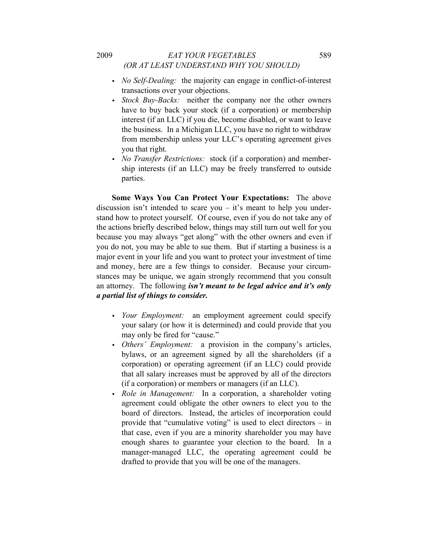# 2009 *EAT YOUR VEGETABLES* 589 *(OR AT LEAST UNDERSTAND WHY YOU SHOULD)*

- *No Self-Dealing:* the majority can engage in conflict-of-interest transactions over your objections.
- *Stock Buy-Backs:* neither the company nor the other owners have to buy back your stock (if a corporation) or membership interest (if an LLC) if you die, become disabled, or want to leave the business. In a Michigan LLC, you have no right to withdraw from membership unless your LLC's operating agreement gives you that right.
- *No Transfer Restrictions:* stock (if a corporation) and membership interests (if an LLC) may be freely transferred to outside parties.

**Some Ways You Can Protect Your Expectations:** The above discussion isn't intended to scare you – it's meant to help you understand how to protect yourself. Of course, even if you do not take any of the actions briefly described below, things may still turn out well for you because you may always "get along" with the other owners and even if you do not, you may be able to sue them. But if starting a business is a major event in your life and you want to protect your investment of time and money, here are a few things to consider. Because your circumstances may be unique, we again strongly recommend that you consult an attorney. The following *isn't meant to be legal advice and it's only a partial list of things to consider.* 

- *Your Employment:* an employment agreement could specify your salary (or how it is determined) and could provide that you may only be fired for "cause."
- *Others' Employment:* a provision in the company's articles, bylaws, or an agreement signed by all the shareholders (if a corporation) or operating agreement (if an LLC) could provide that all salary increases must be approved by all of the directors (if a corporation) or members or managers (if an LLC).
- *Role in Management:* In a corporation, a shareholder voting agreement could obligate the other owners to elect you to the board of directors. Instead, the articles of incorporation could provide that "cumulative voting" is used to elect directors – in that case, even if you are a minority shareholder you may have enough shares to guarantee your election to the board. In a manager-managed LLC, the operating agreement could be drafted to provide that you will be one of the managers.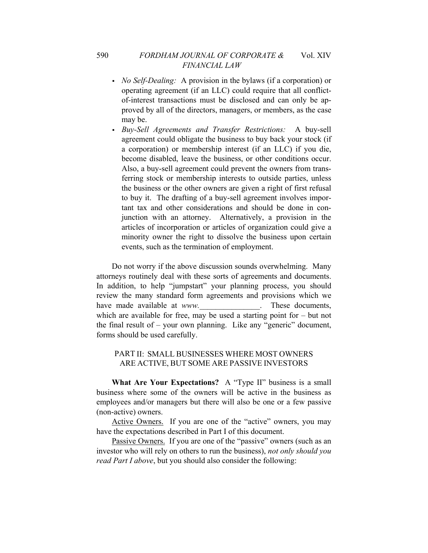- *No Self-Dealing:* A provision in the bylaws (if a corporation) or operating agreement (if an LLC) could require that all conflictof-interest transactions must be disclosed and can only be approved by all of the directors, managers, or members, as the case may be.
- *Buy-Sell Agreements and Transfer Restrictions:* A buy-sell agreement could obligate the business to buy back your stock (if a corporation) or membership interest (if an LLC) if you die, become disabled, leave the business, or other conditions occur. Also, a buy-sell agreement could prevent the owners from transferring stock or membership interests to outside parties, unless the business or the other owners are given a right of first refusal to buy it. The drafting of a buy-sell agreement involves important tax and other considerations and should be done in conjunction with an attorney. Alternatively, a provision in the articles of incorporation or articles of organization could give a minority owner the right to dissolve the business upon certain events, such as the termination of employment.

Do not worry if the above discussion sounds overwhelming. Many attorneys routinely deal with these sorts of agreements and documents. In addition, to help "jumpstart" your planning process, you should review the many standard form agreements and provisions which we have made available at *www.* These documents, which are available for free, may be used a starting point for  $-$  but not the final result of – your own planning. Like any "generic" document, forms should be used carefully.

### PART II: SMALL BUSINESSES WHERE MOST OWNERS ARE ACTIVE, BUT SOME ARE PASSIVE INVESTORS

**What Are Your Expectations?** A "Type II" business is a small business where some of the owners will be active in the business as employees and/or managers but there will also be one or a few passive (non-active) owners.

Active Owners.If you are one of the "active" owners, you may have the expectations described in Part I of this document.

Passive Owners. If you are one of the "passive" owners (such as an investor who will rely on others to run the business), *not only should you read Part I above*, but you should also consider the following: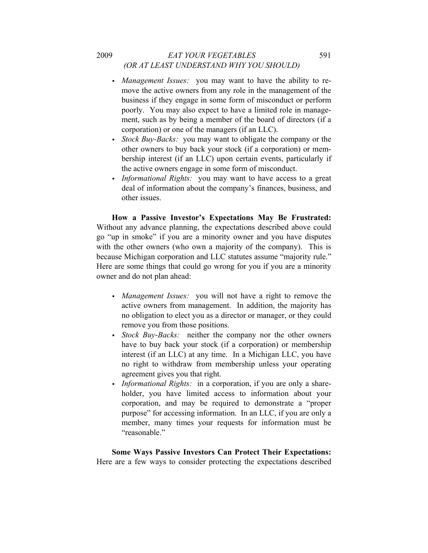# 2009 *EAT YOUR VEGETABLES* 591 *(OR AT LEAST UNDERSTAND WHY YOU SHOULD)*

- *Management Issues:* you may want to have the ability to remove the active owners from any role in the management of the business if they engage in some form of misconduct or perform poorly. You may also expect to have a limited role in management, such as by being a member of the board of directors (if a corporation) or one of the managers (if an LLC).
- *Stock Buy-Backs:* you may want to obligate the company or the other owners to buy back your stock (if a corporation) or membership interest (if an LLC) upon certain events, particularly if the active owners engage in some form of misconduct.
- *Informational Rights:* you may want to have access to a great deal of information about the company's finances, business, and other issues.

**How a Passive Investor's Expectations May Be Frustrated:**  Without any advance planning, the expectations described above could go "up in smoke" if you are a minority owner and you have disputes with the other owners (who own a majority of the company). This is because Michigan corporation and LLC statutes assume "majority rule." Here are some things that could go wrong for you if you are a minority owner and do not plan ahead:

- *Management Issues:* you will not have a right to remove the active owners from management. In addition, the majority has no obligation to elect you as a director or manager, or they could remove you from those positions.
- *Stock Buy-Backs:* neither the company nor the other owners have to buy back your stock (if a corporation) or membership interest (if an LLC) at any time. In a Michigan LLC, you have no right to withdraw from membership unless your operating agreement gives you that right.
- *Informational Rights:* in a corporation, if you are only a shareholder, you have limited access to information about your corporation, and may be required to demonstrate a "proper purpose" for accessing information. In an LLC, if you are only a member, many times your requests for information must be "reasonable"

**Some Ways Passive Investors Can Protect Their Expectations:**  Here are a few ways to consider protecting the expectations described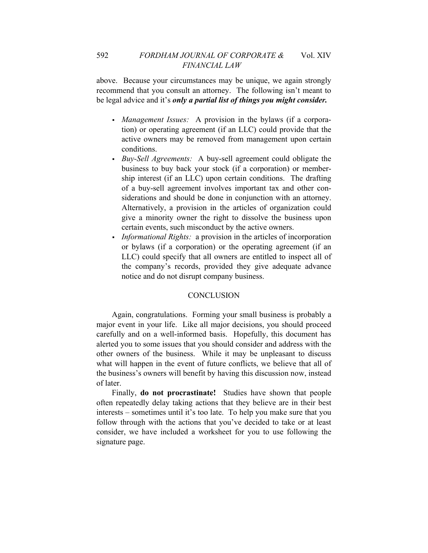above. Because your circumstances may be unique, we again strongly recommend that you consult an attorney. The following isn't meant to be legal advice and it's *only a partial list of things you might consider.* 

- *Management Issues:* A provision in the bylaws (if a corporation) or operating agreement (if an LLC) could provide that the active owners may be removed from management upon certain conditions.
- *Buy-Sell Agreements:* A buy-sell agreement could obligate the business to buy back your stock (if a corporation) or membership interest (if an LLC) upon certain conditions. The drafting of a buy-sell agreement involves important tax and other considerations and should be done in conjunction with an attorney. Alternatively, a provision in the articles of organization could give a minority owner the right to dissolve the business upon certain events, such misconduct by the active owners.
- *Informational Rights:* a provision in the articles of incorporation or bylaws (if a corporation) or the operating agreement (if an LLC) could specify that all owners are entitled to inspect all of the company's records, provided they give adequate advance notice and do not disrupt company business.

### **CONCLUSION**

Again, congratulations. Forming your small business is probably a major event in your life. Like all major decisions, you should proceed carefully and on a well-informed basis. Hopefully, this document has alerted you to some issues that you should consider and address with the other owners of the business. While it may be unpleasant to discuss what will happen in the event of future conflicts, we believe that all of the business's owners will benefit by having this discussion now, instead of later.

Finally, **do not procrastinate!** Studies have shown that people often repeatedly delay taking actions that they believe are in their best interests – sometimes until it's too late. To help you make sure that you follow through with the actions that you've decided to take or at least consider, we have included a worksheet for you to use following the signature page.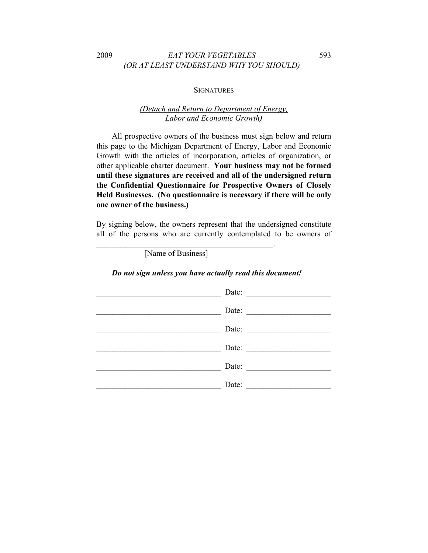# 2009 *EAT YOUR VEGETABLES* 593 *(OR AT LEAST UNDERSTAND WHY YOU SHOULD)*

#### **SIGNATURES**

# *(Detach and Return to Department of Energy, Labor and Economic Growth)*

All prospective owners of the business must sign below and return this page to the Michigan Department of Energy, Labor and Economic Growth with the articles of incorporation, articles of organization, or other applicable charter document. **Your business may not be formed until these signatures are received and all of the undersigned return the Confidential Questionnaire for Prospective Owners of Closely Held Businesses. (No questionnaire is necessary if there will be only one owner of the business.)** 

By signing below, the owners represent that the undersigned constitute all of the persons who are currently contemplated to be owners of

[Name of Business]

 $\mathcal{L}_\text{max}$  and  $\mathcal{L}_\text{max}$  and  $\mathcal{L}_\text{max}$  and  $\mathcal{L}_\text{max}$ 

### *Do not sign unless you have actually read this document!*

| Date: |
|-------|
| Date: |
| Date: |
| Date: |
| Date: |
| Date: |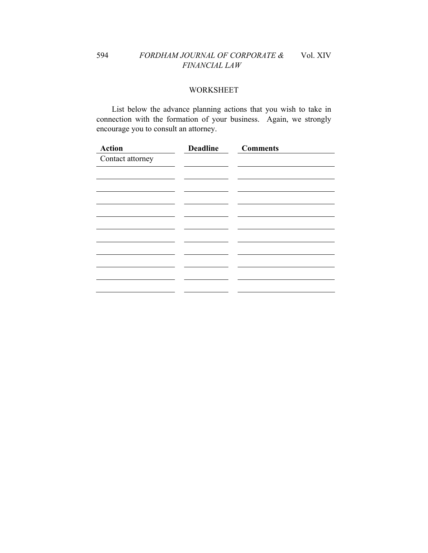# 594 *FORDHAM JOURNAL OF CORPORATE &* Vol. XIV *FINANCIAL LAW*

# WORKSHEET

List below the advance planning actions that you wish to take in connection with the formation of your business. Again, we strongly encourage you to consult an attorney.

| <b>Action</b>    | <b>Deadline Comments</b> |  |
|------------------|--------------------------|--|
| Contact attorney |                          |  |
|                  |                          |  |
|                  |                          |  |
|                  |                          |  |
|                  |                          |  |
|                  |                          |  |
|                  |                          |  |
|                  |                          |  |
|                  |                          |  |
|                  |                          |  |
|                  |                          |  |
|                  |                          |  |
|                  |                          |  |
|                  |                          |  |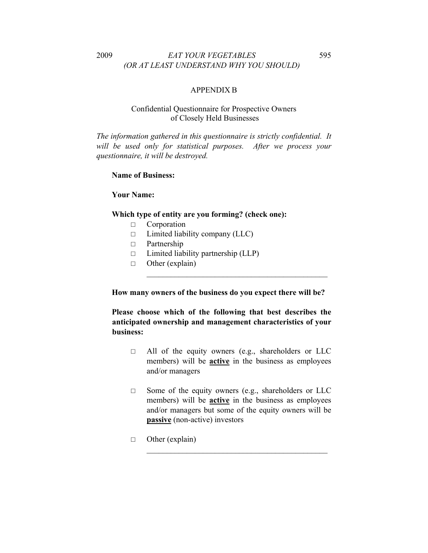# 2009 *EAT YOUR VEGETABLES* 595 *(OR AT LEAST UNDERSTAND WHY YOU SHOULD)*

## APPENDIX B

### Confidential Questionnaire for Prospective Owners of Closely Held Businesses

*The information gathered in this questionnaire is strictly confidential. It*  will be used only for statistical purposes. After we process your *questionnaire, it will be destroyed.*

### **Name of Business:**

### **Your Name:**

#### **Which type of entity are you forming? (check one):**

- □ Corporation
- $\Box$  Limited liability company (LLC)
- □ Partnership
- $\Box$  Limited liability partnership (LLP)
- □ Other (explain)

**How many owners of the business do you expect there will be?** 

 $\mathcal{L}_\text{max}$  , and the set of the set of the set of the set of the set of the set of the set of the set of the set of the set of the set of the set of the set of the set of the set of the set of the set of the set of the

**Please choose which of the following that best describes the anticipated ownership and management characteristics of your business:**

- □ All of the equity owners (e.g., shareholders or LLC members) will be **active** in the business as employees and/or managers
- □ Some of the equity owners (e.g., shareholders or LLC members) will be **active** in the business as employees and/or managers but some of the equity owners will be **passive** (non-active) investors

 $\mathcal{L}_\text{max}$  , and the set of the set of the set of the set of the set of the set of the set of the set of the set of the set of the set of the set of the set of the set of the set of the set of the set of the set of the

□ Other (explain)